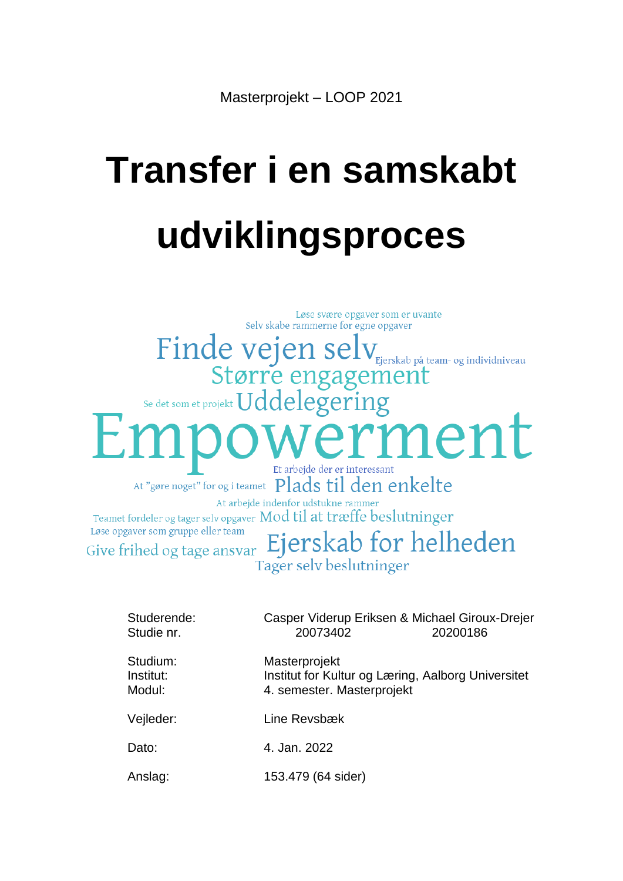# **Transfer i en samskabt udviklingsproces**

Løse svære opgaver som er uvante Selv skabe rammerne for egne opgaver Finde vejen sel Ejerskab på team- og individniveau Større engagement Se det som et projekt Uddelegering nent Et arbejde der er interessant At "gøre noget" for og i teamet Plads til den enkelte At arbejde indenfor udstukne rammer Teamet fordeler og tager selv opgaver Mod til at træffe beslutninger Løse opgaver som gruppe eller team Ejerskab for helheden Give frihed og tage ansvar Tager selv beslutninger

| Studerende:<br>Studie nr.       | 20073402           | Casper Viderup Eriksen & Michael Giroux-Drejer<br>20200186                       |  |  |
|---------------------------------|--------------------|----------------------------------------------------------------------------------|--|--|
| Studium:<br>Institut:<br>Modul: | Masterprojekt      | Institut for Kultur og Læring, Aalborg Universitet<br>4. semester. Masterprojekt |  |  |
| Vejleder:                       | Line Revsbæk       |                                                                                  |  |  |
| Dato:                           | 4. Jan. 2022       |                                                                                  |  |  |
| Anslag:                         | 153.479 (64 sider) |                                                                                  |  |  |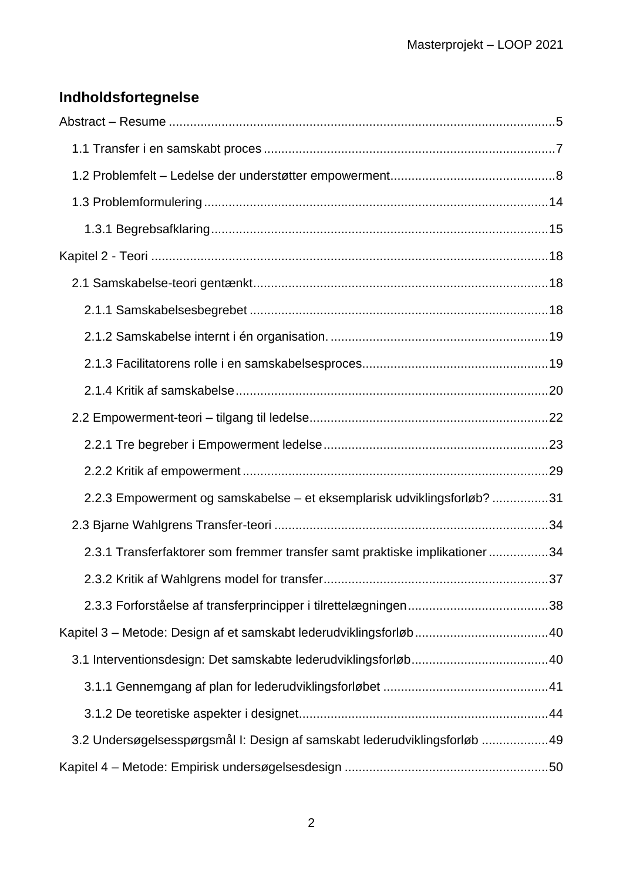# **Indholdsfortegnelse**

| 2.2.3 Empowerment og samskabelse – et eksemplarisk udviklingsforløb? 31    |      |
|----------------------------------------------------------------------------|------|
|                                                                            |      |
| 2.3.1 Transferfaktorer som fremmer transfer samt praktiske implikationer34 |      |
|                                                                            | . 37 |
|                                                                            |      |
|                                                                            |      |
|                                                                            |      |
|                                                                            |      |
|                                                                            |      |
| 3.2 Undersøgelsesspørgsmål I: Design af samskabt lederudviklingsforløb 49  |      |
|                                                                            |      |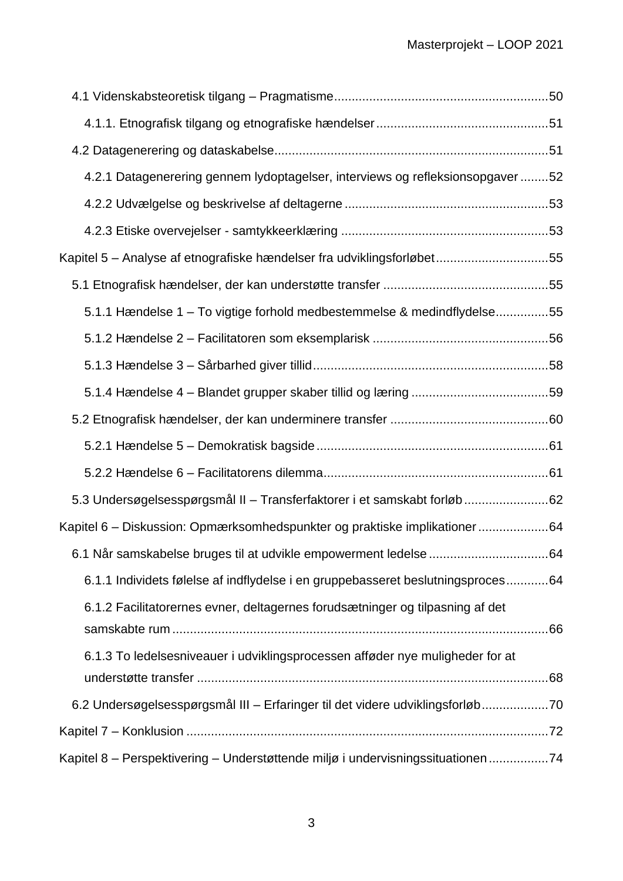| 4.2.1 Datagenerering gennem lydoptagelser, interviews og refleksionsopgaver52   |  |
|---------------------------------------------------------------------------------|--|
|                                                                                 |  |
|                                                                                 |  |
| Kapitel 5 - Analyse af etnografiske hændelser fra udviklingsforløbet55          |  |
|                                                                                 |  |
| 5.1.1 Hændelse 1 – To vigtige forhold medbestemmelse & medindflydelse55         |  |
|                                                                                 |  |
|                                                                                 |  |
|                                                                                 |  |
|                                                                                 |  |
|                                                                                 |  |
|                                                                                 |  |
| 5.3 Undersøgelsesspørgsmål II – Transferfaktorer i et samskabt forløb62         |  |
| Kapitel 6 - Diskussion: Opmærksomhedspunkter og praktiske implikationer64       |  |
|                                                                                 |  |
| 6.1.1 Individets følelse af indflydelse i en gruppebasseret beslutningsproces64 |  |
| 6.1.2 Facilitatorernes evner, deltagernes forudsætninger og tilpasning af det   |  |
|                                                                                 |  |
| 6.1.3 To ledelsesniveauer i udviklingsprocessen afføder nye muligheder for at   |  |
| 6.2 Undersøgelsesspørgsmål III - Erfaringer til det videre udviklingsforløb70   |  |
|                                                                                 |  |
| Kapitel 8 - Perspektivering - Understøttende miljø i undervisningssituationen74 |  |
|                                                                                 |  |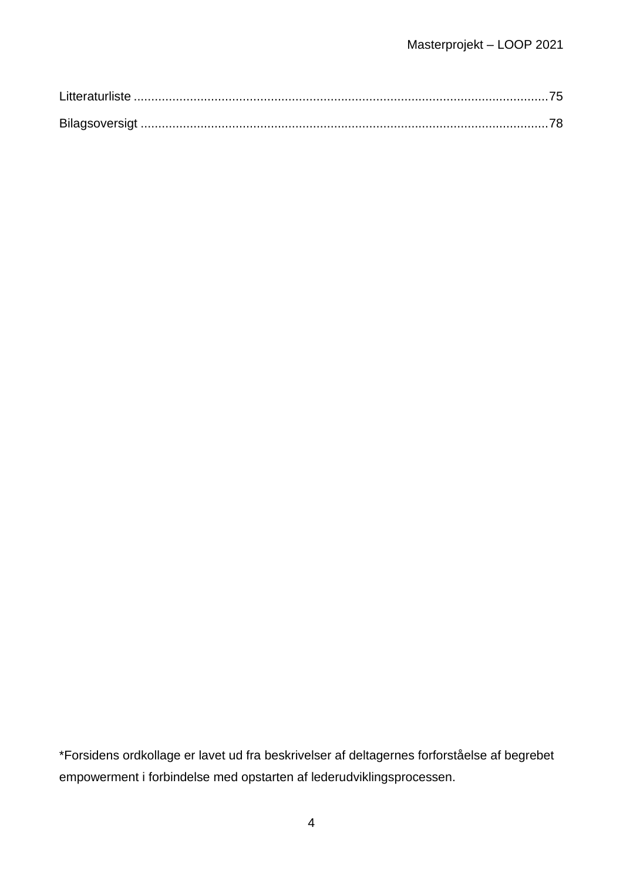\*Forsidens ordkollage er lavet ud fra beskrivelser af deltagernes forforståelse af begrebet empowerment i forbindelse med opstarten af lederudviklingsprocessen.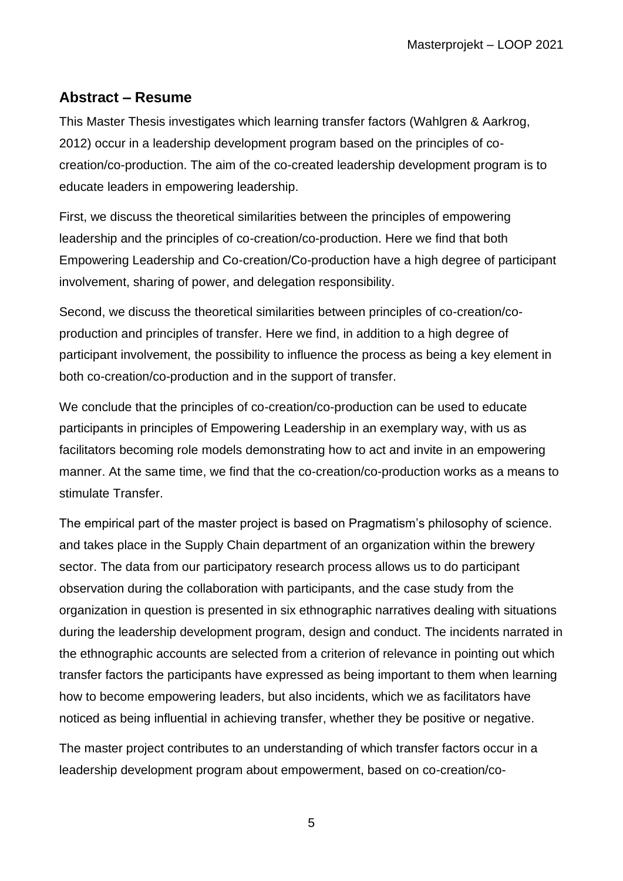# <span id="page-4-0"></span>**Abstract – Resume**

This Master Thesis investigates which learning transfer factors (Wahlgren & Aarkrog, 2012) occur in a leadership development program based on the principles of cocreation/co-production. The aim of the co-created leadership development program is to educate leaders in empowering leadership.

First, we discuss the theoretical similarities between the principles of empowering leadership and the principles of co-creation/co-production. Here we find that both Empowering Leadership and Co-creation/Co-production have a high degree of participant involvement, sharing of power, and delegation responsibility.

Second, we discuss the theoretical similarities between principles of co-creation/coproduction and principles of transfer. Here we find, in addition to a high degree of participant involvement, the possibility to influence the process as being a key element in both co-creation/co-production and in the support of transfer.

We conclude that the principles of co-creation/co-production can be used to educate participants in principles of Empowering Leadership in an exemplary way, with us as facilitators becoming role models demonstrating how to act and invite in an empowering manner. At the same time, we find that the co-creation/co-production works as a means to stimulate Transfer.

The empirical part of the master project is based on Pragmatism's philosophy of science. and takes place in the Supply Chain department of an organization within the brewery sector. The data from our participatory research process allows us to do participant observation during the collaboration with participants, and the case study from the organization in question is presented in six ethnographic narratives dealing with situations during the leadership development program, design and conduct. The incidents narrated in the ethnographic accounts are selected from a criterion of relevance in pointing out which transfer factors the participants have expressed as being important to them when learning how to become empowering leaders, but also incidents, which we as facilitators have noticed as being influential in achieving transfer, whether they be positive or negative.

The master project contributes to an understanding of which transfer factors occur in a leadership development program about empowerment, based on co-creation/co-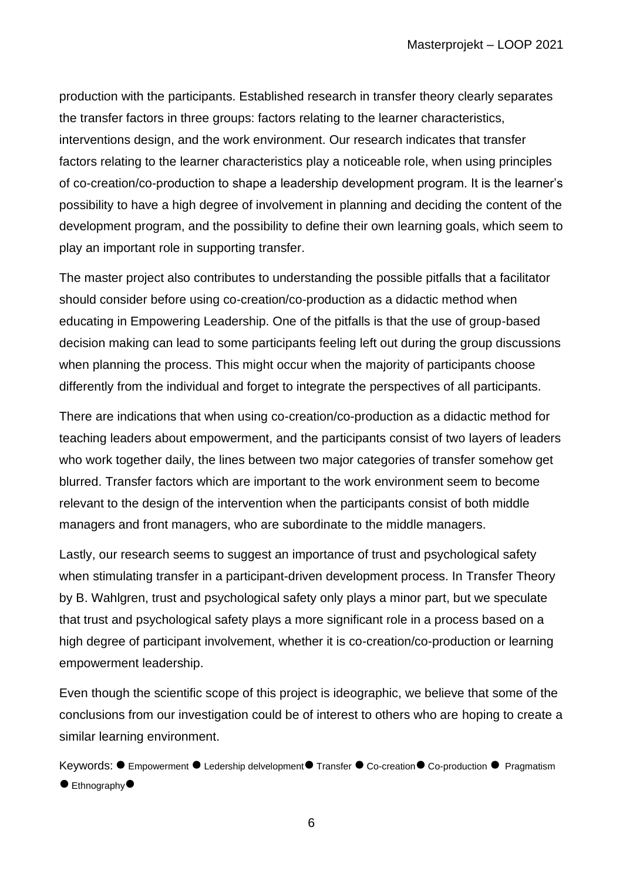production with the participants. Established research in transfer theory clearly separates the transfer factors in three groups: factors relating to the learner characteristics, interventions design, and the work environment. Our research indicates that transfer factors relating to the learner characteristics play a noticeable role, when using principles of co-creation/co-production to shape a leadership development program. It is the learner's possibility to have a high degree of involvement in planning and deciding the content of the development program, and the possibility to define their own learning goals, which seem to play an important role in supporting transfer.

The master project also contributes to understanding the possible pitfalls that a facilitator should consider before using co-creation/co-production as a didactic method when educating in Empowering Leadership. One of the pitfalls is that the use of group-based decision making can lead to some participants feeling left out during the group discussions when planning the process. This might occur when the majority of participants choose differently from the individual and forget to integrate the perspectives of all participants.

There are indications that when using co-creation/co-production as a didactic method for teaching leaders about empowerment, and the participants consist of two layers of leaders who work together daily, the lines between two major categories of transfer somehow get blurred. Transfer factors which are important to the work environment seem to become relevant to the design of the intervention when the participants consist of both middle managers and front managers, who are subordinate to the middle managers.

Lastly, our research seems to suggest an importance of trust and psychological safety when stimulating transfer in a participant-driven development process. In Transfer Theory by B. Wahlgren, trust and psychological safety only plays a minor part, but we speculate that trust and psychological safety plays a more significant role in a process based on a high degree of participant involvement, whether it is co-creation/co-production or learning empowerment leadership.

Even though the scientific scope of this project is ideographic, we believe that some of the conclusions from our investigation could be of interest to others who are hoping to create a similar learning environment.

Keywords: ● Empowerment ● Ledership delvelopment ● Transfer ● Co-creation ● Co-production ● Pragmatism  $\bullet$  Ethnography $\bullet$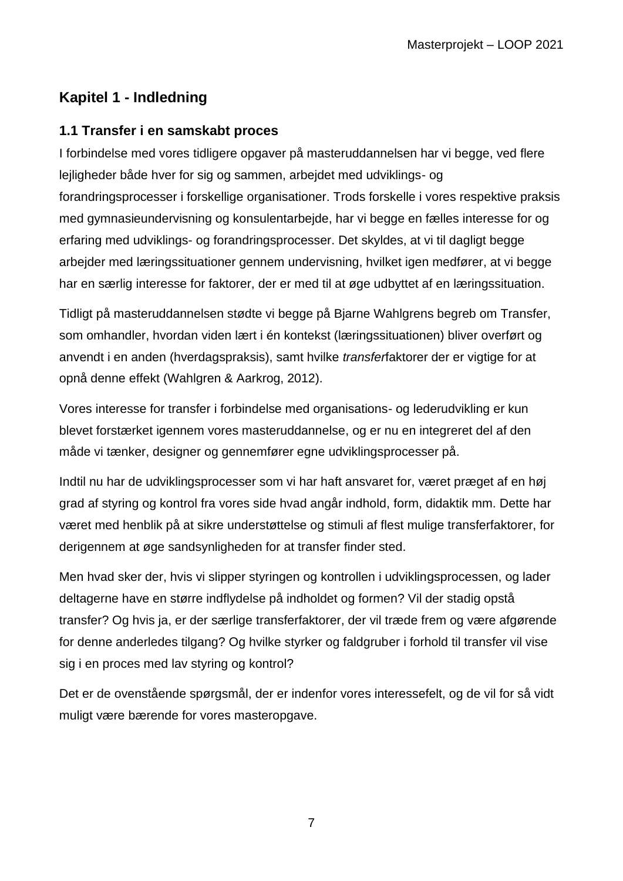# **Kapitel 1 - Indledning**

# <span id="page-6-0"></span>**1.1 Transfer i en samskabt proces**

I forbindelse med vores tidligere opgaver på masteruddannelsen har vi begge, ved flere lejligheder både hver for sig og sammen, arbejdet med udviklings- og forandringsprocesser i forskellige organisationer. Trods forskelle i vores respektive praksis med gymnasieundervisning og konsulentarbejde, har vi begge en fælles interesse for og erfaring med udviklings- og forandringsprocesser. Det skyldes, at vi til dagligt begge arbejder med læringssituationer gennem undervisning, hvilket igen medfører, at vi begge har en særlig interesse for faktorer, der er med til at øge udbyttet af en læringssituation.

Tidligt på masteruddannelsen stødte vi begge på Bjarne Wahlgrens begreb om Transfer, som omhandler, hvordan viden lært i én kontekst (læringssituationen) bliver overført og anvendt i en anden (hverdagspraksis), samt hvilke *transfer*faktorer der er vigtige for at opnå denne effekt (Wahlgren & Aarkrog, 2012).

Vores interesse for transfer i forbindelse med organisations- og lederudvikling er kun blevet forstærket igennem vores masteruddannelse, og er nu en integreret del af den måde vi tænker, designer og gennemfører egne udviklingsprocesser på.

Indtil nu har de udviklingsprocesser som vi har haft ansvaret for, været præget af en høj grad af styring og kontrol fra vores side hvad angår indhold, form, didaktik mm. Dette har været med henblik på at sikre understøttelse og stimuli af flest mulige transferfaktorer, for derigennem at øge sandsynligheden for at transfer finder sted.

Men hvad sker der, hvis vi slipper styringen og kontrollen i udviklingsprocessen, og lader deltagerne have en større indflydelse på indholdet og formen? Vil der stadig opstå transfer? Og hvis ja, er der særlige transferfaktorer, der vil træde frem og være afgørende for denne anderledes tilgang? Og hvilke styrker og faldgruber i forhold til transfer vil vise sig i en proces med lav styring og kontrol?

Det er de ovenstående spørgsmål, der er indenfor vores interessefelt, og de vil for så vidt muligt være bærende for vores masteropgave.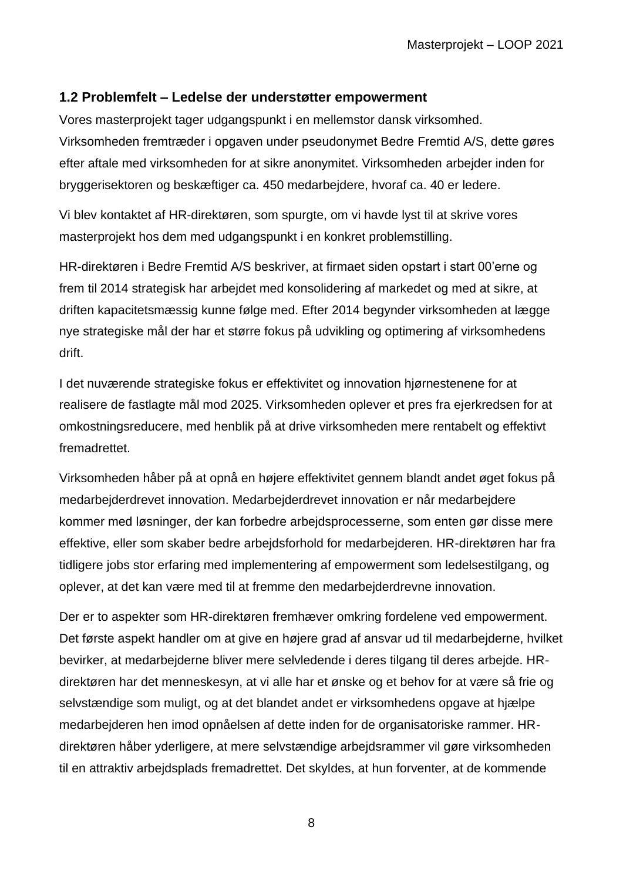## <span id="page-7-0"></span>**1.2 Problemfelt – Ledelse der understøtter empowerment**

Vores masterprojekt tager udgangspunkt i en mellemstor dansk virksomhed. Virksomheden fremtræder i opgaven under pseudonymet Bedre Fremtid A/S, dette gøres efter aftale med virksomheden for at sikre anonymitet. Virksomheden arbejder inden for bryggerisektoren og beskæftiger ca. 450 medarbejdere, hvoraf ca. 40 er ledere.

Vi blev kontaktet af HR-direktøren, som spurgte, om vi havde lyst til at skrive vores masterprojekt hos dem med udgangspunkt i en konkret problemstilling.

HR-direktøren i Bedre Fremtid A/S beskriver, at firmaet siden opstart i start 00'erne og frem til 2014 strategisk har arbejdet med konsolidering af markedet og med at sikre, at driften kapacitetsmæssig kunne følge med. Efter 2014 begynder virksomheden at lægge nye strategiske mål der har et større fokus på udvikling og optimering af virksomhedens drift.

I det nuværende strategiske fokus er effektivitet og innovation hjørnestenene for at realisere de fastlagte mål mod 2025. Virksomheden oplever et pres fra ejerkredsen for at omkostningsreducere, med henblik på at drive virksomheden mere rentabelt og effektivt fremadrettet.

Virksomheden håber på at opnå en højere effektivitet gennem blandt andet øget fokus på medarbejderdrevet innovation. Medarbejderdrevet innovation er når medarbejdere kommer med løsninger, der kan forbedre arbejdsprocesserne, som enten gør disse mere effektive, eller som skaber bedre arbejdsforhold for medarbejderen. HR-direktøren har fra tidligere jobs stor erfaring med implementering af empowerment som ledelsestilgang, og oplever, at det kan være med til at fremme den medarbejderdrevne innovation.

Der er to aspekter som HR-direktøren fremhæver omkring fordelene ved empowerment. Det første aspekt handler om at give en højere grad af ansvar ud til medarbejderne, hvilket bevirker, at medarbejderne bliver mere selvledende i deres tilgang til deres arbejde. HRdirektøren har det menneskesyn, at vi alle har et ønske og et behov for at være så frie og selvstændige som muligt, og at det blandet andet er virksomhedens opgave at hjælpe medarbejderen hen imod opnåelsen af dette inden for de organisatoriske rammer. HRdirektøren håber yderligere, at mere selvstændige arbejdsrammer vil gøre virksomheden til en attraktiv arbejdsplads fremadrettet. Det skyldes, at hun forventer, at de kommende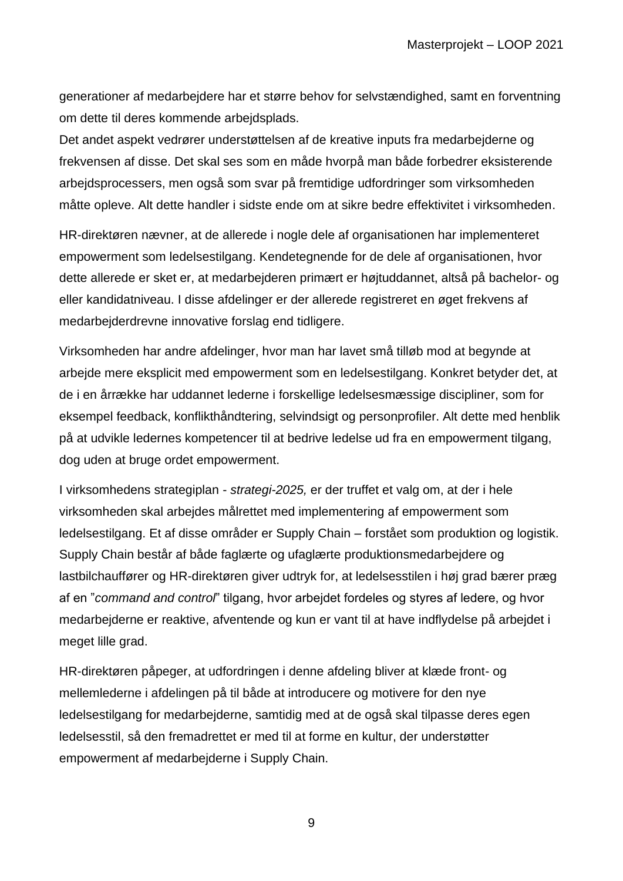generationer af medarbejdere har et større behov for selvstændighed, samt en forventning om dette til deres kommende arbejdsplads.

Det andet aspekt vedrører understøttelsen af de kreative inputs fra medarbejderne og frekvensen af disse. Det skal ses som en måde hvorpå man både forbedrer eksisterende arbejdsprocessers, men også som svar på fremtidige udfordringer som virksomheden måtte opleve. Alt dette handler i sidste ende om at sikre bedre effektivitet i virksomheden.

HR-direktøren nævner, at de allerede i nogle dele af organisationen har implementeret empowerment som ledelsestilgang. Kendetegnende for de dele af organisationen, hvor dette allerede er sket er, at medarbejderen primært er højtuddannet, altså på bachelor- og eller kandidatniveau. I disse afdelinger er der allerede registreret en øget frekvens af medarbejderdrevne innovative forslag end tidligere.

Virksomheden har andre afdelinger, hvor man har lavet små tilløb mod at begynde at arbejde mere eksplicit med empowerment som en ledelsestilgang. Konkret betyder det, at de i en årrække har uddannet lederne i forskellige ledelsesmæssige discipliner, som for eksempel feedback, konflikthåndtering, selvindsigt og personprofiler. Alt dette med henblik på at udvikle ledernes kompetencer til at bedrive ledelse ud fra en empowerment tilgang, dog uden at bruge ordet empowerment.

I virksomhedens strategiplan - *strategi-2025,* er der truffet et valg om, at der i hele virksomheden skal arbejdes målrettet med implementering af empowerment som ledelsestilgang. Et af disse områder er Supply Chain – forstået som produktion og logistik. Supply Chain består af både faglærte og ufaglærte produktionsmedarbejdere og lastbilchauffører og HR-direktøren giver udtryk for, at ledelsesstilen i høj grad bærer præg af en "*command and control*" tilgang, hvor arbejdet fordeles og styres af ledere, og hvor medarbejderne er reaktive, afventende og kun er vant til at have indflydelse på arbejdet i meget lille grad.

HR-direktøren påpeger, at udfordringen i denne afdeling bliver at klæde front- og mellemlederne i afdelingen på til både at introducere og motivere for den nye ledelsestilgang for medarbejderne, samtidig med at de også skal tilpasse deres egen ledelsesstil, så den fremadrettet er med til at forme en kultur, der understøtter empowerment af medarbejderne i Supply Chain.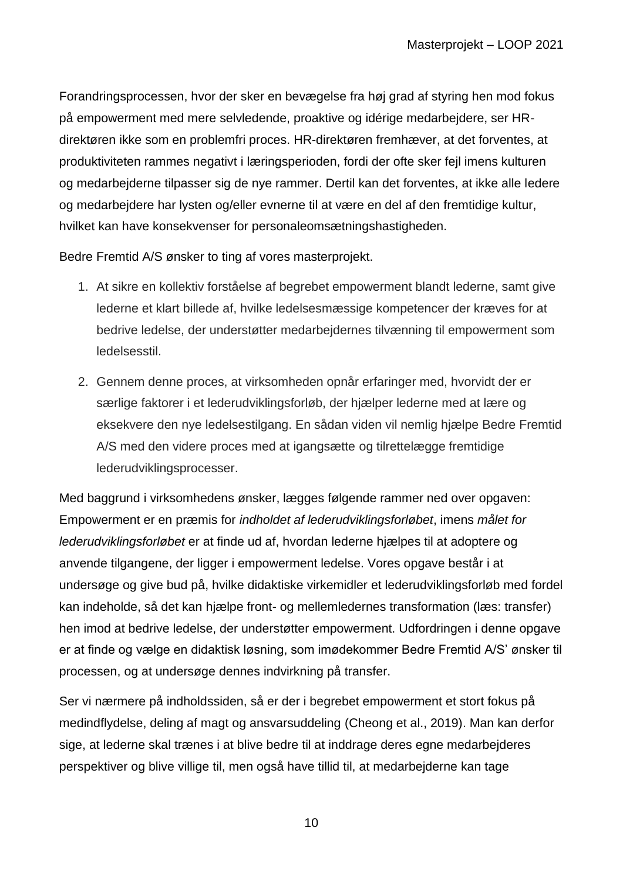Forandringsprocessen, hvor der sker en bevægelse fra høj grad af styring hen mod fokus på empowerment med mere selvledende, proaktive og idérige medarbejdere, ser HRdirektøren ikke som en problemfri proces. HR-direktøren fremhæver, at det forventes, at produktiviteten rammes negativt i læringsperioden, fordi der ofte sker fejl imens kulturen og medarbejderne tilpasser sig de nye rammer. Dertil kan det forventes, at ikke alle ledere og medarbejdere har lysten og/eller evnerne til at være en del af den fremtidige kultur, hvilket kan have konsekvenser for personaleomsætningshastigheden.

Bedre Fremtid A/S ønsker to ting af vores masterprojekt.

- 1. At sikre en kollektiv forståelse af begrebet empowerment blandt lederne, samt give lederne et klart billede af, hvilke ledelsesmæssige kompetencer der kræves for at bedrive ledelse, der understøtter medarbejdernes tilvænning til empowerment som ledelsesstil.
- 2. Gennem denne proces, at virksomheden opnår erfaringer med, hvorvidt der er særlige faktorer i et lederudviklingsforløb, der hjælper lederne med at lære og eksekvere den nye ledelsestilgang. En sådan viden vil nemlig hjælpe Bedre Fremtid A/S med den videre proces med at igangsætte og tilrettelægge fremtidige lederudviklingsprocesser.

Med baggrund i virksomhedens ønsker, lægges følgende rammer ned over opgaven: Empowerment er en præmis for *indholdet af lederudviklingsforløbet*, imens *målet for lederudviklingsforløbet* er at finde ud af, hvordan lederne hjælpes til at adoptere og anvende tilgangene, der ligger i empowerment ledelse. Vores opgave består i at undersøge og give bud på, hvilke didaktiske virkemidler et lederudviklingsforløb med fordel kan indeholde, så det kan hjælpe front- og mellemledernes transformation (læs: transfer) hen imod at bedrive ledelse, der understøtter empowerment. Udfordringen i denne opgave er at finde og vælge en didaktisk løsning, som imødekommer Bedre Fremtid A/S' ønsker til processen, og at undersøge dennes indvirkning på transfer.

Ser vi nærmere på indholdssiden, så er der i begrebet empowerment et stort fokus på medindflydelse, deling af magt og ansvarsuddeling (Cheong et al., 2019). Man kan derfor sige, at lederne skal trænes i at blive bedre til at inddrage deres egne medarbejderes perspektiver og blive villige til, men også have tillid til, at medarbejderne kan tage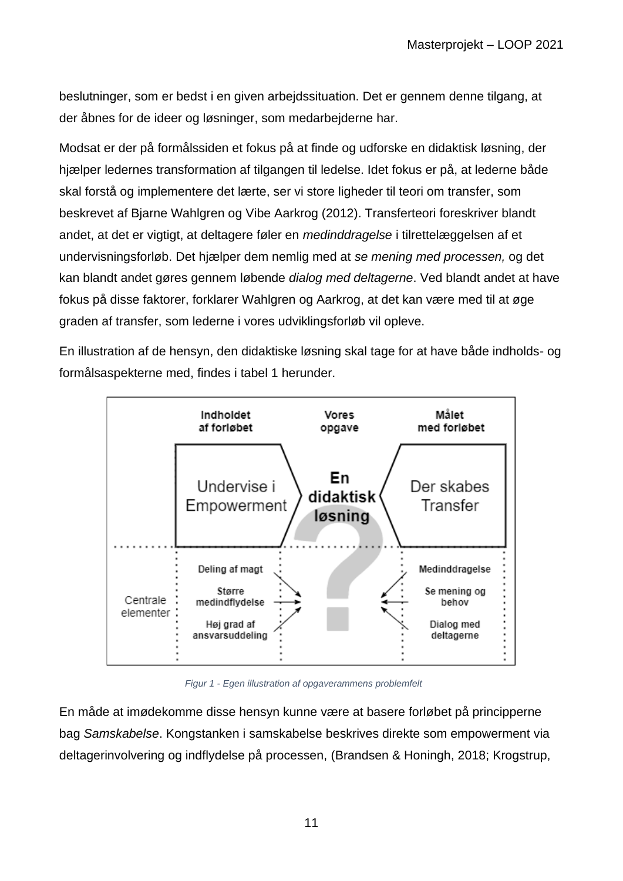beslutninger, som er bedst i en given arbejdssituation. Det er gennem denne tilgang, at der åbnes for de ideer og løsninger, som medarbejderne har.

Modsat er der på formålssiden et fokus på at finde og udforske en didaktisk løsning, der hjælper ledernes transformation af tilgangen til ledelse. Idet fokus er på, at lederne både skal forstå og implementere det lærte, ser vi store ligheder til teori om transfer, som beskrevet af Bjarne Wahlgren og Vibe Aarkrog (2012). Transferteori foreskriver blandt andet, at det er vigtigt, at deltagere føler en *medinddragelse* i tilrettelæggelsen af et undervisningsforløb. Det hjælper dem nemlig med at *se mening med processen,* og det kan blandt andet gøres gennem løbende *dialog med deltagerne*. Ved blandt andet at have fokus på disse faktorer, forklarer Wahlgren og Aarkrog, at det kan være med til at øge graden af transfer, som lederne i vores udviklingsforløb vil opleve.

En illustration af de hensyn, den didaktiske løsning skal tage for at have både indholds- og formålsaspekterne med, findes i tabel 1 herunder.



*Figur 1 - Egen illustration af opgaverammens problemfelt*

En måde at imødekomme disse hensyn kunne være at basere forløbet på principperne bag *Samskabelse*. Kongstanken i samskabelse beskrives direkte som empowerment via deltagerinvolvering og indflydelse på processen, (Brandsen & Honingh, 2018; Krogstrup,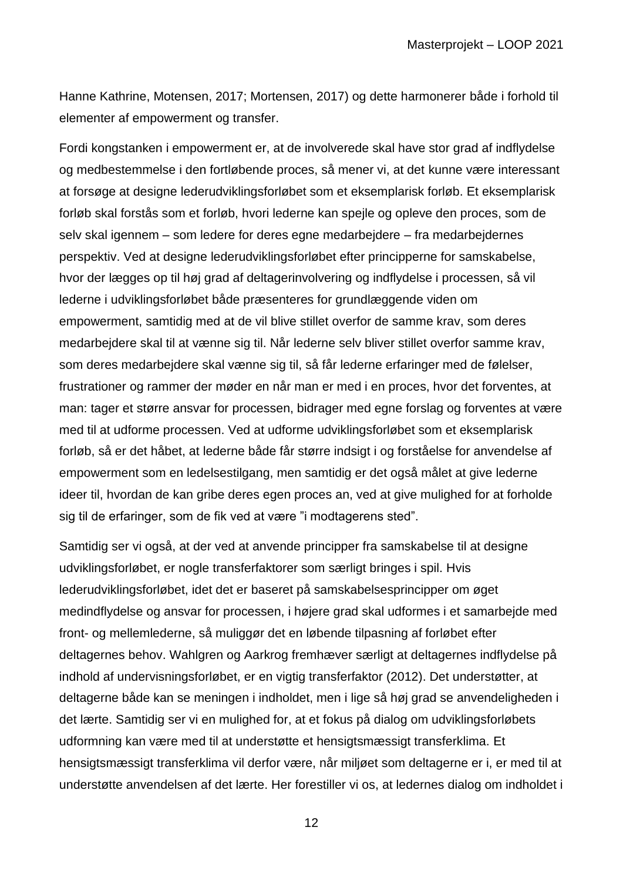Hanne Kathrine, Motensen, 2017; Mortensen, 2017) og dette harmonerer både i forhold til elementer af empowerment og transfer.

Fordi kongstanken i empowerment er, at de involverede skal have stor grad af indflydelse og medbestemmelse i den fortløbende proces, så mener vi, at det kunne være interessant at forsøge at designe lederudviklingsforløbet som et eksemplarisk forløb. Et eksemplarisk forløb skal forstås som et forløb, hvori lederne kan spejle og opleve den proces, som de selv skal igennem – som ledere for deres egne medarbejdere – fra medarbejdernes perspektiv. Ved at designe lederudviklingsforløbet efter principperne for samskabelse, hvor der lægges op til høj grad af deltagerinvolvering og indflydelse i processen, så vil lederne i udviklingsforløbet både præsenteres for grundlæggende viden om empowerment, samtidig med at de vil blive stillet overfor de samme krav, som deres medarbejdere skal til at vænne sig til. Når lederne selv bliver stillet overfor samme krav, som deres medarbejdere skal vænne sig til, så får lederne erfaringer med de følelser, frustrationer og rammer der møder en når man er med i en proces, hvor det forventes, at man: tager et større ansvar for processen, bidrager med egne forslag og forventes at være med til at udforme processen. Ved at udforme udviklingsforløbet som et eksemplarisk forløb, så er det håbet, at lederne både får større indsigt i og forståelse for anvendelse af empowerment som en ledelsestilgang, men samtidig er det også målet at give lederne ideer til, hvordan de kan gribe deres egen proces an, ved at give mulighed for at forholde sig til de erfaringer, som de fik ved at være "i modtagerens sted".

Samtidig ser vi også, at der ved at anvende principper fra samskabelse til at designe udviklingsforløbet, er nogle transferfaktorer som særligt bringes i spil. Hvis lederudviklingsforløbet, idet det er baseret på samskabelsesprincipper om øget medindflydelse og ansvar for processen, i højere grad skal udformes i et samarbejde med front- og mellemlederne, så muliggør det en løbende tilpasning af forløbet efter deltagernes behov. Wahlgren og Aarkrog fremhæver særligt at deltagernes indflydelse på indhold af undervisningsforløbet, er en vigtig transferfaktor (2012). Det understøtter, at deltagerne både kan se meningen i indholdet, men i lige så høj grad se anvendeligheden i det lærte. Samtidig ser vi en mulighed for, at et fokus på dialog om udviklingsforløbets udformning kan være med til at understøtte et hensigtsmæssigt transferklima. Et hensigtsmæssigt transferklima vil derfor være, når miljøet som deltagerne er i, er med til at understøtte anvendelsen af det lærte. Her forestiller vi os, at ledernes dialog om indholdet i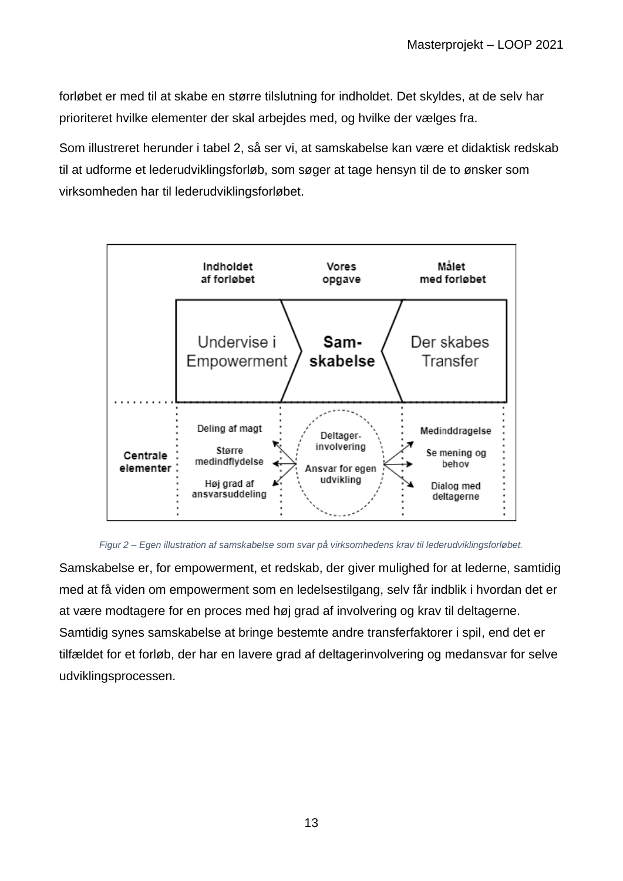forløbet er med til at skabe en større tilslutning for indholdet. Det skyldes, at de selv har prioriteret hvilke elementer der skal arbejdes med, og hvilke der vælges fra.

Som illustreret herunder i tabel 2, så ser vi, at samskabelse kan være et didaktisk redskab til at udforme et lederudviklingsforløb, som søger at tage hensyn til de to ønsker som virksomheden har til lederudviklingsforløbet.



#### *Figur 2 – Egen illustration af samskabelse som svar på virksomhedens krav til lederudviklingsforløbet.*

Samskabelse er, for empowerment, et redskab, der giver mulighed for at lederne, samtidig med at få viden om empowerment som en ledelsestilgang, selv får indblik i hvordan det er at være modtagere for en proces med høj grad af involvering og krav til deltagerne. Samtidig synes samskabelse at bringe bestemte andre transferfaktorer i spil, end det er tilfældet for et forløb, der har en lavere grad af deltagerinvolvering og medansvar for selve udviklingsprocessen.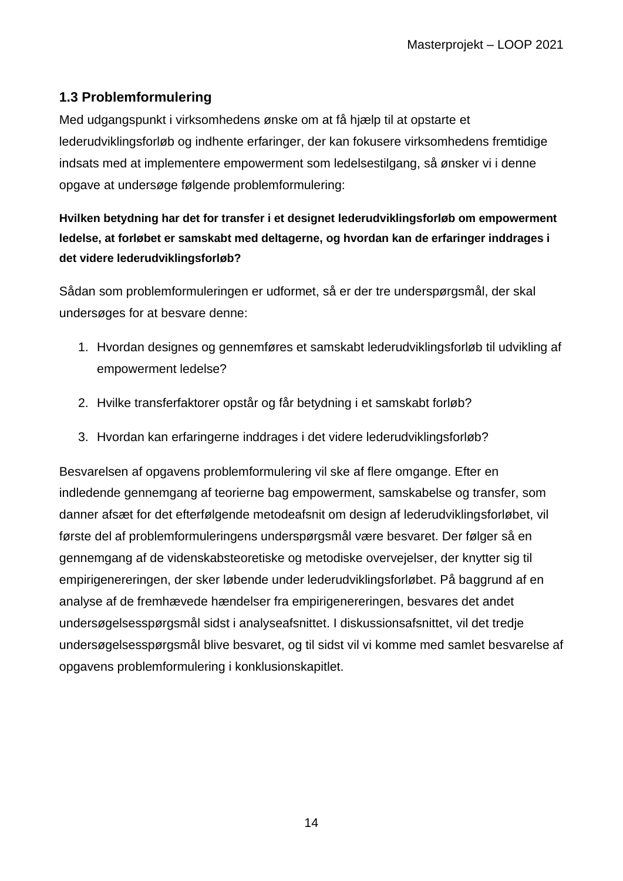# <span id="page-13-0"></span>**1.3 Problemformulering**

Med udgangspunkt i virksomhedens ønske om at få hjælp til at opstarte et lederudviklingsforløb og indhente erfaringer, der kan fokusere virksomhedens fremtidige indsats med at implementere empowerment som ledelsestilgang, så ønsker vi i denne opgave at undersøge følgende problemformulering:

# **Hvilken betydning har det for transfer i et designet lederudviklingsforløb om empowerment ledelse, at forløbet er samskabt med deltagerne, og hvordan kan de erfaringer inddrages i det videre lederudviklingsforløb?**

Sådan som problemformuleringen er udformet, så er der tre underspørgsmål, der skal undersøges for at besvare denne:

- 1. Hvordan designes og gennemføres et samskabt lederudviklingsforløb til udvikling af empowerment ledelse?
- 2. Hvilke transferfaktorer opstår og får betydning i et samskabt forløb?
- 3. Hvordan kan erfaringerne inddrages i det videre lederudviklingsforløb?

Besvarelsen af opgavens problemformulering vil ske af flere omgange. Efter en indledende gennemgang af teorierne bag empowerment, samskabelse og transfer, som danner afsæt for det efterfølgende metodeafsnit om design af lederudviklingsforløbet, vil første del af problemformuleringens underspørgsmål være besvaret. Der følger så en gennemgang af de videnskabsteoretiske og metodiske overvejelser, der knytter sig til empirigenereringen, der sker løbende under lederudviklingsforløbet. På baggrund af en analyse af de fremhævede hændelser fra empirigenereringen, besvares det andet undersøgelsesspørgsmål sidst i analyseafsnittet. I diskussionsafsnittet, vil det tredje undersøgelsesspørgsmål blive besvaret, og til sidst vil vi komme med samlet besvarelse af opgavens problemformulering i konklusionskapitlet.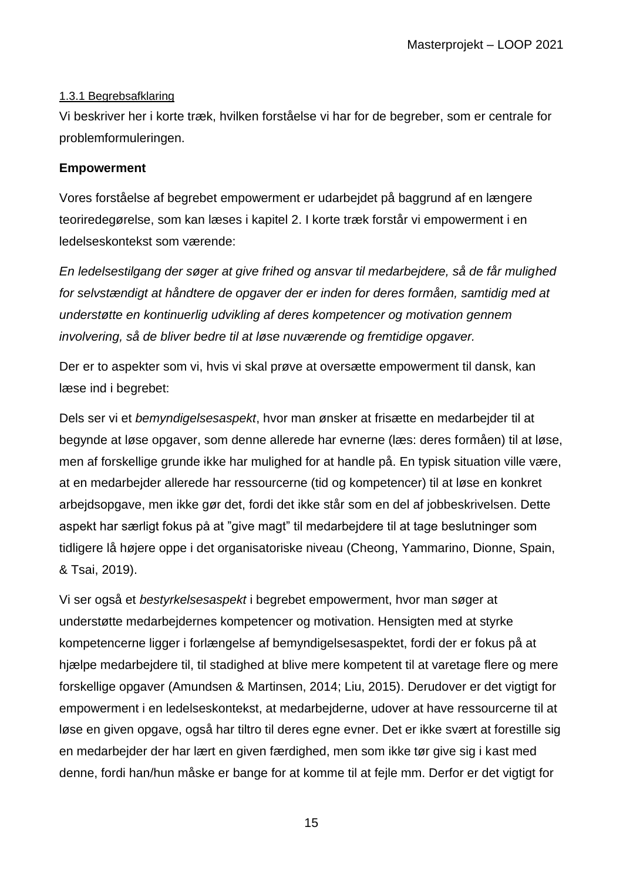## <span id="page-14-0"></span>1.3.1 Begrebsafklaring

Vi beskriver her i korte træk, hvilken forståelse vi har for de begreber, som er centrale for problemformuleringen.

## **Empowerment**

Vores forståelse af begrebet empowerment er udarbejdet på baggrund af en længere teoriredegørelse, som kan læses i kapitel 2. I korte træk forstår vi empowerment i en ledelseskontekst som værende:

*En ledelsestilgang der søger at give frihed og ansvar til medarbejdere, så de får mulighed for selvstændigt at håndtere de opgaver der er inden for deres formåen, samtidig med at understøtte en kontinuerlig udvikling af deres kompetencer og motivation gennem involvering, så de bliver bedre til at løse nuværende og fremtidige opgaver.*

Der er to aspekter som vi, hvis vi skal prøve at oversætte empowerment til dansk, kan læse ind i begrebet:

Dels ser vi et *bemyndigelsesaspekt*, hvor man ønsker at frisætte en medarbejder til at begynde at løse opgaver, som denne allerede har evnerne (læs: deres formåen) til at løse, men af forskellige grunde ikke har mulighed for at handle på. En typisk situation ville være, at en medarbejder allerede har ressourcerne (tid og kompetencer) til at løse en konkret arbejdsopgave, men ikke gør det, fordi det ikke står som en del af jobbeskrivelsen. Dette aspekt har særligt fokus på at "give magt" til medarbejdere til at tage beslutninger som tidligere lå højere oppe i det organisatoriske niveau (Cheong, Yammarino, Dionne, Spain, & Tsai, 2019).

Vi ser også et *bestyrkelsesaspekt* i begrebet empowerment, hvor man søger at understøtte medarbejdernes kompetencer og motivation. Hensigten med at styrke kompetencerne ligger i forlængelse af bemyndigelsesaspektet, fordi der er fokus på at hjælpe medarbejdere til, til stadighed at blive mere kompetent til at varetage flere og mere forskellige opgaver (Amundsen & Martinsen, 2014; Liu, 2015). Derudover er det vigtigt for empowerment i en ledelseskontekst, at medarbejderne, udover at have ressourcerne til at løse en given opgave, også har tiltro til deres egne evner. Det er ikke svært at forestille sig en medarbejder der har lært en given færdighed, men som ikke tør give sig i kast med denne, fordi han/hun måske er bange for at komme til at fejle mm. Derfor er det vigtigt for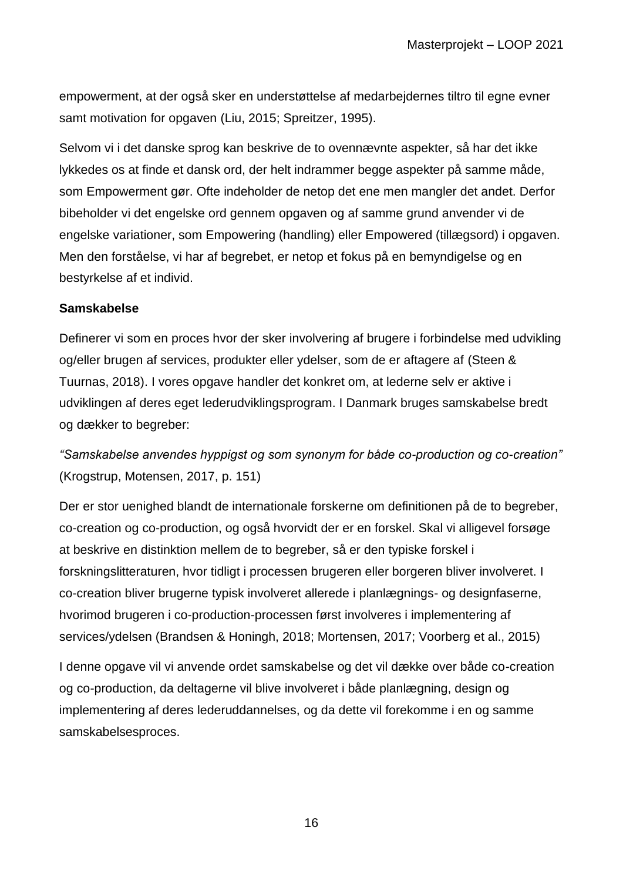empowerment, at der også sker en understøttelse af medarbejdernes tiltro til egne evner samt motivation for opgaven (Liu, 2015; Spreitzer, 1995).

Selvom vi i det danske sprog kan beskrive de to ovennævnte aspekter, så har det ikke lykkedes os at finde et dansk ord, der helt indrammer begge aspekter på samme måde, som Empowerment gør. Ofte indeholder de netop det ene men mangler det andet. Derfor bibeholder vi det engelske ord gennem opgaven og af samme grund anvender vi de engelske variationer, som Empowering (handling) eller Empowered (tillægsord) i opgaven. Men den forståelse, vi har af begrebet, er netop et fokus på en bemyndigelse og en bestyrkelse af et individ.

## **Samskabelse**

Definerer vi som en proces hvor der sker involvering af brugere i forbindelse med udvikling og/eller brugen af services, produkter eller ydelser, som de er aftagere af (Steen & Tuurnas, 2018). I vores opgave handler det konkret om, at lederne selv er aktive i udviklingen af deres eget lederudviklingsprogram. I Danmark bruges samskabelse bredt og dækker to begreber:

*"Samskabelse anvendes hyppigst og som synonym for både co-production og co-creation"*  (Krogstrup, Motensen, 2017, p. 151)

Der er stor uenighed blandt de internationale forskerne om definitionen på de to begreber, co-creation og co-production, og også hvorvidt der er en forskel. Skal vi alligevel forsøge at beskrive en distinktion mellem de to begreber, så er den typiske forskel i forskningslitteraturen, hvor tidligt i processen brugeren eller borgeren bliver involveret. I co-creation bliver brugerne typisk involveret allerede i planlægnings- og designfaserne, hvorimod brugeren i co-production-processen først involveres i implementering af services/ydelsen (Brandsen & Honingh, 2018; Mortensen, 2017; Voorberg et al., 2015)

I denne opgave vil vi anvende ordet samskabelse og det vil dække over både co-creation og co-production, da deltagerne vil blive involveret i både planlægning, design og implementering af deres lederuddannelses, og da dette vil forekomme i en og samme samskabelsesproces.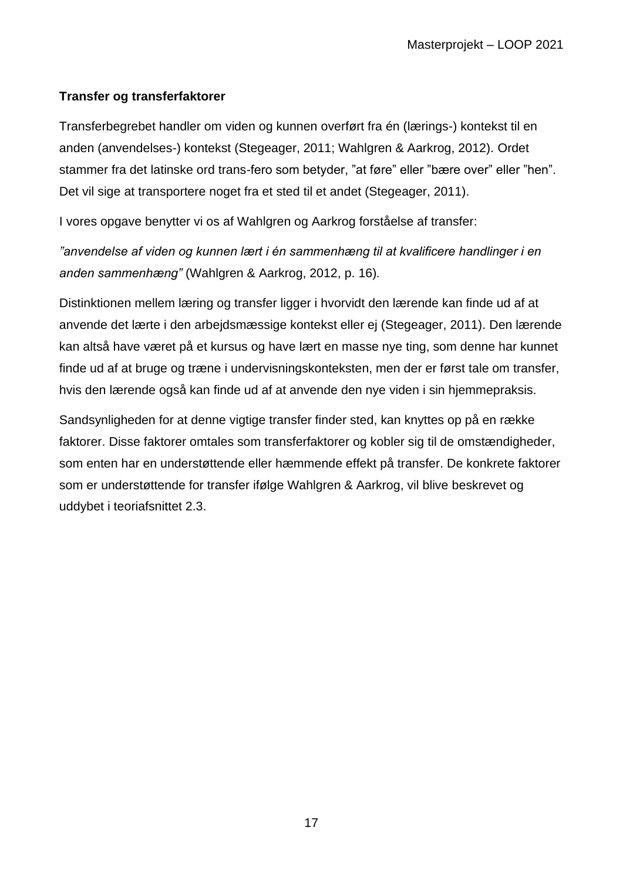## **Transfer og transferfaktorer**

Transferbegrebet handler om viden og kunnen overført fra én (lærings-) kontekst til en anden (anvendelses-) kontekst (Stegeager, 2011; Wahlgren & Aarkrog, 2012). Ordet stammer fra det latinske ord trans-fero som betyder, "at føre" eller "bære over" eller "hen". Det vil sige at transportere noget fra et sted til et andet (Stegeager, 2011).

I vores opgave benytter vi os af Wahlgren og Aarkrog forståelse af transfer:

*"anvendelse af viden og kunnen lært i én sammenhæng til at kvalificere handlinger i en anden sammenhæng"* (Wahlgren & Aarkrog, 2012, p. 16)*.*

Distinktionen mellem læring og transfer ligger i hvorvidt den lærende kan finde ud af at anvende det lærte i den arbejdsmæssige kontekst eller ej (Stegeager, 2011). Den lærende kan altså have været på et kursus og have lært en masse nye ting, som denne har kunnet finde ud af at bruge og træne i undervisningskonteksten, men der er først tale om transfer, hvis den lærende også kan finde ud af at anvende den nye viden i sin hjemmepraksis.

Sandsynligheden for at denne vigtige transfer finder sted, kan knyttes op på en række faktorer. Disse faktorer omtales som transferfaktorer og kobler sig til de omstændigheder, som enten har en understøttende eller hæmmende effekt på transfer. De konkrete faktorer som er understøttende for transfer ifølge Wahlgren & Aarkrog, vil blive beskrevet og uddybet i teoriafsnittet 2.3.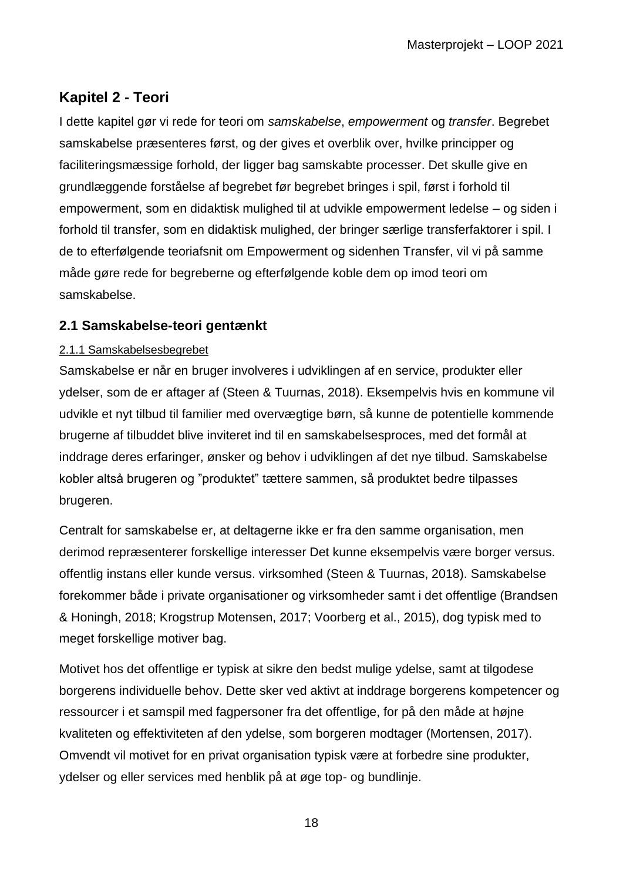# <span id="page-17-0"></span>**Kapitel 2 - Teori**

I dette kapitel gør vi rede for teori om *samskabelse*, *empowerment* og *transfer*. Begrebet samskabelse præsenteres først, og der gives et overblik over, hvilke principper og faciliteringsmæssige forhold, der ligger bag samskabte processer. Det skulle give en grundlæggende forståelse af begrebet før begrebet bringes i spil, først i forhold til empowerment, som en didaktisk mulighed til at udvikle empowerment ledelse – og siden i forhold til transfer, som en didaktisk mulighed, der bringer særlige transferfaktorer i spil. I de to efterfølgende teoriafsnit om Empowerment og sidenhen Transfer, vil vi på samme måde gøre rede for begreberne og efterfølgende koble dem op imod teori om samskabelse.

# <span id="page-17-1"></span>**2.1 Samskabelse-teori gentænkt**

## <span id="page-17-2"></span>2.1.1 Samskabelsesbegrebet

Samskabelse er når en bruger involveres i udviklingen af en service, produkter eller ydelser, som de er aftager af (Steen & Tuurnas, 2018). Eksempelvis hvis en kommune vil udvikle et nyt tilbud til familier med overvægtige børn, så kunne de potentielle kommende brugerne af tilbuddet blive inviteret ind til en samskabelsesproces, med det formål at inddrage deres erfaringer, ønsker og behov i udviklingen af det nye tilbud. Samskabelse kobler altså brugeren og "produktet" tættere sammen, så produktet bedre tilpasses brugeren.

Centralt for samskabelse er, at deltagerne ikke er fra den samme organisation, men derimod repræsenterer forskellige interesser Det kunne eksempelvis være borger versus. offentlig instans eller kunde versus. virksomhed (Steen & Tuurnas, 2018). Samskabelse forekommer både i private organisationer og virksomheder samt i det offentlige (Brandsen & Honingh, 2018; Krogstrup Motensen, 2017; Voorberg et al., 2015), dog typisk med to meget forskellige motiver bag.

Motivet hos det offentlige er typisk at sikre den bedst mulige ydelse, samt at tilgodese borgerens individuelle behov. Dette sker ved aktivt at inddrage borgerens kompetencer og ressourcer i et samspil med fagpersoner fra det offentlige, for på den måde at højne kvaliteten og effektiviteten af den ydelse, som borgeren modtager (Mortensen, 2017). Omvendt vil motivet for en privat organisation typisk være at forbedre sine produkter, ydelser og eller services med henblik på at øge top- og bundlinje.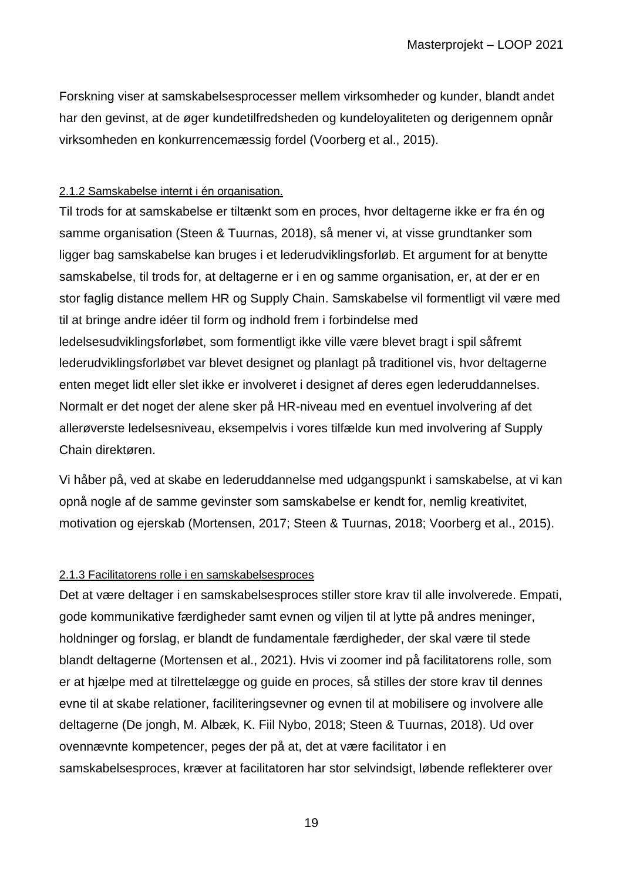Forskning viser at samskabelsesprocesser mellem virksomheder og kunder, blandt andet har den gevinst, at de øger kundetilfredsheden og kundeloyaliteten og derigennem opnår virksomheden en konkurrencemæssig fordel (Voorberg et al., 2015).

### <span id="page-18-0"></span>2.1.2 Samskabelse internt i én organisation.

Til trods for at samskabelse er tiltænkt som en proces, hvor deltagerne ikke er fra én og samme organisation (Steen & Tuurnas, 2018), så mener vi, at visse grundtanker som ligger bag samskabelse kan bruges i et lederudviklingsforløb. Et argument for at benytte samskabelse, til trods for, at deltagerne er i en og samme organisation, er, at der er en stor faglig distance mellem HR og Supply Chain. Samskabelse vil formentligt vil være med til at bringe andre idéer til form og indhold frem i forbindelse med ledelsesudviklingsforløbet, som formentligt ikke ville være blevet bragt i spil såfremt lederudviklingsforløbet var blevet designet og planlagt på traditionel vis, hvor deltagerne enten meget lidt eller slet ikke er involveret i designet af deres egen lederuddannelses. Normalt er det noget der alene sker på HR-niveau med en eventuel involvering af det allerøverste ledelsesniveau, eksempelvis i vores tilfælde kun med involvering af Supply Chain direktøren.

Vi håber på, ved at skabe en lederuddannelse med udgangspunkt i samskabelse, at vi kan opnå nogle af de samme gevinster som samskabelse er kendt for, nemlig kreativitet, motivation og ejerskab (Mortensen, 2017; Steen & Tuurnas, 2018; Voorberg et al., 2015).

## <span id="page-18-1"></span>2.1.3 Facilitatorens rolle i en samskabelsesproces

Det at være deltager i en samskabelsesproces stiller store krav til alle involverede. Empati, gode kommunikative færdigheder samt evnen og viljen til at lytte på andres meninger, holdninger og forslag, er blandt de fundamentale færdigheder, der skal være til stede blandt deltagerne (Mortensen et al., 2021). Hvis vi zoomer ind på facilitatorens rolle, som er at hjælpe med at tilrettelægge og guide en proces, så stilles der store krav til dennes evne til at skabe relationer, faciliteringsevner og evnen til at mobilisere og involvere alle deltagerne (De jongh, M. Albæk, K. Fiil Nybo, 2018; Steen & Tuurnas, 2018). Ud over ovennævnte kompetencer, peges der på at, det at være facilitator i en samskabelsesproces, kræver at facilitatoren har stor selvindsigt, løbende reflekterer over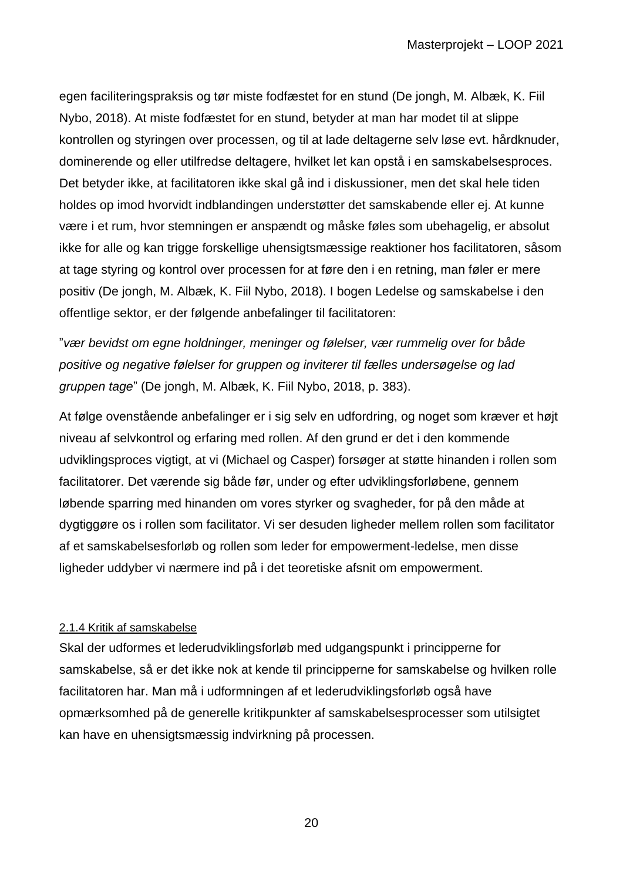egen faciliteringspraksis og tør miste fodfæstet for en stund (De jongh, M. Albæk, K. Fiil Nybo, 2018). At miste fodfæstet for en stund, betyder at man har modet til at slippe kontrollen og styringen over processen, og til at lade deltagerne selv løse evt. hårdknuder, dominerende og eller utilfredse deltagere, hvilket let kan opstå i en samskabelsesproces. Det betyder ikke, at facilitatoren ikke skal gå ind i diskussioner, men det skal hele tiden holdes op imod hvorvidt indblandingen understøtter det samskabende eller ej. At kunne være i et rum, hvor stemningen er anspændt og måske føles som ubehagelig, er absolut ikke for alle og kan trigge forskellige uhensigtsmæssige reaktioner hos facilitatoren, såsom at tage styring og kontrol over processen for at føre den i en retning, man føler er mere positiv (De jongh, M. Albæk, K. Fiil Nybo, 2018). I bogen Ledelse og samskabelse i den offentlige sektor, er der følgende anbefalinger til facilitatoren:

"*vær bevidst om egne holdninger, meninger og følelser, vær rummelig over for både positive og negative følelser for gruppen og inviterer til fælles undersøgelse og lad gruppen tage*" (De jongh, M. Albæk, K. Fiil Nybo, 2018, p. 383).

At følge ovenstående anbefalinger er i sig selv en udfordring, og noget som kræver et højt niveau af selvkontrol og erfaring med rollen. Af den grund er det i den kommende udviklingsproces vigtigt, at vi (Michael og Casper) forsøger at støtte hinanden i rollen som facilitatorer. Det værende sig både før, under og efter udviklingsforløbene, gennem løbende sparring med hinanden om vores styrker og svagheder, for på den måde at dygtiggøre os i rollen som facilitator. Vi ser desuden ligheder mellem rollen som facilitator af et samskabelsesforløb og rollen som leder for empowerment-ledelse, men disse ligheder uddyber vi nærmere ind på i det teoretiske afsnit om empowerment.

#### <span id="page-19-0"></span>2.1.4 Kritik af samskabelse

Skal der udformes et lederudviklingsforløb med udgangspunkt i principperne for samskabelse, så er det ikke nok at kende til principperne for samskabelse og hvilken rolle facilitatoren har. Man må i udformningen af et lederudviklingsforløb også have opmærksomhed på de generelle kritikpunkter af samskabelsesprocesser som utilsigtet kan have en uhensigtsmæssig indvirkning på processen.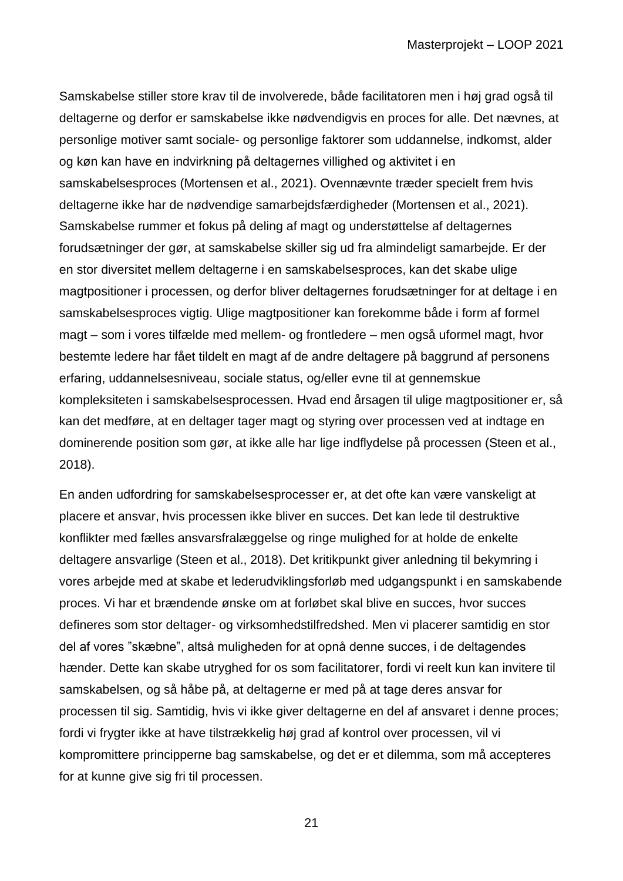Samskabelse stiller store krav til de involverede, både facilitatoren men i høj grad også til deltagerne og derfor er samskabelse ikke nødvendigvis en proces for alle. Det nævnes, at personlige motiver samt sociale- og personlige faktorer som uddannelse, indkomst, alder og køn kan have en indvirkning på deltagernes villighed og aktivitet i en samskabelsesproces (Mortensen et al., 2021). Ovennævnte træder specielt frem hvis deltagerne ikke har de nødvendige samarbejdsfærdigheder (Mortensen et al., 2021). Samskabelse rummer et fokus på deling af magt og understøttelse af deltagernes forudsætninger der gør, at samskabelse skiller sig ud fra almindeligt samarbejde. Er der en stor diversitet mellem deltagerne i en samskabelsesproces, kan det skabe ulige magtpositioner i processen, og derfor bliver deltagernes forudsætninger for at deltage i en samskabelsesproces vigtig. Ulige magtpositioner kan forekomme både i form af formel magt – som i vores tilfælde med mellem- og frontledere – men også uformel magt, hvor bestemte ledere har fået tildelt en magt af de andre deltagere på baggrund af personens erfaring, uddannelsesniveau, sociale status, og/eller evne til at gennemskue kompleksiteten i samskabelsesprocessen. Hvad end årsagen til ulige magtpositioner er, så kan det medføre, at en deltager tager magt og styring over processen ved at indtage en dominerende position som gør, at ikke alle har lige indflydelse på processen (Steen et al., 2018).

En anden udfordring for samskabelsesprocesser er, at det ofte kan være vanskeligt at placere et ansvar, hvis processen ikke bliver en succes. Det kan lede til destruktive konflikter med fælles ansvarsfralæggelse og ringe mulighed for at holde de enkelte deltagere ansvarlige (Steen et al., 2018). Det kritikpunkt giver anledning til bekymring i vores arbejde med at skabe et lederudviklingsforløb med udgangspunkt i en samskabende proces. Vi har et brændende ønske om at forløbet skal blive en succes, hvor succes defineres som stor deltager- og virksomhedstilfredshed. Men vi placerer samtidig en stor del af vores "skæbne", altså muligheden for at opnå denne succes, i de deltagendes hænder. Dette kan skabe utryghed for os som facilitatorer, fordi vi reelt kun kan invitere til samskabelsen, og så håbe på, at deltagerne er med på at tage deres ansvar for processen til sig. Samtidig, hvis vi ikke giver deltagerne en del af ansvaret i denne proces; fordi vi frygter ikke at have tilstrækkelig høj grad af kontrol over processen, vil vi kompromittere principperne bag samskabelse, og det er et dilemma, som må accepteres for at kunne give sig fri til processen.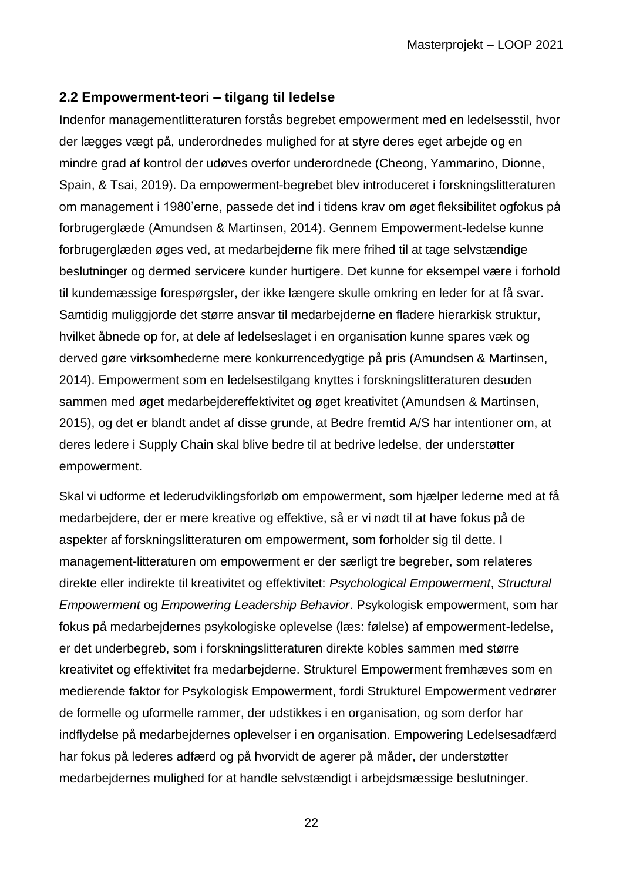## <span id="page-21-0"></span>**2.2 Empowerment-teori – tilgang til ledelse**

Indenfor managementlitteraturen forstås begrebet empowerment med en ledelsesstil, hvor der lægges vægt på, underordnedes mulighed for at styre deres eget arbejde og en mindre grad af kontrol der udøves overfor underordnede (Cheong, Yammarino, Dionne, Spain, & Tsai, 2019). Da empowerment-begrebet blev introduceret i forskningslitteraturen om management i 1980'erne, passede det ind i tidens krav om øget fleksibilitet ogfokus på forbrugerglæde (Amundsen & Martinsen, 2014). Gennem Empowerment-ledelse kunne forbrugerglæden øges ved, at medarbejderne fik mere frihed til at tage selvstændige beslutninger og dermed servicere kunder hurtigere. Det kunne for eksempel være i forhold til kundemæssige forespørgsler, der ikke længere skulle omkring en leder for at få svar. Samtidig muliggjorde det større ansvar til medarbejderne en fladere hierarkisk struktur, hvilket åbnede op for, at dele af ledelseslaget i en organisation kunne spares væk og derved gøre virksomhederne mere konkurrencedygtige på pris (Amundsen & Martinsen, 2014). Empowerment som en ledelsestilgang knyttes i forskningslitteraturen desuden sammen med øget medarbejdereffektivitet og øget kreativitet (Amundsen & Martinsen, 2015), og det er blandt andet af disse grunde, at Bedre fremtid A/S har intentioner om, at deres ledere i Supply Chain skal blive bedre til at bedrive ledelse, der understøtter empowerment.

Skal vi udforme et lederudviklingsforløb om empowerment, som hjælper lederne med at få medarbejdere, der er mere kreative og effektive, så er vi nødt til at have fokus på de aspekter af forskningslitteraturen om empowerment, som forholder sig til dette. I management-litteraturen om empowerment er der særligt tre begreber, som relateres direkte eller indirekte til kreativitet og effektivitet: *Psychological Empowerment*, *Structural Empowerment* og *Empowering Leadership Behavior*. Psykologisk empowerment, som har fokus på medarbejdernes psykologiske oplevelse (læs: følelse) af empowerment-ledelse, er det underbegreb, som i forskningslitteraturen direkte kobles sammen med større kreativitet og effektivitet fra medarbejderne. Strukturel Empowerment fremhæves som en medierende faktor for Psykologisk Empowerment, fordi Strukturel Empowerment vedrører de formelle og uformelle rammer, der udstikkes i en organisation, og som derfor har indflydelse på medarbejdernes oplevelser i en organisation. Empowering Ledelsesadfærd har fokus på lederes adfærd og på hvorvidt de agerer på måder, der understøtter medarbejdernes mulighed for at handle selvstændigt i arbejdsmæssige beslutninger.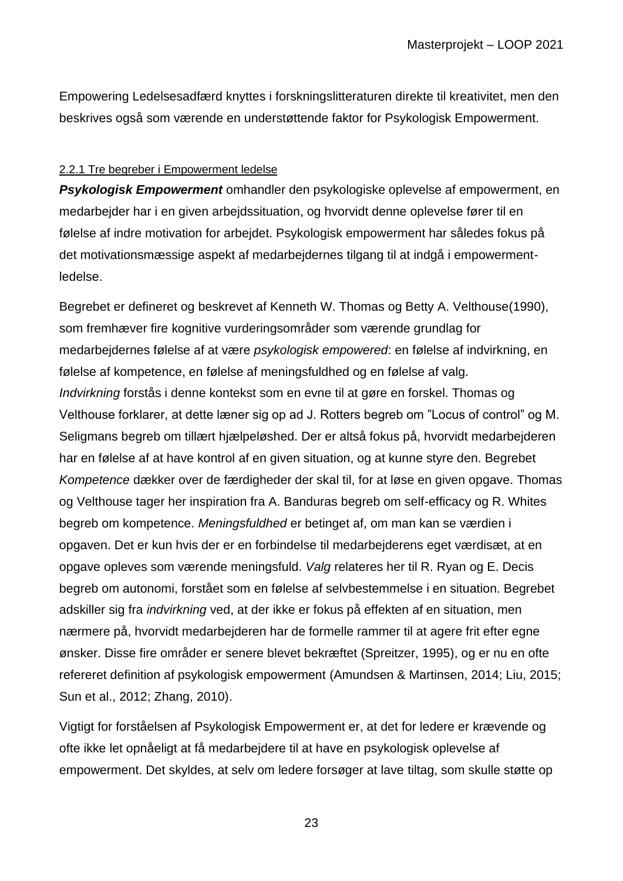Empowering Ledelsesadfærd knyttes i forskningslitteraturen direkte til kreativitet, men den beskrives også som værende en understøttende faktor for Psykologisk Empowerment.

## <span id="page-22-0"></span>2.2.1 Tre begreber i Empowerment ledelse

*Psykologisk Empowerment* omhandler den psykologiske oplevelse af empowerment, en medarbejder har i en given arbejdssituation, og hvorvidt denne oplevelse fører til en følelse af indre motivation for arbejdet. Psykologisk empowerment har således fokus på det motivationsmæssige aspekt af medarbejdernes tilgang til at indgå i empowermentledelse.

Begrebet er defineret og beskrevet af Kenneth W. Thomas og Betty A. Velthouse(1990), som fremhæver fire kognitive vurderingsområder som værende grundlag for medarbejdernes følelse af at være *psykologisk empowered*: en følelse af indvirkning, en følelse af kompetence, en følelse af meningsfuldhed og en følelse af valg. *Indvirkning* forstås i denne kontekst som en evne til at gøre en forskel. Thomas og Velthouse forklarer, at dette læner sig op ad J. Rotters begreb om "Locus of control" og M. Seligmans begreb om tillært hjælpeløshed. Der er altså fokus på, hvorvidt medarbejderen har en følelse af at have kontrol af en given situation, og at kunne styre den. Begrebet *Kompetence* dækker over de færdigheder der skal til, for at løse en given opgave. Thomas og Velthouse tager her inspiration fra A. Banduras begreb om self-efficacy og R. Whites begreb om kompetence. *Meningsfuldhed* er betinget af, om man kan se værdien i opgaven. Det er kun hvis der er en forbindelse til medarbejderens eget værdisæt, at en opgave opleves som værende meningsfuld. *Valg* relateres her til R. Ryan og E. Decis begreb om autonomi, forstået som en følelse af selvbestemmelse i en situation. Begrebet adskiller sig fra *indvirkning* ved, at der ikke er fokus på effekten af en situation, men nærmere på, hvorvidt medarbejderen har de formelle rammer til at agere frit efter egne ønsker. Disse fire områder er senere blevet bekræftet (Spreitzer, 1995), og er nu en ofte refereret definition af psykologisk empowerment (Amundsen & Martinsen, 2014; Liu, 2015; Sun et al., 2012; Zhang, 2010).

Vigtigt for forståelsen af Psykologisk Empowerment er, at det for ledere er krævende og ofte ikke let opnåeligt at få medarbejdere til at have en psykologisk oplevelse af empowerment. Det skyldes, at selv om ledere forsøger at lave tiltag, som skulle støtte op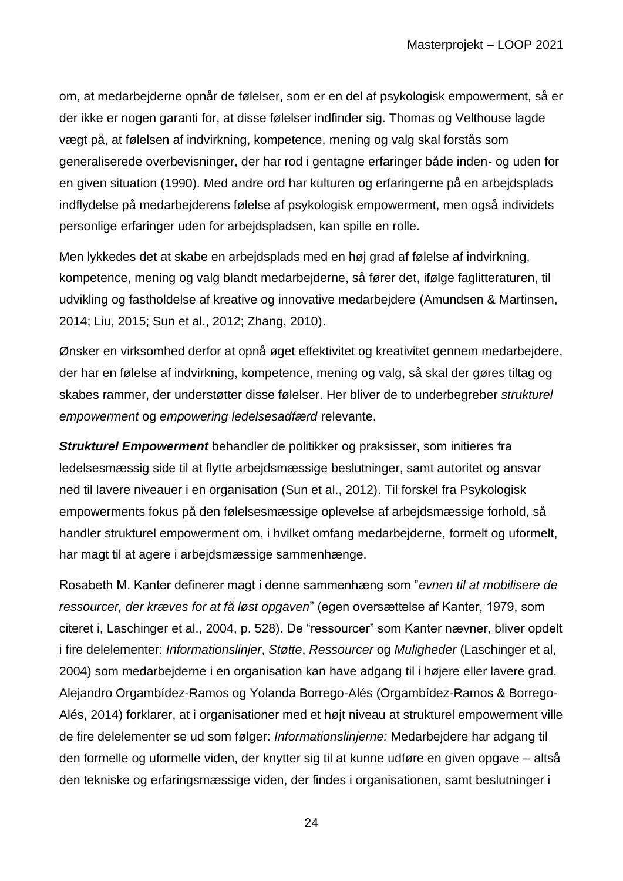om, at medarbejderne opnår de følelser, som er en del af psykologisk empowerment, så er der ikke er nogen garanti for, at disse følelser indfinder sig. Thomas og Velthouse lagde vægt på, at følelsen af indvirkning, kompetence, mening og valg skal forstås som generaliserede overbevisninger, der har rod i gentagne erfaringer både inden- og uden for en given situation (1990). Med andre ord har kulturen og erfaringerne på en arbejdsplads indflydelse på medarbejderens følelse af psykologisk empowerment, men også individets personlige erfaringer uden for arbejdspladsen, kan spille en rolle.

Men lykkedes det at skabe en arbejdsplads med en høj grad af følelse af indvirkning, kompetence, mening og valg blandt medarbejderne, så fører det, ifølge faglitteraturen, til udvikling og fastholdelse af kreative og innovative medarbejdere (Amundsen & Martinsen, 2014; Liu, 2015; Sun et al., 2012; Zhang, 2010).

Ønsker en virksomhed derfor at opnå øget effektivitet og kreativitet gennem medarbejdere, der har en følelse af indvirkning, kompetence, mening og valg, så skal der gøres tiltag og skabes rammer, der understøtter disse følelser. Her bliver de to underbegreber *strukturel empowerment* og *empowering ledelsesadfærd* relevante.

*Strukturel Empowerment* behandler de politikker og praksisser, som initieres fra ledelsesmæssig side til at flytte arbejdsmæssige beslutninger, samt autoritet og ansvar ned til lavere niveauer i en organisation (Sun et al., 2012). Til forskel fra Psykologisk empowerments fokus på den følelsesmæssige oplevelse af arbejdsmæssige forhold, så handler strukturel empowerment om, i hvilket omfang medarbejderne, formelt og uformelt, har magt til at agere i arbejdsmæssige sammenhænge.

Rosabeth M. Kanter definerer magt i denne sammenhæng som "*evnen til at mobilisere de ressourcer, der kræves for at få løst opgaven*" (egen oversættelse af Kanter, 1979, som citeret i, Laschinger et al., 2004, p. 528). De "ressourcer" som Kanter nævner, bliver opdelt i fire delelementer: *Informationslinjer*, *Støtte*, *Ressourcer* og *Muligheder* (Laschinger et al, 2004) som medarbejderne i en organisation kan have adgang til i højere eller lavere grad. Alejandro Orgambídez-Ramos og Yolanda Borrego-Alés (Orgambídez-Ramos & Borrego-Alés, 2014) forklarer, at i organisationer med et højt niveau at strukturel empowerment ville de fire delelementer se ud som følger: *Informationslinjerne:* Medarbejdere har adgang til den formelle og uformelle viden, der knytter sig til at kunne udføre en given opgave – altså den tekniske og erfaringsmæssige viden, der findes i organisationen, samt beslutninger i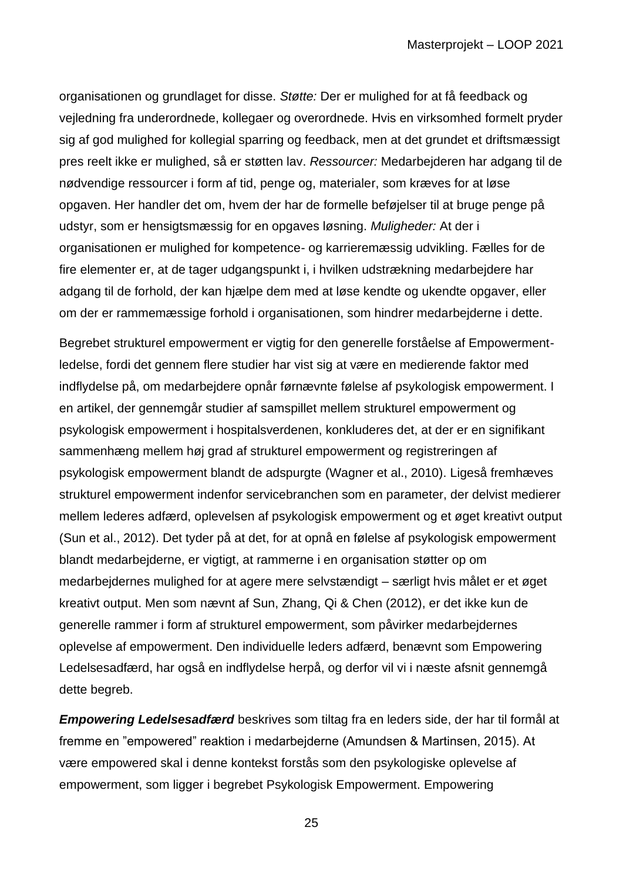organisationen og grundlaget for disse. *Støtte:* Der er mulighed for at få feedback og vejledning fra underordnede, kollegaer og overordnede. Hvis en virksomhed formelt pryder sig af god mulighed for kollegial sparring og feedback, men at det grundet et driftsmæssigt pres reelt ikke er mulighed, så er støtten lav. *Ressourcer:* Medarbejderen har adgang til de nødvendige ressourcer i form af tid, penge og, materialer, som kræves for at løse opgaven. Her handler det om, hvem der har de formelle beføjelser til at bruge penge på udstyr, som er hensigtsmæssig for en opgaves løsning. *Muligheder:* At der i organisationen er mulighed for kompetence- og karrieremæssig udvikling. Fælles for de fire elementer er, at de tager udgangspunkt i, i hvilken udstrækning medarbejdere har adgang til de forhold, der kan hjælpe dem med at løse kendte og ukendte opgaver, eller om der er rammemæssige forhold i organisationen, som hindrer medarbejderne i dette.

Begrebet strukturel empowerment er vigtig for den generelle forståelse af Empowermentledelse, fordi det gennem flere studier har vist sig at være en medierende faktor med indflydelse på, om medarbejdere opnår førnævnte følelse af psykologisk empowerment. I en artikel, der gennemgår studier af samspillet mellem strukturel empowerment og psykologisk empowerment i hospitalsverdenen, konkluderes det, at der er en signifikant sammenhæng mellem høj grad af strukturel empowerment og registreringen af psykologisk empowerment blandt de adspurgte (Wagner et al., 2010). Ligeså fremhæves strukturel empowerment indenfor servicebranchen som en parameter, der delvist medierer mellem lederes adfærd, oplevelsen af psykologisk empowerment og et øget kreativt output (Sun et al., 2012). Det tyder på at det, for at opnå en følelse af psykologisk empowerment blandt medarbejderne, er vigtigt, at rammerne i en organisation støtter op om medarbejdernes mulighed for at agere mere selvstændigt – særligt hvis målet er et øget kreativt output. Men som nævnt af Sun, Zhang, Qi & Chen (2012), er det ikke kun de generelle rammer i form af strukturel empowerment, som påvirker medarbejdernes oplevelse af empowerment. Den individuelle leders adfærd, benævnt som Empowering Ledelsesadfærd, har også en indflydelse herpå, og derfor vil vi i næste afsnit gennemgå dette begreb.

*Empowering Ledelsesadfærd* beskrives som tiltag fra en leders side, der har til formål at fremme en "empowered" reaktion i medarbejderne (Amundsen & Martinsen, 2015). At være empowered skal i denne kontekst forstås som den psykologiske oplevelse af empowerment, som ligger i begrebet Psykologisk Empowerment. Empowering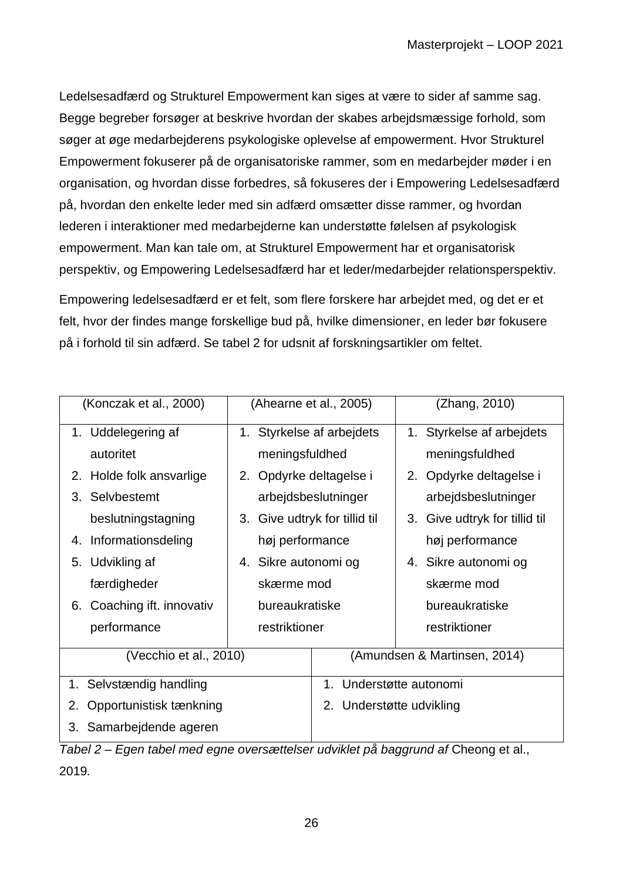Ledelsesadfærd og Strukturel Empowerment kan siges at være to sider af samme sag. Begge begreber forsøger at beskrive hvordan der skabes arbejdsmæssige forhold, som søger at øge medarbejderens psykologiske oplevelse af empowerment. Hvor Strukturel Empowerment fokuserer på de organisatoriske rammer, som en medarbejder møder i en organisation, og hvordan disse forbedres, så fokuseres der i Empowering Ledelsesadfærd på, hvordan den enkelte leder med sin adfærd omsætter disse rammer, og hvordan lederen i interaktioner med medarbejderne kan understøtte følelsen af psykologisk empowerment. Man kan tale om, at Strukturel Empowerment har et organisatorisk perspektiv, og Empowering Ledelsesadfærd har et leder/medarbejder relationsperspektiv.

Empowering ledelsesadfærd er et felt, som flere forskere har arbejdet med, og det er et felt, hvor der findes mange forskellige bud på, hvilke dimensioner, en leder bør fokusere på i forhold til sin adfærd. Se tabel 2 for udsnit af forskningsartikler om feltet.

| (Konczak et al., 2000)        | (Ahearne et al., 2005)        |                              | (Zhang, 2010)                    |
|-------------------------------|-------------------------------|------------------------------|----------------------------------|
| 1. Uddelegering af            | 1. Styrkelse af arbejdets     |                              | Styrkelse af arbejdets<br>1.     |
| autoritet                     | meningsfuldhed                |                              | meningsfuldhed                   |
| Holde folk ansvarlige<br>2.   | 2. Opdyrke deltagelse i       |                              | Opdyrke deltagelse i<br>2.       |
| 3. Selvbestemt                | arbejdsbeslutninger           |                              | arbejdsbeslutninger              |
| beslutningstagning            | 3. Give udtryk for tillid til |                              | Give udtryk for tillid til<br>3. |
| Informationsdeling<br>4.      | høj performance               |                              | høj performance                  |
| 5. Udvikling af               | 4. Sikre autonomi og          |                              | 4. Sikre autonomi og             |
| færdigheder                   | skærme mod                    |                              | skærme mod                       |
| Coaching ift. innovativ<br>6. | bureaukratiske                |                              | bureaukratiske                   |
| performance                   | restriktioner                 |                              | restriktioner                    |
| (Vecchio et al., 2010)        |                               | (Amundsen & Martinsen, 2014) |                                  |
| 1. Selvstændig handling       |                               | 1. Understøtte autonomi      |                                  |
| Opportunistisk tænkning<br>2. |                               | 2. Understøtte udvikling     |                                  |
| Samarbejdende ageren<br>3.    |                               |                              |                                  |

*Tabel 2 – Egen tabel med egne oversættelser udviklet på baggrund af Cheong et al.,* 2019*.*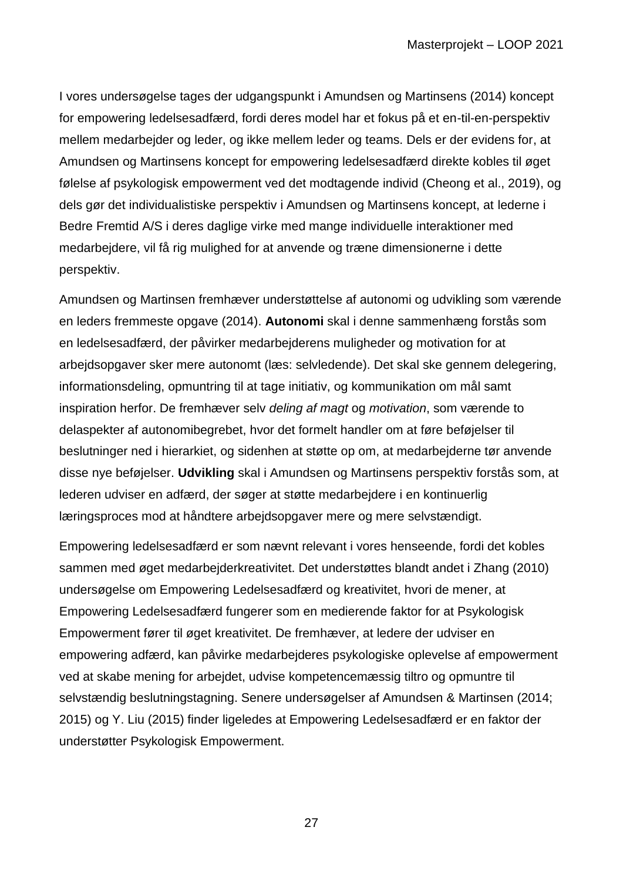I vores undersøgelse tages der udgangspunkt i Amundsen og Martinsens (2014) koncept for empowering ledelsesadfærd, fordi deres model har et fokus på et en-til-en-perspektiv mellem medarbejder og leder, og ikke mellem leder og teams. Dels er der evidens for, at Amundsen og Martinsens koncept for empowering ledelsesadfærd direkte kobles til øget følelse af psykologisk empowerment ved det modtagende individ (Cheong et al., 2019), og dels gør det individualistiske perspektiv i Amundsen og Martinsens koncept, at lederne i Bedre Fremtid A/S i deres daglige virke med mange individuelle interaktioner med medarbejdere, vil få rig mulighed for at anvende og træne dimensionerne i dette perspektiv.

Amundsen og Martinsen fremhæver understøttelse af autonomi og udvikling som værende en leders fremmeste opgave (2014). **Autonomi** skal i denne sammenhæng forstås som en ledelsesadfærd, der påvirker medarbejderens muligheder og motivation for at arbejdsopgaver sker mere autonomt (læs: selvledende). Det skal ske gennem delegering, informationsdeling, opmuntring til at tage initiativ, og kommunikation om mål samt inspiration herfor. De fremhæver selv *deling af magt* og *motivation*, som værende to delaspekter af autonomibegrebet, hvor det formelt handler om at føre beføjelser til beslutninger ned i hierarkiet, og sidenhen at støtte op om, at medarbejderne tør anvende disse nye beføjelser. **Udvikling** skal i Amundsen og Martinsens perspektiv forstås som, at lederen udviser en adfærd, der søger at støtte medarbejdere i en kontinuerlig læringsproces mod at håndtere arbejdsopgaver mere og mere selvstændigt.

Empowering ledelsesadfærd er som nævnt relevant i vores henseende, fordi det kobles sammen med øget medarbejderkreativitet. Det understøttes blandt andet i Zhang (2010) undersøgelse om Empowering Ledelsesadfærd og kreativitet, hvori de mener, at Empowering Ledelsesadfærd fungerer som en medierende faktor for at Psykologisk Empowerment fører til øget kreativitet. De fremhæver, at ledere der udviser en empowering adfærd, kan påvirke medarbejderes psykologiske oplevelse af empowerment ved at skabe mening for arbejdet, udvise kompetencemæssig tiltro og opmuntre til selvstændig beslutningstagning. Senere undersøgelser af Amundsen & Martinsen (2014; 2015) og Y. Liu (2015) finder ligeledes at Empowering Ledelsesadfærd er en faktor der understøtter Psykologisk Empowerment.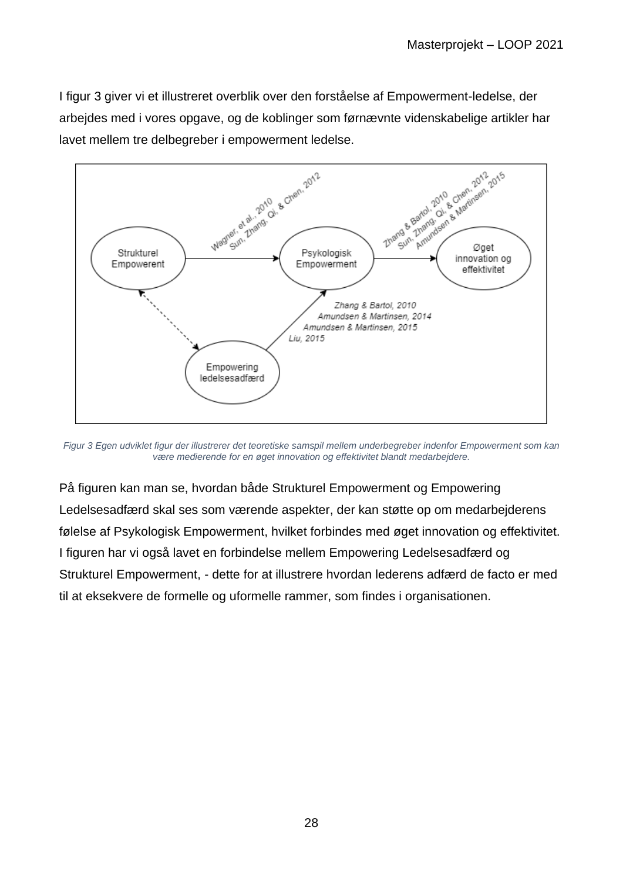I figur 3 giver vi et illustreret overblik over den forståelse af Empowerment-ledelse, der arbejdes med i vores opgave, og de koblinger som førnævnte videnskabelige artikler har lavet mellem tre delbegreber i empowerment ledelse.



*Figur 3 Egen udviklet figur der illustrerer det teoretiske samspil mellem underbegreber indenfor Empowerment som kan være medierende for en øget innovation og effektivitet blandt medarbejdere.*

På figuren kan man se, hvordan både Strukturel Empowerment og Empowering Ledelsesadfærd skal ses som værende aspekter, der kan støtte op om medarbejderens følelse af Psykologisk Empowerment, hvilket forbindes med øget innovation og effektivitet. I figuren har vi også lavet en forbindelse mellem Empowering Ledelsesadfærd og Strukturel Empowerment, - dette for at illustrere hvordan lederens adfærd de facto er med til at eksekvere de formelle og uformelle rammer, som findes i organisationen.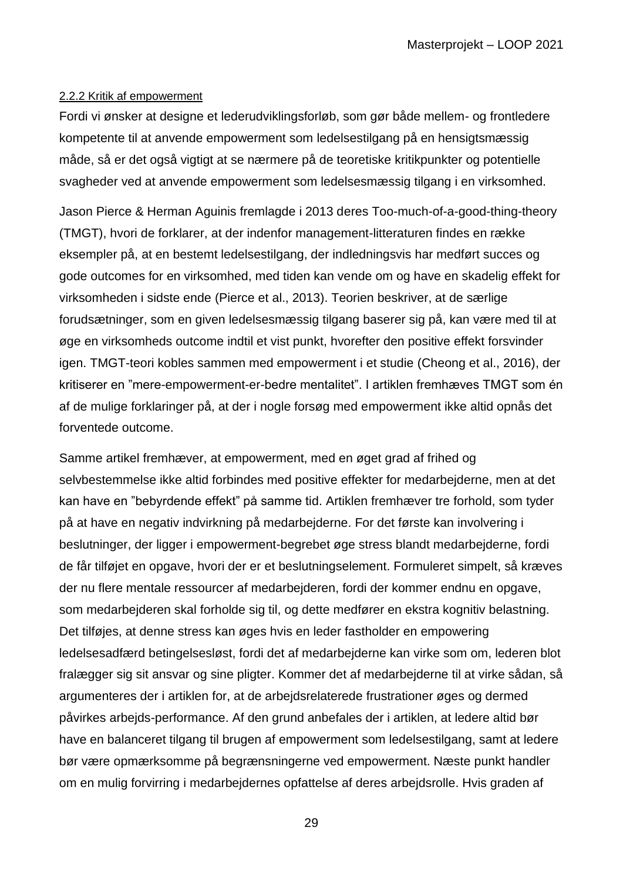#### <span id="page-28-0"></span>2.2.2 Kritik af empowerment

Fordi vi ønsker at designe et lederudviklingsforløb, som gør både mellem- og frontledere kompetente til at anvende empowerment som ledelsestilgang på en hensigtsmæssig måde, så er det også vigtigt at se nærmere på de teoretiske kritikpunkter og potentielle svagheder ved at anvende empowerment som ledelsesmæssig tilgang i en virksomhed.

Jason Pierce & Herman Aguinis fremlagde i 2013 deres Too-much-of-a-good-thing-theory (TMGT), hvori de forklarer, at der indenfor management-litteraturen findes en række eksempler på, at en bestemt ledelsestilgang, der indledningsvis har medført succes og gode outcomes for en virksomhed, med tiden kan vende om og have en skadelig effekt for virksomheden i sidste ende (Pierce et al., 2013). Teorien beskriver, at de særlige forudsætninger, som en given ledelsesmæssig tilgang baserer sig på, kan være med til at øge en virksomheds outcome indtil et vist punkt, hvorefter den positive effekt forsvinder igen. TMGT-teori kobles sammen med empowerment i et studie (Cheong et al., 2016), der kritiserer en "mere-empowerment-er-bedre mentalitet". I artiklen fremhæves TMGT som én af de mulige forklaringer på, at der i nogle forsøg med empowerment ikke altid opnås det forventede outcome.

Samme artikel fremhæver, at empowerment, med en øget grad af frihed og selvbestemmelse ikke altid forbindes med positive effekter for medarbejderne, men at det kan have en "bebyrdende effekt" på samme tid. Artiklen fremhæver tre forhold, som tyder på at have en negativ indvirkning på medarbejderne. For det første kan involvering i beslutninger, der ligger i empowerment-begrebet øge stress blandt medarbejderne, fordi de får tilføjet en opgave, hvori der er et beslutningselement. Formuleret simpelt, så kræves der nu flere mentale ressourcer af medarbejderen, fordi der kommer endnu en opgave, som medarbejderen skal forholde sig til, og dette medfører en ekstra kognitiv belastning. Det tilføjes, at denne stress kan øges hvis en leder fastholder en empowering ledelsesadfærd betingelsesløst, fordi det af medarbejderne kan virke som om, lederen blot fralægger sig sit ansvar og sine pligter. Kommer det af medarbejderne til at virke sådan, så argumenteres der i artiklen for, at de arbejdsrelaterede frustrationer øges og dermed påvirkes arbejds-performance. Af den grund anbefales der i artiklen, at ledere altid bør have en balanceret tilgang til brugen af empowerment som ledelsestilgang, samt at ledere bør være opmærksomme på begrænsningerne ved empowerment. Næste punkt handler om en mulig forvirring i medarbejdernes opfattelse af deres arbejdsrolle. Hvis graden af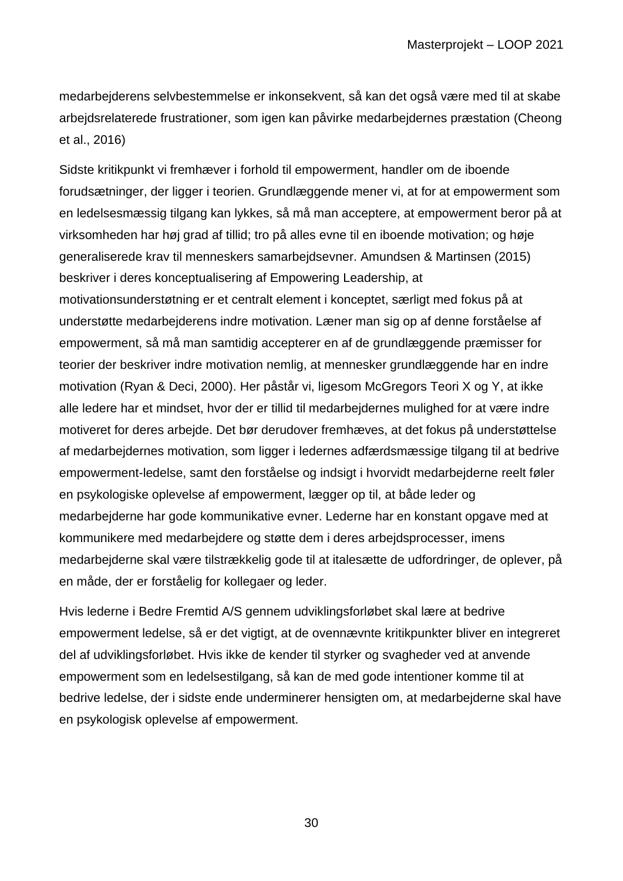medarbejderens selvbestemmelse er inkonsekvent, så kan det også være med til at skabe arbejdsrelaterede frustrationer, som igen kan påvirke medarbejdernes præstation (Cheong et al., 2016)

Sidste kritikpunkt vi fremhæver i forhold til empowerment, handler om de iboende forudsætninger, der ligger i teorien. Grundlæggende mener vi, at for at empowerment som en ledelsesmæssig tilgang kan lykkes, så må man acceptere, at empowerment beror på at virksomheden har høj grad af tillid; tro på alles evne til en iboende motivation; og høje generaliserede krav til menneskers samarbejdsevner. Amundsen & Martinsen (2015) beskriver i deres konceptualisering af Empowering Leadership, at motivationsunderstøtning er et centralt element i konceptet, særligt med fokus på at understøtte medarbejderens indre motivation. Læner man sig op af denne forståelse af empowerment, så må man samtidig accepterer en af de grundlæggende præmisser for teorier der beskriver indre motivation nemlig, at mennesker grundlæggende har en indre motivation (Ryan & Deci, 2000). Her påstår vi, ligesom McGregors Teori X og Y, at ikke alle ledere har et mindset, hvor der er tillid til medarbejdernes mulighed for at være indre motiveret for deres arbejde. Det bør derudover fremhæves, at det fokus på understøttelse af medarbejdernes motivation, som ligger i ledernes adfærdsmæssige tilgang til at bedrive empowerment-ledelse, samt den forståelse og indsigt i hvorvidt medarbejderne reelt føler en psykologiske oplevelse af empowerment, lægger op til, at både leder og medarbejderne har gode kommunikative evner. Lederne har en konstant opgave med at kommunikere med medarbejdere og støtte dem i deres arbejdsprocesser, imens medarbejderne skal være tilstrækkelig gode til at italesætte de udfordringer, de oplever, på en måde, der er forståelig for kollegaer og leder.

Hvis lederne i Bedre Fremtid A/S gennem udviklingsforløbet skal lære at bedrive empowerment ledelse, så er det vigtigt, at de ovennævnte kritikpunkter bliver en integreret del af udviklingsforløbet. Hvis ikke de kender til styrker og svagheder ved at anvende empowerment som en ledelsestilgang, så kan de med gode intentioner komme til at bedrive ledelse, der i sidste ende underminerer hensigten om, at medarbejderne skal have en psykologisk oplevelse af empowerment.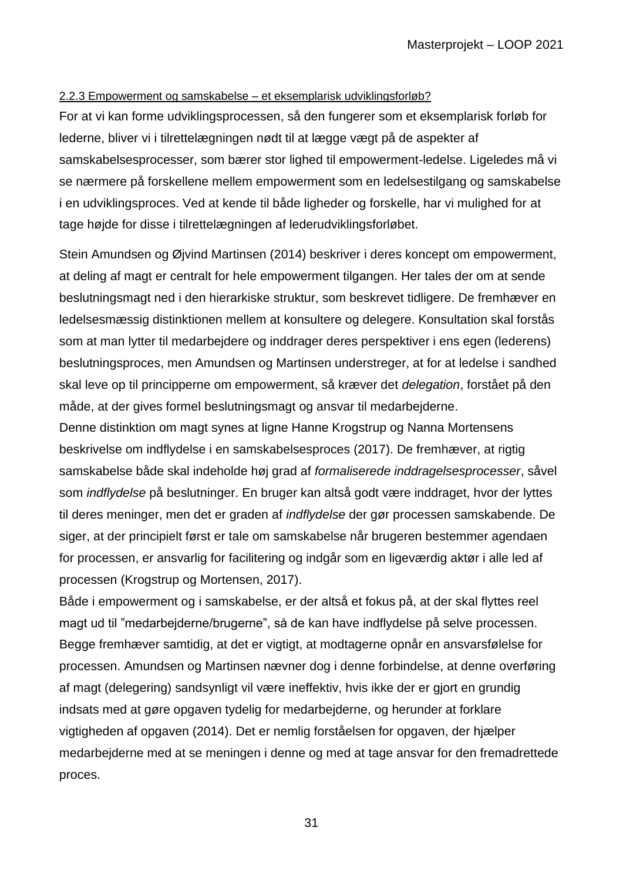### <span id="page-30-0"></span>2.2.3 Empowerment og samskabelse – et eksemplarisk udviklingsforløb?

For at vi kan forme udviklingsprocessen, så den fungerer som et eksemplarisk forløb for lederne, bliver vi i tilrettelægningen nødt til at lægge vægt på de aspekter af samskabelsesprocesser, som bærer stor lighed til empowerment-ledelse. Ligeledes må vi se nærmere på forskellene mellem empowerment som en ledelsestilgang og samskabelse i en udviklingsproces. Ved at kende til både ligheder og forskelle, har vi mulighed for at tage højde for disse i tilrettelægningen af lederudviklingsforløbet.

Stein Amundsen og Øjvind Martinsen (2014) beskriver i deres koncept om empowerment, at deling af magt er centralt for hele empowerment tilgangen. Her tales der om at sende beslutningsmagt ned i den hierarkiske struktur, som beskrevet tidligere. De fremhæver en ledelsesmæssig distinktionen mellem at konsultere og delegere. Konsultation skal forstås som at man lytter til medarbejdere og inddrager deres perspektiver i ens egen (lederens) beslutningsproces, men Amundsen og Martinsen understreger, at for at ledelse i sandhed skal leve op til principperne om empowerment, så kræver det *delegation*, forstået på den måde, at der gives formel beslutningsmagt og ansvar til medarbejderne.

Denne distinktion om magt synes at ligne Hanne Krogstrup og Nanna Mortensens beskrivelse om indflydelse i en samskabelsesproces (2017). De fremhæver, at rigtig samskabelse både skal indeholde høj grad af *formaliserede inddragelsesprocesser*, såvel som *indflydelse* på beslutninger. En bruger kan altså godt være inddraget, hvor der lyttes til deres meninger, men det er graden af *indflydelse* der gør processen samskabende. De siger, at der principielt først er tale om samskabelse når brugeren bestemmer agendaen for processen, er ansvarlig for facilitering og indgår som en ligeværdig aktør i alle led af processen (Krogstrup og Mortensen, 2017).

Både i empowerment og i samskabelse, er der altså et fokus på, at der skal flyttes reel magt ud til "medarbejderne/brugerne", så de kan have indflydelse på selve processen. Begge fremhæver samtidig, at det er vigtigt, at modtagerne opnår en ansvarsfølelse for processen. Amundsen og Martinsen nævner dog i denne forbindelse, at denne overføring af magt (delegering) sandsynligt vil være ineffektiv, hvis ikke der er gjort en grundig indsats med at gøre opgaven tydelig for medarbejderne, og herunder at forklare vigtigheden af opgaven (2014). Det er nemlig forståelsen for opgaven, der hjælper medarbejderne med at se meningen i denne og med at tage ansvar for den fremadrettede proces.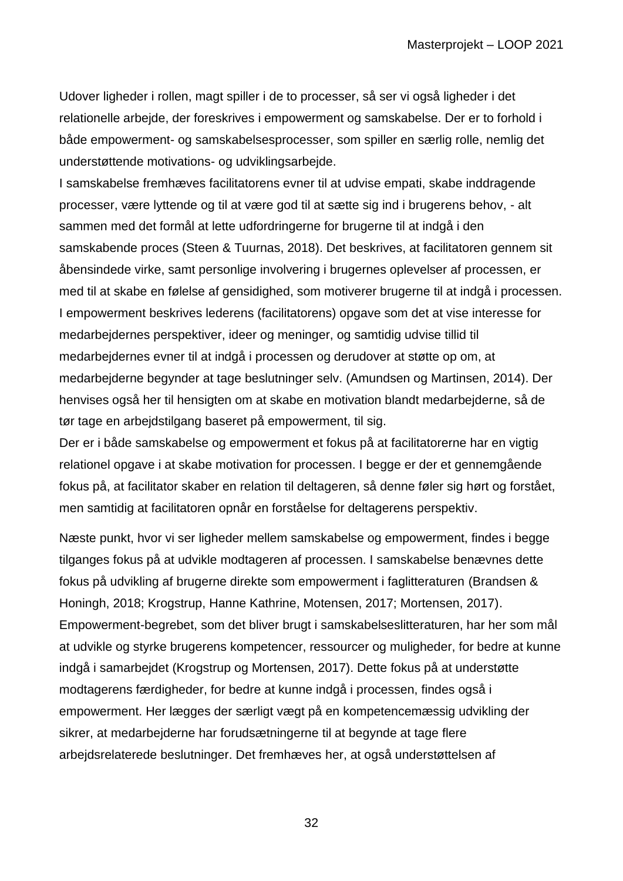Udover ligheder i rollen, magt spiller i de to processer, så ser vi også ligheder i det relationelle arbejde, der foreskrives i empowerment og samskabelse. Der er to forhold i både empowerment- og samskabelsesprocesser, som spiller en særlig rolle, nemlig det understøttende motivations- og udviklingsarbejde.

I samskabelse fremhæves facilitatorens evner til at udvise empati, skabe inddragende processer, være lyttende og til at være god til at sætte sig ind i brugerens behov, - alt sammen med det formål at lette udfordringerne for brugerne til at indgå i den samskabende proces (Steen & Tuurnas, 2018). Det beskrives, at facilitatoren gennem sit åbensindede virke, samt personlige involvering i brugernes oplevelser af processen, er med til at skabe en følelse af gensidighed, som motiverer brugerne til at indgå i processen. I empowerment beskrives lederens (facilitatorens) opgave som det at vise interesse for medarbejdernes perspektiver, ideer og meninger, og samtidig udvise tillid til medarbejdernes evner til at indgå i processen og derudover at støtte op om, at medarbejderne begynder at tage beslutninger selv. (Amundsen og Martinsen, 2014). Der henvises også her til hensigten om at skabe en motivation blandt medarbejderne, så de tør tage en arbejdstilgang baseret på empowerment, til sig.

Der er i både samskabelse og empowerment et fokus på at facilitatorerne har en vigtig relationel opgave i at skabe motivation for processen. I begge er der et gennemgående fokus på, at facilitator skaber en relation til deltageren, så denne føler sig hørt og forstået, men samtidig at facilitatoren opnår en forståelse for deltagerens perspektiv.

Næste punkt, hvor vi ser ligheder mellem samskabelse og empowerment, findes i begge tilganges fokus på at udvikle modtageren af processen. I samskabelse benævnes dette fokus på udvikling af brugerne direkte som empowerment i faglitteraturen (Brandsen & Honingh, 2018; Krogstrup, Hanne Kathrine, Motensen, 2017; Mortensen, 2017). Empowerment-begrebet, som det bliver brugt i samskabelseslitteraturen, har her som mål at udvikle og styrke brugerens kompetencer, ressourcer og muligheder, for bedre at kunne indgå i samarbejdet (Krogstrup og Mortensen, 2017). Dette fokus på at understøtte modtagerens færdigheder, for bedre at kunne indgå i processen, findes også i empowerment. Her lægges der særligt vægt på en kompetencemæssig udvikling der sikrer, at medarbejderne har forudsætningerne til at begynde at tage flere arbejdsrelaterede beslutninger. Det fremhæves her, at også understøttelsen af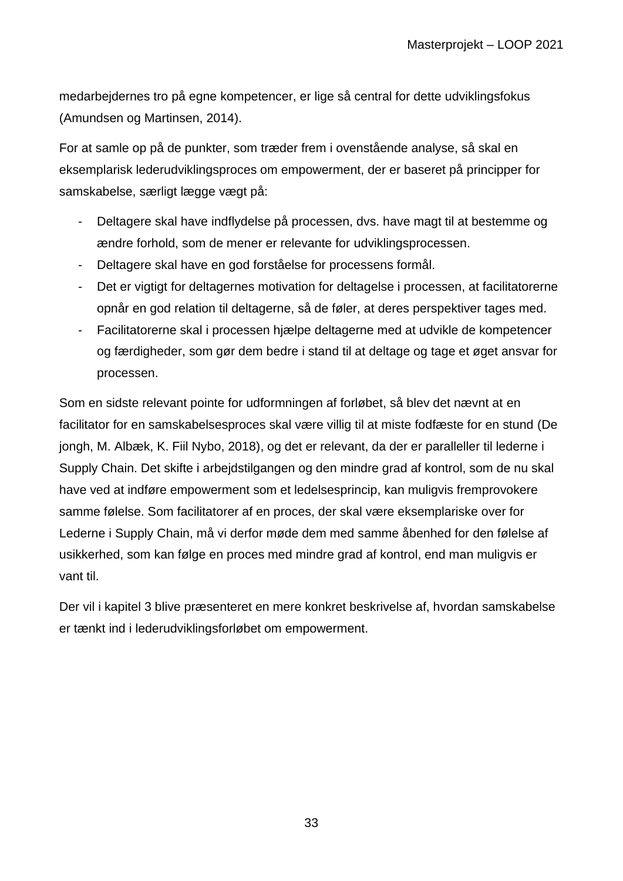medarbejdernes tro på egne kompetencer, er lige så central for dette udviklingsfokus (Amundsen og Martinsen, 2014).

For at samle op på de punkter, som træder frem i ovenstående analyse, så skal en eksemplarisk lederudviklingsproces om empowerment, der er baseret på principper for samskabelse, særligt lægge vægt på:

- Deltagere skal have indflydelse på processen, dvs. have magt til at bestemme og ændre forhold, som de mener er relevante for udviklingsprocessen.
- Deltagere skal have en god forståelse for processens formål.
- Det er vigtigt for deltagernes motivation for deltagelse i processen, at facilitatorerne opnår en god relation til deltagerne, så de føler, at deres perspektiver tages med.
- Facilitatorerne skal i processen hjælpe deltagerne med at udvikle de kompetencer og færdigheder, som gør dem bedre i stand til at deltage og tage et øget ansvar for processen.

Som en sidste relevant pointe for udformningen af forløbet, så blev det nævnt at en facilitator for en samskabelsesproces skal være villig til at miste fodfæste for en stund (De jongh, M. Albæk, K. Fiil Nybo, 2018), og det er relevant, da der er paralleller til lederne i Supply Chain. Det skifte i arbejdstilgangen og den mindre grad af kontrol, som de nu skal have ved at indføre empowerment som et ledelsesprincip, kan muligvis fremprovokere samme følelse. Som facilitatorer af en proces, der skal være eksemplariske over for Lederne i Supply Chain, må vi derfor møde dem med samme åbenhed for den følelse af usikkerhed, som kan følge en proces med mindre grad af kontrol, end man muligvis er vant til.

Der vil i kapitel 3 blive præsenteret en mere konkret beskrivelse af, hvordan samskabelse er tænkt ind i lederudviklingsforløbet om empowerment.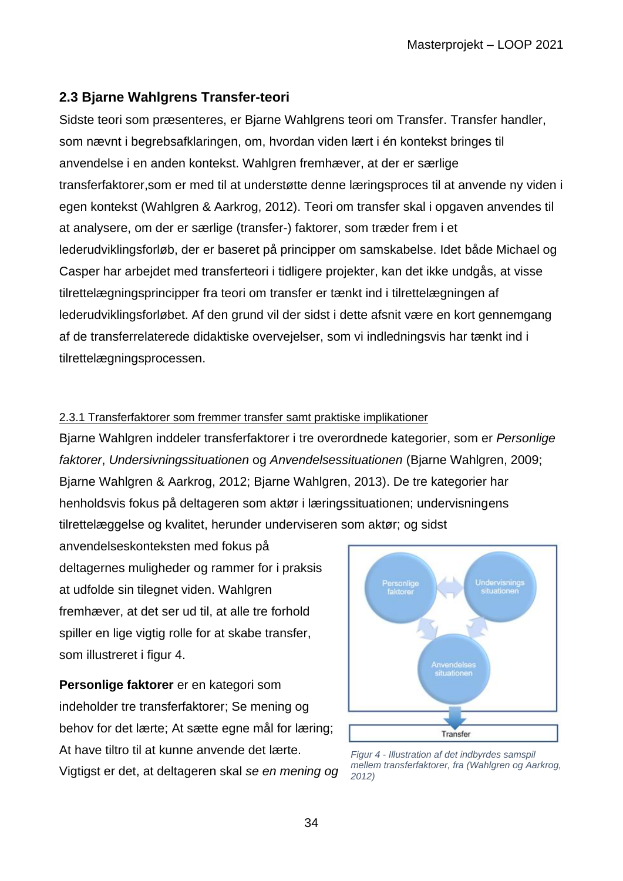# <span id="page-33-0"></span>**2.3 Bjarne Wahlgrens Transfer-teori**

Sidste teori som præsenteres, er Bjarne Wahlgrens teori om Transfer. Transfer handler, som nævnt i begrebsafklaringen, om, hvordan viden lært i én kontekst bringes til anvendelse i en anden kontekst. Wahlgren fremhæver, at der er særlige transferfaktorer,som er med til at understøtte denne læringsproces til at anvende ny viden i egen kontekst (Wahlgren & Aarkrog, 2012). Teori om transfer skal i opgaven anvendes til at analysere, om der er særlige (transfer-) faktorer, som træder frem i et lederudviklingsforløb, der er baseret på principper om samskabelse. Idet både Michael og Casper har arbejdet med transferteori i tidligere projekter, kan det ikke undgås, at visse tilrettelægningsprincipper fra teori om transfer er tænkt ind i tilrettelægningen af lederudviklingsforløbet. Af den grund vil der sidst i dette afsnit være en kort gennemgang af de transferrelaterede didaktiske overvejelser, som vi indledningsvis har tænkt ind i tilrettelægningsprocessen.

## <span id="page-33-1"></span>2.3.1 Transferfaktorer som fremmer transfer samt praktiske implikationer

Bjarne Wahlgren inddeler transferfaktorer i tre overordnede kategorier, som er *Personlige faktorer*, *Undersivningssituationen* og *Anvendelsessituationen* (Bjarne Wahlgren, 2009; Bjarne Wahlgren & Aarkrog, 2012; Bjarne Wahlgren, 2013). De tre kategorier har henholdsvis fokus på deltageren som aktør i læringssituationen; undervisningens tilrettelæggelse og kvalitet, herunder underviseren som aktør; og sidst

anvendelseskonteksten med fokus på deltagernes muligheder og rammer for i praksis at udfolde sin tilegnet viden. Wahlgren fremhæver, at det ser ud til, at alle tre forhold spiller en lige vigtig rolle for at skabe transfer, som illustreret i figur 4.

**Personlige faktorer** er en kategori som indeholder tre transferfaktorer; Se mening og behov for det lærte; At sætte egne mål for læring; At have tiltro til at kunne anvende det lærte. Vigtigst er det, at deltageren skal *se en mening og* 



*Figur 4 - Illustration af det indbyrdes samspil mellem transferfaktorer, fra (Wahlgren og Aarkrog, 2012)*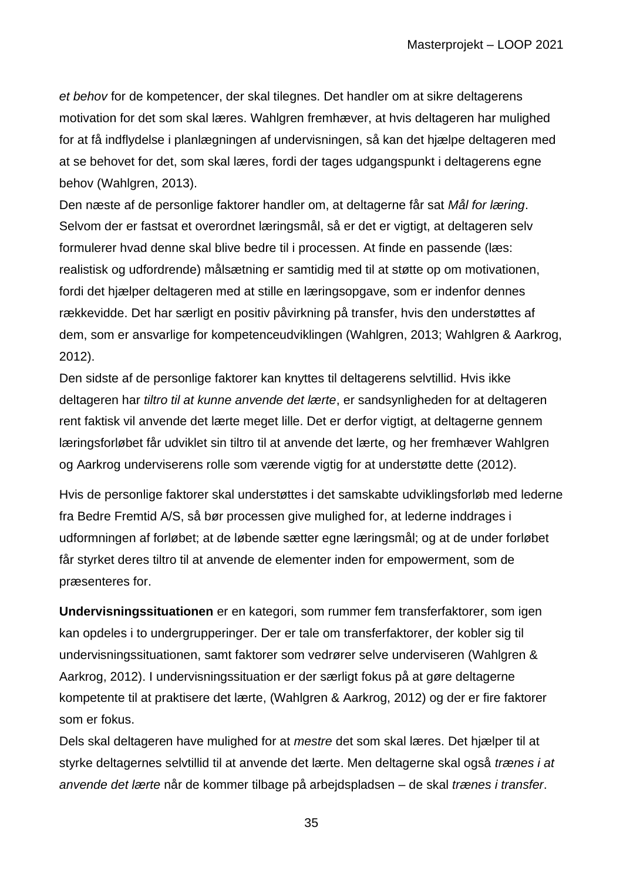*et behov* for de kompetencer, der skal tilegnes. Det handler om at sikre deltagerens motivation for det som skal læres. Wahlgren fremhæver, at hvis deltageren har mulighed for at få indflydelse i planlægningen af undervisningen, så kan det hjælpe deltageren med at se behovet for det, som skal læres, fordi der tages udgangspunkt i deltagerens egne behov (Wahlgren, 2013).

Den næste af de personlige faktorer handler om, at deltagerne får sat *Mål for læring*. Selvom der er fastsat et overordnet læringsmål, så er det er vigtigt, at deltageren selv formulerer hvad denne skal blive bedre til i processen. At finde en passende (læs: realistisk og udfordrende) målsætning er samtidig med til at støtte op om motivationen, fordi det hjælper deltageren med at stille en læringsopgave, som er indenfor dennes rækkevidde. Det har særligt en positiv påvirkning på transfer, hvis den understøttes af dem, som er ansvarlige for kompetenceudviklingen (Wahlgren, 2013; Wahlgren & Aarkrog, 2012).

Den sidste af de personlige faktorer kan knyttes til deltagerens selvtillid. Hvis ikke deltageren har *tiltro til at kunne anvende det lærte*, er sandsynligheden for at deltageren rent faktisk vil anvende det lærte meget lille. Det er derfor vigtigt, at deltagerne gennem læringsforløbet får udviklet sin tiltro til at anvende det lærte, og her fremhæver Wahlgren og Aarkrog underviserens rolle som værende vigtig for at understøtte dette (2012).

Hvis de personlige faktorer skal understøttes i det samskabte udviklingsforløb med lederne fra Bedre Fremtid A/S, så bør processen give mulighed for, at lederne inddrages i udformningen af forløbet; at de løbende sætter egne læringsmål; og at de under forløbet får styrket deres tiltro til at anvende de elementer inden for empowerment, som de præsenteres for.

**Undervisningssituationen** er en kategori, som rummer fem transferfaktorer, som igen kan opdeles i to undergrupperinger. Der er tale om transferfaktorer, der kobler sig til undervisningssituationen, samt faktorer som vedrører selve underviseren (Wahlgren & Aarkrog, 2012). I undervisningssituation er der særligt fokus på at gøre deltagerne kompetente til at praktisere det lærte, (Wahlgren & Aarkrog, 2012) og der er fire faktorer som er fokus.

Dels skal deltageren have mulighed for at *mestre* det som skal læres. Det hjælper til at styrke deltagernes selvtillid til at anvende det lærte. Men deltagerne skal også *trænes i at anvende det lærte* når de kommer tilbage på arbejdspladsen – de skal *trænes i transfer*.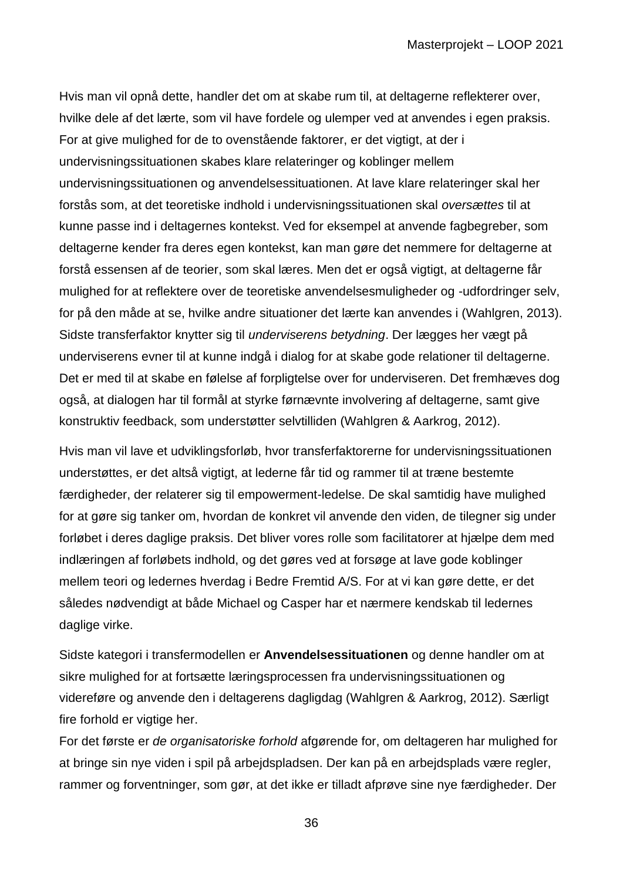Hvis man vil opnå dette, handler det om at skabe rum til, at deltagerne reflekterer over, hvilke dele af det lærte, som vil have fordele og ulemper ved at anvendes i egen praksis. For at give mulighed for de to ovenstående faktorer, er det vigtigt, at der i undervisningssituationen skabes klare relateringer og koblinger mellem undervisningssituationen og anvendelsessituationen. At lave klare relateringer skal her forstås som, at det teoretiske indhold i undervisningssituationen skal *oversættes* til at kunne passe ind i deltagernes kontekst. Ved for eksempel at anvende fagbegreber, som deltagerne kender fra deres egen kontekst, kan man gøre det nemmere for deltagerne at forstå essensen af de teorier, som skal læres. Men det er også vigtigt, at deltagerne får mulighed for at reflektere over de teoretiske anvendelsesmuligheder og -udfordringer selv, for på den måde at se, hvilke andre situationer det lærte kan anvendes i (Wahlgren, 2013). Sidste transferfaktor knytter sig til *underviserens betydning*. Der lægges her vægt på underviserens evner til at kunne indgå i dialog for at skabe gode relationer til deltagerne. Det er med til at skabe en følelse af forpligtelse over for underviseren. Det fremhæves dog også, at dialogen har til formål at styrke førnævnte involvering af deltagerne, samt give konstruktiv feedback, som understøtter selvtilliden (Wahlgren & Aarkrog, 2012).

Hvis man vil lave et udviklingsforløb, hvor transferfaktorerne for undervisningssituationen understøttes, er det altså vigtigt, at lederne får tid og rammer til at træne bestemte færdigheder, der relaterer sig til empowerment-ledelse. De skal samtidig have mulighed for at gøre sig tanker om, hvordan de konkret vil anvende den viden, de tilegner sig under forløbet i deres daglige praksis. Det bliver vores rolle som facilitatorer at hjælpe dem med indlæringen af forløbets indhold, og det gøres ved at forsøge at lave gode koblinger mellem teori og ledernes hverdag i Bedre Fremtid A/S. For at vi kan gøre dette, er det således nødvendigt at både Michael og Casper har et nærmere kendskab til ledernes daglige virke.

Sidste kategori i transfermodellen er **Anvendelsessituationen** og denne handler om at sikre mulighed for at fortsætte læringsprocessen fra undervisningssituationen og videreføre og anvende den i deltagerens dagligdag (Wahlgren & Aarkrog, 2012). Særligt fire forhold er vigtige her.

For det første er *de organisatoriske forhold* afgørende for, om deltageren har mulighed for at bringe sin nye viden i spil på arbejdspladsen. Der kan på en arbejdsplads være regler, rammer og forventninger, som gør, at det ikke er tilladt afprøve sine nye færdigheder. Der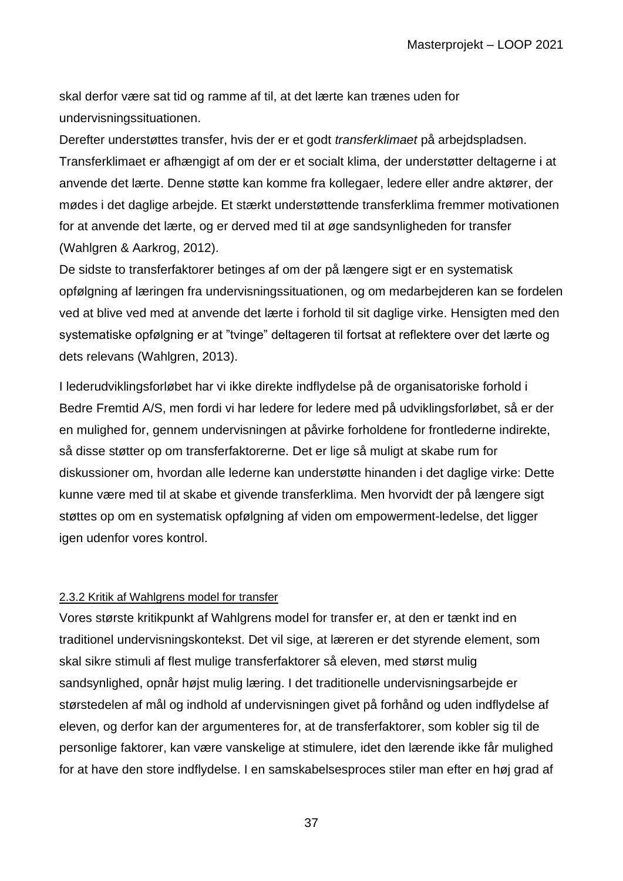skal derfor være sat tid og ramme af til, at det lærte kan trænes uden for undervisningssituationen.

Derefter understøttes transfer, hvis der er et godt *transferklimaet* på arbejdspladsen. Transferklimaet er afhængigt af om der er et socialt klima, der understøtter deltagerne i at anvende det lærte. Denne støtte kan komme fra kollegaer, ledere eller andre aktører, der mødes i det daglige arbejde. Et stærkt understøttende transferklima fremmer motivationen for at anvende det lærte, og er derved med til at øge sandsynligheden for transfer (Wahlgren & Aarkrog, 2012).

De sidste to transferfaktorer betinges af om der på længere sigt er en systematisk opfølgning af læringen fra undervisningssituationen, og om medarbejderen kan se fordelen ved at blive ved med at anvende det lærte i forhold til sit daglige virke. Hensigten med den systematiske opfølgning er at "tvinge" deltageren til fortsat at reflektere over det lærte og dets relevans (Wahlgren, 2013).

I lederudviklingsforløbet har vi ikke direkte indflydelse på de organisatoriske forhold i Bedre Fremtid A/S, men fordi vi har ledere for ledere med på udviklingsforløbet, så er der en mulighed for, gennem undervisningen at påvirke forholdene for frontlederne indirekte, så disse støtter op om transferfaktorerne. Det er lige så muligt at skabe rum for diskussioner om, hvordan alle lederne kan understøtte hinanden i det daglige virke: Dette kunne være med til at skabe et givende transferklima. Men hvorvidt der på længere sigt støttes op om en systematisk opfølgning af viden om empowerment-ledelse, det ligger igen udenfor vores kontrol.

#### 2.3.2 Kritik af Wahlgrens model for transfer

Vores største kritikpunkt af Wahlgrens model for transfer er, at den er tænkt ind en traditionel undervisningskontekst. Det vil sige, at læreren er det styrende element, som skal sikre stimuli af flest mulige transferfaktorer så eleven, med størst mulig sandsynlighed, opnår højst mulig læring. I det traditionelle undervisningsarbejde er størstedelen af mål og indhold af undervisningen givet på forhånd og uden indflydelse af eleven, og derfor kan der argumenteres for, at de transferfaktorer, som kobler sig til de personlige faktorer, kan være vanskelige at stimulere, idet den lærende ikke får mulighed for at have den store indflydelse. I en samskabelsesproces stiler man efter en høj grad af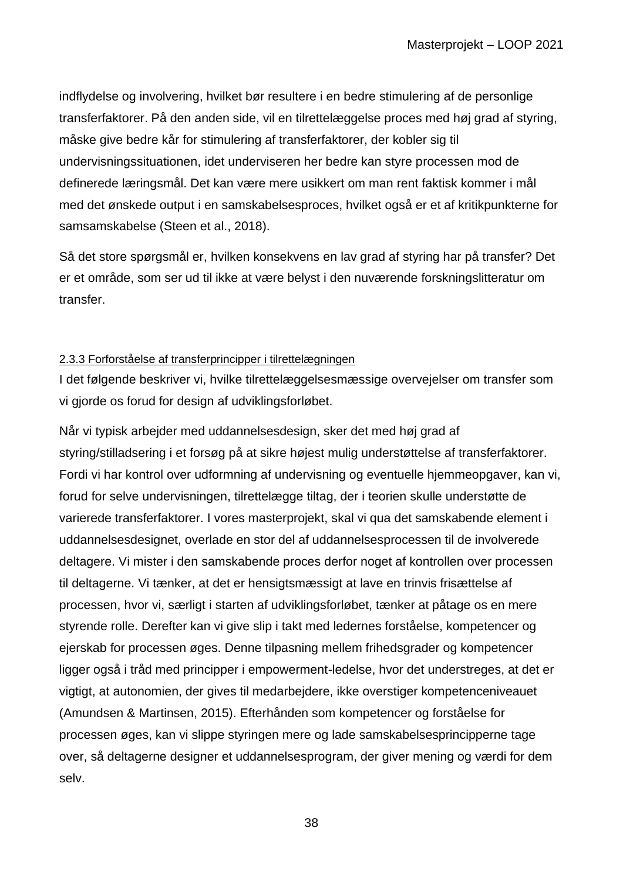indflydelse og involvering, hvilket bør resultere i en bedre stimulering af de personlige transferfaktorer. På den anden side, vil en tilrettelæggelse proces med høj grad af styring, måske give bedre kår for stimulering af transferfaktorer, der kobler sig til undervisningssituationen, idet underviseren her bedre kan styre processen mod de definerede læringsmål. Det kan være mere usikkert om man rent faktisk kommer i mål med det ønskede output i en samskabelsesproces, hvilket også er et af kritikpunkterne for samsamskabelse (Steen et al., 2018).

Så det store spørgsmål er, hvilken konsekvens en lav grad af styring har på transfer? Det er et område, som ser ud til ikke at være belyst i den nuværende forskningslitteratur om transfer.

#### 2.3.3 Forforståelse af transferprincipper i tilrettelægningen

I det følgende beskriver vi, hvilke tilrettelæggelsesmæssige overvejelser om transfer som vi gjorde os forud for design af udviklingsforløbet.

Når vi typisk arbejder med uddannelsesdesign, sker det med høj grad af styring/stilladsering i et forsøg på at sikre højest mulig understøttelse af transferfaktorer. Fordi vi har kontrol over udformning af undervisning og eventuelle hjemmeopgaver, kan vi, forud for selve undervisningen, tilrettelægge tiltag, der i teorien skulle understøtte de varierede transferfaktorer. I vores masterprojekt, skal vi qua det samskabende element i uddannelsesdesignet, overlade en stor del af uddannelsesprocessen til de involverede deltagere. Vi mister i den samskabende proces derfor noget af kontrollen over processen til deltagerne. Vi tænker, at det er hensigtsmæssigt at lave en trinvis frisættelse af processen, hvor vi, særligt i starten af udviklingsforløbet, tænker at påtage os en mere styrende rolle. Derefter kan vi give slip i takt med ledernes forståelse, kompetencer og ejerskab for processen øges. Denne tilpasning mellem frihedsgrader og kompetencer ligger også i tråd med principper i empowerment-ledelse, hvor det understreges, at det er vigtigt, at autonomien, der gives til medarbejdere, ikke overstiger kompetenceniveauet (Amundsen & Martinsen, 2015). Efterhånden som kompetencer og forståelse for processen øges, kan vi slippe styringen mere og lade samskabelsesprincipperne tage over, så deltagerne designer et uddannelsesprogram, der giver mening og værdi for dem selv.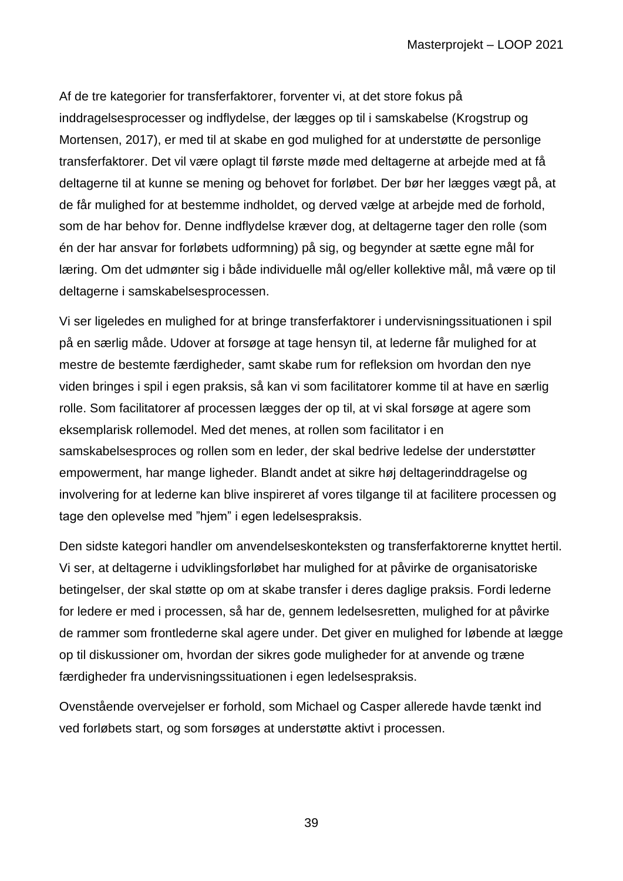Af de tre kategorier for transferfaktorer, forventer vi, at det store fokus på inddragelsesprocesser og indflydelse, der lægges op til i samskabelse (Krogstrup og Mortensen, 2017), er med til at skabe en god mulighed for at understøtte de personlige transferfaktorer. Det vil være oplagt til første møde med deltagerne at arbejde med at få deltagerne til at kunne se mening og behovet for forløbet. Der bør her lægges vægt på, at de får mulighed for at bestemme indholdet, og derved vælge at arbejde med de forhold, som de har behov for. Denne indflydelse kræver dog, at deltagerne tager den rolle (som én der har ansvar for forløbets udformning) på sig, og begynder at sætte egne mål for læring. Om det udmønter sig i både individuelle mål og/eller kollektive mål, må være op til deltagerne i samskabelsesprocessen.

Vi ser ligeledes en mulighed for at bringe transferfaktorer i undervisningssituationen i spil på en særlig måde. Udover at forsøge at tage hensyn til, at lederne får mulighed for at mestre de bestemte færdigheder, samt skabe rum for refleksion om hvordan den nye viden bringes i spil i egen praksis, så kan vi som facilitatorer komme til at have en særlig rolle. Som facilitatorer af processen lægges der op til, at vi skal forsøge at agere som eksemplarisk rollemodel. Med det menes, at rollen som facilitator i en samskabelsesproces og rollen som en leder, der skal bedrive ledelse der understøtter empowerment, har mange ligheder. Blandt andet at sikre høj deltagerinddragelse og involvering for at lederne kan blive inspireret af vores tilgange til at facilitere processen og tage den oplevelse med "hjem" i egen ledelsespraksis.

Den sidste kategori handler om anvendelseskonteksten og transferfaktorerne knyttet hertil. Vi ser, at deltagerne i udviklingsforløbet har mulighed for at påvirke de organisatoriske betingelser, der skal støtte op om at skabe transfer i deres daglige praksis. Fordi lederne for ledere er med i processen, så har de, gennem ledelsesretten, mulighed for at påvirke de rammer som frontlederne skal agere under. Det giver en mulighed for løbende at lægge op til diskussioner om, hvordan der sikres gode muligheder for at anvende og træne færdigheder fra undervisningssituationen i egen ledelsespraksis.

Ovenstående overvejelser er forhold, som Michael og Casper allerede havde tænkt ind ved forløbets start, og som forsøges at understøtte aktivt i processen.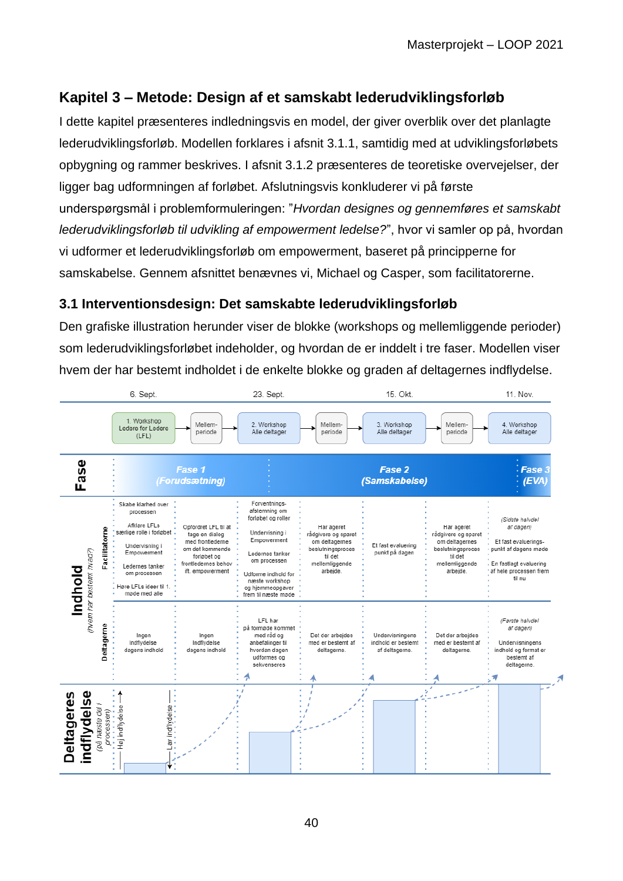# **Kapitel 3 – Metode: Design af et samskabt lederudviklingsforløb**

I dette kapitel præsenteres indledningsvis en model, der giver overblik over det planlagte lederudviklingsforløb. Modellen forklares i afsnit 3.1.1, samtidig med at udviklingsforløbets opbygning og rammer beskrives. I afsnit 3.1.2 præsenteres de teoretiske overvejelser, der ligger bag udformningen af forløbet. Afslutningsvis konkluderer vi på første underspørgsmål i problemformuleringen: "*Hvordan designes og gennemføres et samskabt lederudviklingsforløb til udvikling af empowerment ledelse?*", hvor vi samler op på, hvordan vi udformer et lederudviklingsforløb om empowerment, baseret på principperne for samskabelse. Gennem afsnittet benævnes vi, Michael og Casper, som facilitatorerne.

## **3.1 Interventionsdesign: Det samskabte lederudviklingsforløb**

Den grafiske illustration herunder viser de blokke (workshops og mellemliggende perioder) som lederudviklingsforløbet indeholder, og hvordan de er inddelt i tre faser. Modellen viser hvem der har bestemt indholdet i de enkelte blokke og graden af deltagernes indflydelse.

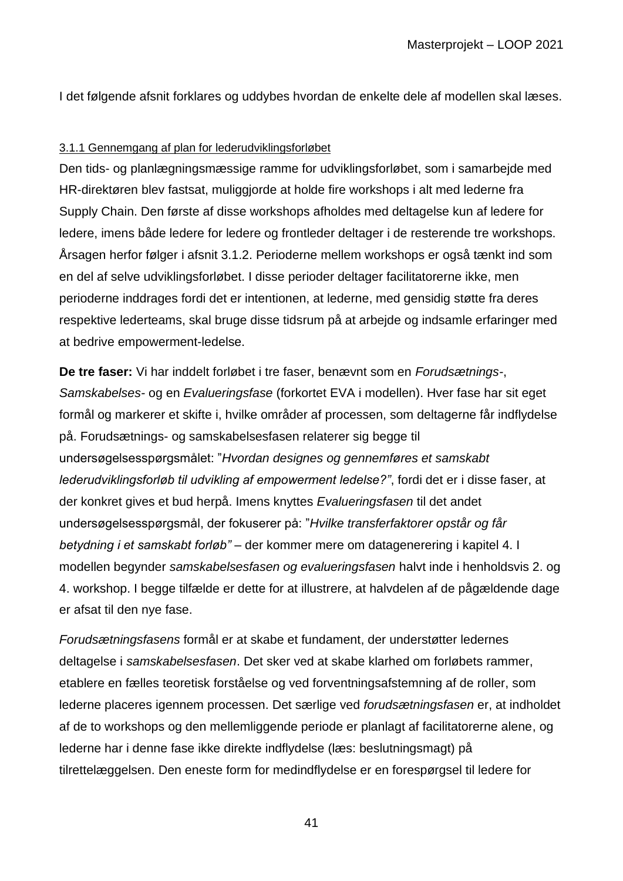I det følgende afsnit forklares og uddybes hvordan de enkelte dele af modellen skal læses.

#### 3.1.1 Gennemgang af plan for lederudviklingsforløbet

Den tids- og planlægningsmæssige ramme for udviklingsforløbet, som i samarbejde med HR-direktøren blev fastsat, muliggjorde at holde fire workshops i alt med lederne fra Supply Chain. Den første af disse workshops afholdes med deltagelse kun af ledere for ledere, imens både ledere for ledere og frontleder deltager i de resterende tre workshops. Årsagen herfor følger i afsnit 3.1.2. Perioderne mellem workshops er også tænkt ind som en del af selve udviklingsforløbet. I disse perioder deltager facilitatorerne ikke, men perioderne inddrages fordi det er intentionen, at lederne, med gensidig støtte fra deres respektive lederteams, skal bruge disse tidsrum på at arbejde og indsamle erfaringer med at bedrive empowerment-ledelse.

**De tre faser:** Vi har inddelt forløbet i tre faser, benævnt som en *Forudsætnings-*, *Samskabelses-* og en *Evalueringsfase* (forkortet EVA i modellen). Hver fase har sit eget formål og markerer et skifte i, hvilke områder af processen, som deltagerne får indflydelse på. Forudsætnings- og samskabelsesfasen relaterer sig begge til undersøgelsesspørgsmålet: "*Hvordan designes og gennemføres et samskabt lederudviklingsforløb til udvikling af empowerment ledelse?"*, fordi det er i disse faser, at der konkret gives et bud herpå. Imens knyttes *Evalueringsfasen* til det andet undersøgelsesspørgsmål, der fokuserer på: "*Hvilke transferfaktorer opstår og får betydning i et samskabt forløb"* – der kommer mere om datagenerering i kapitel 4. I modellen begynder *samskabelsesfasen og evalueringsfasen* halvt inde i henholdsvis 2. og 4. workshop. I begge tilfælde er dette for at illustrere, at halvdelen af de pågældende dage er afsat til den nye fase.

*Forudsætningsfasens* formål er at skabe et fundament, der understøtter ledernes deltagelse i *samskabelsesfasen*. Det sker ved at skabe klarhed om forløbets rammer, etablere en fælles teoretisk forståelse og ved forventningsafstemning af de roller, som lederne placeres igennem processen. Det særlige ved *forudsætningsfasen* er, at indholdet af de to workshops og den mellemliggende periode er planlagt af facilitatorerne alene, og lederne har i denne fase ikke direkte indflydelse (læs: beslutningsmagt) på tilrettelæggelsen. Den eneste form for medindflydelse er en forespørgsel til ledere for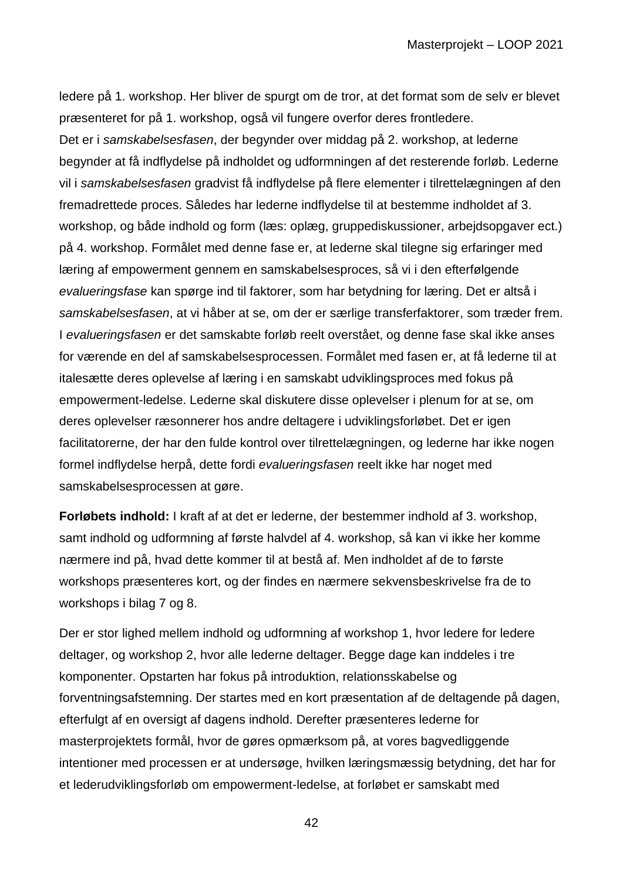ledere på 1. workshop. Her bliver de spurgt om de tror, at det format som de selv er blevet præsenteret for på 1. workshop, også vil fungere overfor deres frontledere. Det er i *samskabelsesfasen*, der begynder over middag på 2. workshop, at lederne begynder at få indflydelse på indholdet og udformningen af det resterende forløb. Lederne vil i *samskabelsesfasen* gradvist få indflydelse på flere elementer i tilrettelægningen af den fremadrettede proces. Således har lederne indflydelse til at bestemme indholdet af 3. workshop, og både indhold og form (læs: oplæg, gruppediskussioner, arbejdsopgaver ect.) på 4. workshop. Formålet med denne fase er, at lederne skal tilegne sig erfaringer med læring af empowerment gennem en samskabelsesproces, så vi i den efterfølgende *evalueringsfase* kan spørge ind til faktorer, som har betydning for læring. Det er altså i *samskabelsesfasen*, at vi håber at se, om der er særlige transferfaktorer, som træder frem. I *evalueringsfasen* er det samskabte forløb reelt overstået, og denne fase skal ikke anses for værende en del af samskabelsesprocessen. Formålet med fasen er, at få lederne til at italesætte deres oplevelse af læring i en samskabt udviklingsproces med fokus på empowerment-ledelse. Lederne skal diskutere disse oplevelser i plenum for at se, om deres oplevelser ræsonnerer hos andre deltagere i udviklingsforløbet. Det er igen facilitatorerne, der har den fulde kontrol over tilrettelægningen, og lederne har ikke nogen formel indflydelse herpå, dette fordi *evalueringsfasen* reelt ikke har noget med samskabelsesprocessen at gøre.

**Forløbets indhold:** I kraft af at det er lederne, der bestemmer indhold af 3. workshop, samt indhold og udformning af første halvdel af 4. workshop, så kan vi ikke her komme nærmere ind på, hvad dette kommer til at bestå af. Men indholdet af de to første workshops præsenteres kort, og der findes en nærmere sekvensbeskrivelse fra de to workshops i bilag 7 og 8.

Der er stor lighed mellem indhold og udformning af workshop 1, hvor ledere for ledere deltager, og workshop 2, hvor alle lederne deltager. Begge dage kan inddeles i tre komponenter. Opstarten har fokus på introduktion, relationsskabelse og forventningsafstemning. Der startes med en kort præsentation af de deltagende på dagen, efterfulgt af en oversigt af dagens indhold. Derefter præsenteres lederne for masterprojektets formål, hvor de gøres opmærksom på, at vores bagvedliggende intentioner med processen er at undersøge, hvilken læringsmæssig betydning, det har for et lederudviklingsforløb om empowerment-ledelse, at forløbet er samskabt med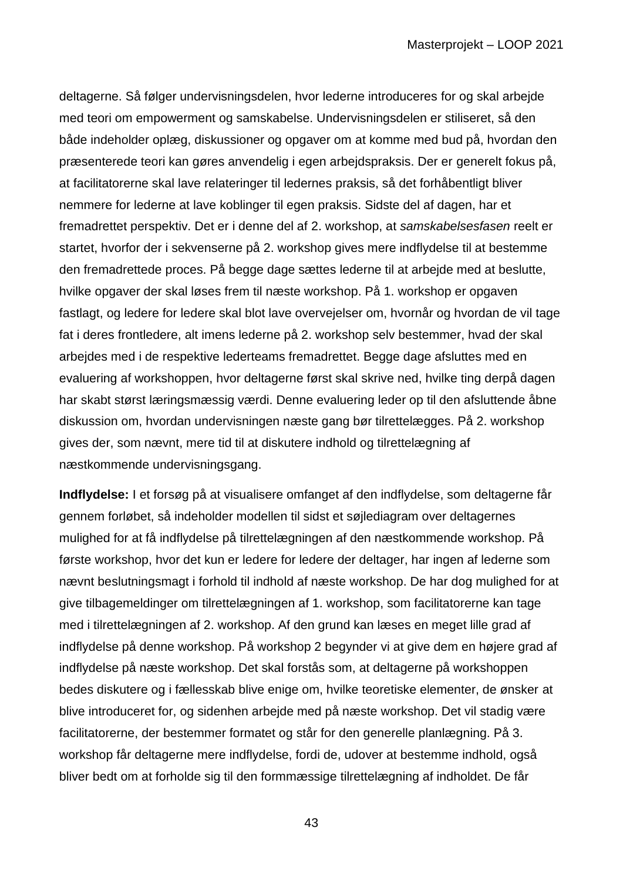deltagerne. Så følger undervisningsdelen, hvor lederne introduceres for og skal arbejde med teori om empowerment og samskabelse. Undervisningsdelen er stiliseret, så den både indeholder oplæg, diskussioner og opgaver om at komme med bud på, hvordan den præsenterede teori kan gøres anvendelig i egen arbejdspraksis. Der er generelt fokus på, at facilitatorerne skal lave relateringer til ledernes praksis, så det forhåbentligt bliver nemmere for lederne at lave koblinger til egen praksis. Sidste del af dagen, har et fremadrettet perspektiv. Det er i denne del af 2. workshop, at *samskabelsesfasen* reelt er startet, hvorfor der i sekvenserne på 2. workshop gives mere indflydelse til at bestemme den fremadrettede proces. På begge dage sættes lederne til at arbejde med at beslutte, hvilke opgaver der skal løses frem til næste workshop. På 1. workshop er opgaven fastlagt, og ledere for ledere skal blot lave overvejelser om, hvornår og hvordan de vil tage fat i deres frontledere, alt imens lederne på 2. workshop selv bestemmer, hvad der skal arbejdes med i de respektive lederteams fremadrettet. Begge dage afsluttes med en evaluering af workshoppen, hvor deltagerne først skal skrive ned, hvilke ting derpå dagen har skabt størst læringsmæssig værdi. Denne evaluering leder op til den afsluttende åbne diskussion om, hvordan undervisningen næste gang bør tilrettelægges. På 2. workshop gives der, som nævnt, mere tid til at diskutere indhold og tilrettelægning af næstkommende undervisningsgang.

**Indflydelse:** I et forsøg på at visualisere omfanget af den indflydelse, som deltagerne får gennem forløbet, så indeholder modellen til sidst et søjlediagram over deltagernes mulighed for at få indflydelse på tilrettelægningen af den næstkommende workshop. På første workshop, hvor det kun er ledere for ledere der deltager, har ingen af lederne som nævnt beslutningsmagt i forhold til indhold af næste workshop. De har dog mulighed for at give tilbagemeldinger om tilrettelægningen af 1. workshop, som facilitatorerne kan tage med i tilrettelægningen af 2. workshop. Af den grund kan læses en meget lille grad af indflydelse på denne workshop. På workshop 2 begynder vi at give dem en højere grad af indflydelse på næste workshop. Det skal forstås som, at deltagerne på workshoppen bedes diskutere og i fællesskab blive enige om, hvilke teoretiske elementer, de ønsker at blive introduceret for, og sidenhen arbejde med på næste workshop. Det vil stadig være facilitatorerne, der bestemmer formatet og står for den generelle planlægning. På 3. workshop får deltagerne mere indflydelse, fordi de, udover at bestemme indhold, også bliver bedt om at forholde sig til den formmæssige tilrettelægning af indholdet. De får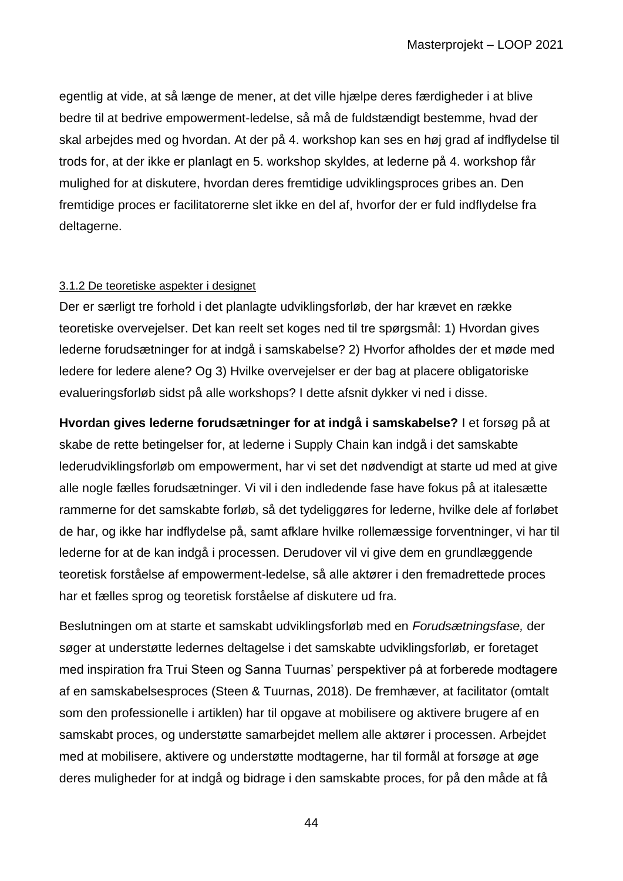egentlig at vide, at så længe de mener, at det ville hjælpe deres færdigheder i at blive bedre til at bedrive empowerment-ledelse, så må de fuldstændigt bestemme, hvad der skal arbejdes med og hvordan. At der på 4. workshop kan ses en høj grad af indflydelse til trods for, at der ikke er planlagt en 5. workshop skyldes, at lederne på 4. workshop får mulighed for at diskutere, hvordan deres fremtidige udviklingsproces gribes an. Den fremtidige proces er facilitatorerne slet ikke en del af, hvorfor der er fuld indflydelse fra deltagerne.

#### 3.1.2 De teoretiske aspekter i designet

Der er særligt tre forhold i det planlagte udviklingsforløb, der har krævet en række teoretiske overvejelser. Det kan reelt set koges ned til tre spørgsmål: 1) Hvordan gives lederne forudsætninger for at indgå i samskabelse? 2) Hvorfor afholdes der et møde med ledere for ledere alene? Og 3) Hvilke overvejelser er der bag at placere obligatoriske evalueringsforløb sidst på alle workshops? I dette afsnit dykker vi ned i disse.

**Hvordan gives lederne forudsætninger for at indgå i samskabelse?** I et forsøg på at skabe de rette betingelser for, at lederne i Supply Chain kan indgå i det samskabte lederudviklingsforløb om empowerment, har vi set det nødvendigt at starte ud med at give alle nogle fælles forudsætninger. Vi vil i den indledende fase have fokus på at italesætte rammerne for det samskabte forløb, så det tydeliggøres for lederne, hvilke dele af forløbet de har, og ikke har indflydelse på, samt afklare hvilke rollemæssige forventninger, vi har til lederne for at de kan indgå i processen. Derudover vil vi give dem en grundlæggende teoretisk forståelse af empowerment-ledelse, så alle aktører i den fremadrettede proces har et fælles sprog og teoretisk forståelse af diskutere ud fra.

Beslutningen om at starte et samskabt udviklingsforløb med en *Forudsætningsfase,* der søger at understøtte ledernes deltagelse i det samskabte udviklingsforløb*,* er foretaget med inspiration fra Trui Steen og Sanna Tuurnas' perspektiver på at forberede modtagere af en samskabelsesproces (Steen & Tuurnas, 2018). De fremhæver, at facilitator (omtalt som den professionelle i artiklen) har til opgave at mobilisere og aktivere brugere af en samskabt proces, og understøtte samarbejdet mellem alle aktører i processen. Arbejdet med at mobilisere, aktivere og understøtte modtagerne, har til formål at forsøge at øge deres muligheder for at indgå og bidrage i den samskabte proces, for på den måde at få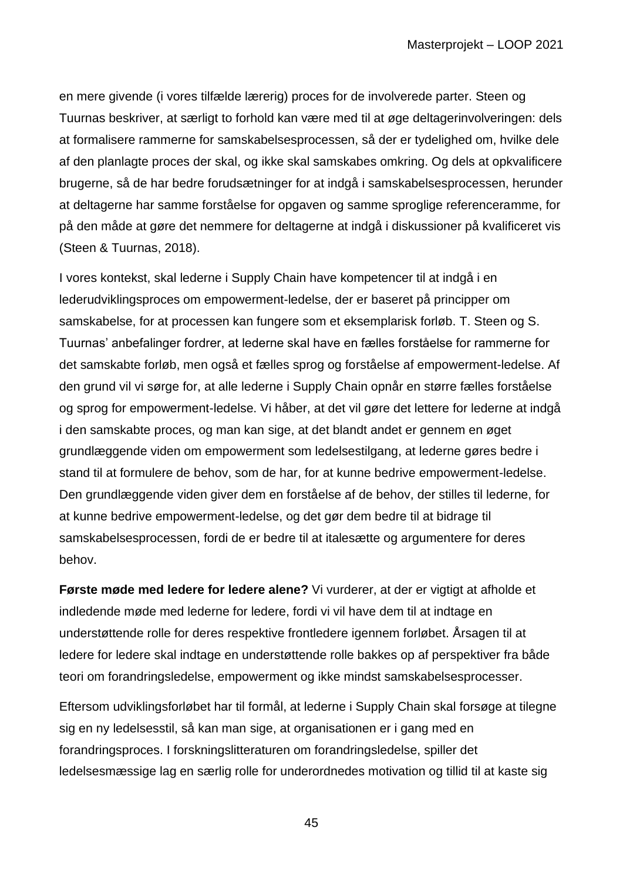en mere givende (i vores tilfælde lærerig) proces for de involverede parter. Steen og Tuurnas beskriver, at særligt to forhold kan være med til at øge deltagerinvolveringen: dels at formalisere rammerne for samskabelsesprocessen, så der er tydelighed om, hvilke dele af den planlagte proces der skal, og ikke skal samskabes omkring. Og dels at opkvalificere brugerne, så de har bedre forudsætninger for at indgå i samskabelsesprocessen, herunder at deltagerne har samme forståelse for opgaven og samme sproglige referenceramme, for på den måde at gøre det nemmere for deltagerne at indgå i diskussioner på kvalificeret vis (Steen & Tuurnas, 2018).

I vores kontekst, skal lederne i Supply Chain have kompetencer til at indgå i en lederudviklingsproces om empowerment-ledelse, der er baseret på principper om samskabelse, for at processen kan fungere som et eksemplarisk forløb. T. Steen og S. Tuurnas' anbefalinger fordrer, at lederne skal have en fælles forståelse for rammerne for det samskabte forløb, men også et fælles sprog og forståelse af empowerment-ledelse. Af den grund vil vi sørge for, at alle lederne i Supply Chain opnår en større fælles forståelse og sprog for empowerment-ledelse. Vi håber, at det vil gøre det lettere for lederne at indgå i den samskabte proces, og man kan sige, at det blandt andet er gennem en øget grundlæggende viden om empowerment som ledelsestilgang, at lederne gøres bedre i stand til at formulere de behov, som de har, for at kunne bedrive empowerment-ledelse. Den grundlæggende viden giver dem en forståelse af de behov, der stilles til lederne, for at kunne bedrive empowerment-ledelse, og det gør dem bedre til at bidrage til samskabelsesprocessen, fordi de er bedre til at italesætte og argumentere for deres behov.

**Første møde med ledere for ledere alene?** Vi vurderer, at der er vigtigt at afholde et indledende møde med lederne for ledere, fordi vi vil have dem til at indtage en understøttende rolle for deres respektive frontledere igennem forløbet. Årsagen til at ledere for ledere skal indtage en understøttende rolle bakkes op af perspektiver fra både teori om forandringsledelse, empowerment og ikke mindst samskabelsesprocesser.

Eftersom udviklingsforløbet har til formål, at lederne i Supply Chain skal forsøge at tilegne sig en ny ledelsesstil, så kan man sige, at organisationen er i gang med en forandringsproces. I forskningslitteraturen om forandringsledelse, spiller det ledelsesmæssige lag en særlig rolle for underordnedes motivation og tillid til at kaste sig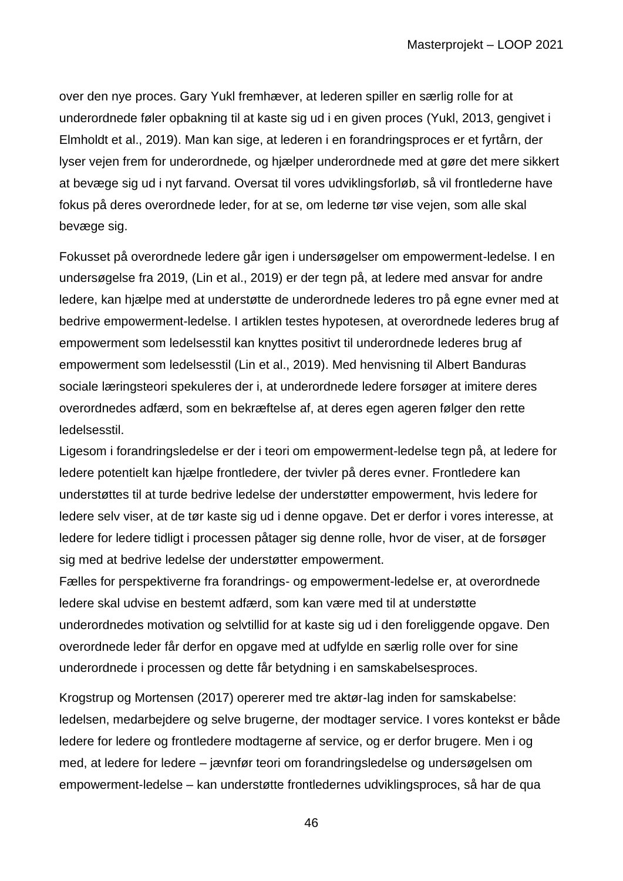over den nye proces. Gary Yukl fremhæver, at lederen spiller en særlig rolle for at underordnede føler opbakning til at kaste sig ud i en given proces (Yukl, 2013, gengivet i Elmholdt et al., 2019). Man kan sige, at lederen i en forandringsproces er et fyrtårn, der lyser vejen frem for underordnede, og hjælper underordnede med at gøre det mere sikkert at bevæge sig ud i nyt farvand. Oversat til vores udviklingsforløb, så vil frontlederne have fokus på deres overordnede leder, for at se, om lederne tør vise vejen, som alle skal bevæge sig.

Fokusset på overordnede ledere går igen i undersøgelser om empowerment-ledelse. I en undersøgelse fra 2019, (Lin et al., 2019) er der tegn på, at ledere med ansvar for andre ledere, kan hjælpe med at understøtte de underordnede lederes tro på egne evner med at bedrive empowerment-ledelse. I artiklen testes hypotesen, at overordnede lederes brug af empowerment som ledelsesstil kan knyttes positivt til underordnede lederes brug af empowerment som ledelsesstil (Lin et al., 2019). Med henvisning til Albert Banduras sociale læringsteori spekuleres der i, at underordnede ledere forsøger at imitere deres overordnedes adfærd, som en bekræftelse af, at deres egen ageren følger den rette ledelsesstil.

Ligesom i forandringsledelse er der i teori om empowerment-ledelse tegn på, at ledere for ledere potentielt kan hjælpe frontledere, der tvivler på deres evner. Frontledere kan understøttes til at turde bedrive ledelse der understøtter empowerment, hvis ledere for ledere selv viser, at de tør kaste sig ud i denne opgave. Det er derfor i vores interesse, at ledere for ledere tidligt i processen påtager sig denne rolle, hvor de viser, at de forsøger sig med at bedrive ledelse der understøtter empowerment.

Fælles for perspektiverne fra forandrings- og empowerment-ledelse er, at overordnede ledere skal udvise en bestemt adfærd, som kan være med til at understøtte underordnedes motivation og selvtillid for at kaste sig ud i den foreliggende opgave. Den overordnede leder får derfor en opgave med at udfylde en særlig rolle over for sine underordnede i processen og dette får betydning i en samskabelsesproces.

Krogstrup og Mortensen (2017) opererer med tre aktør-lag inden for samskabelse: ledelsen, medarbejdere og selve brugerne, der modtager service. I vores kontekst er både ledere for ledere og frontledere modtagerne af service, og er derfor brugere. Men i og med, at ledere for ledere – jævnfør teori om forandringsledelse og undersøgelsen om empowerment-ledelse – kan understøtte frontledernes udviklingsproces, så har de qua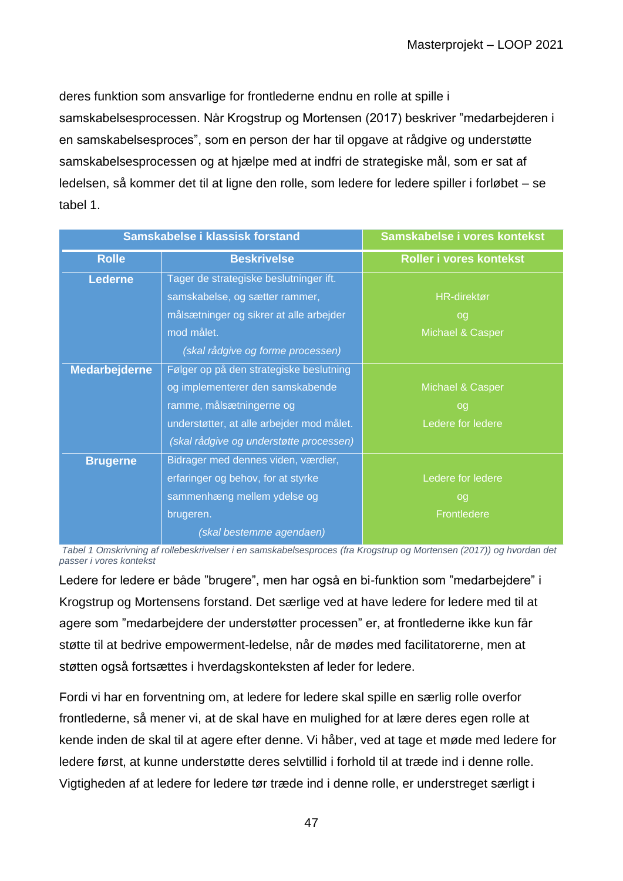deres funktion som ansvarlige for frontlederne endnu en rolle at spille i samskabelsesprocessen. Når Krogstrup og Mortensen (2017) beskriver "medarbejderen i en samskabelsesproces", som en person der har til opgave at rådgive og understøtte samskabelsesprocessen og at hjælpe med at indfri de strategiske mål, som er sat af ledelsen, så kommer det til at ligne den rolle, som ledere for ledere spiller i forløbet – se tabel 1.

| Samskabelse i klassisk forstand |                                           | Samskabelse i vores kontekst |
|---------------------------------|-------------------------------------------|------------------------------|
| <b>Rolle</b>                    | <b>Beskrivelse</b>                        | Roller i vores kontekst      |
| <b>Lederne</b>                  | Tager de strategiske beslutninger ift.    |                              |
|                                 | samskabelse, og sætter rammer,            | <b>HR-direktør</b>           |
|                                 | målsætninger og sikrer at alle arbejder   | og                           |
|                                 | mod målet.                                | Michael & Casper             |
|                                 | (skal rådgive og forme processen)         |                              |
| <b>Medarbejderne</b>            | Følger op på den strategiske beslutning   |                              |
|                                 | og implementerer den samskabende          | Michael & Casper             |
|                                 | ramme, målsætningerne og                  | og                           |
|                                 | understøtter, at alle arbejder mod målet. | Ledere for ledere            |
|                                 | (skal rådgive og understøtte processen)   |                              |
| <b>Brugerne</b>                 | Bidrager med dennes viden, værdier,       |                              |
|                                 | erfaringer og behov, for at styrke        | Ledere for ledere            |
|                                 | sammenhæng mellem ydelse og               | og                           |
|                                 | brugeren.                                 | Frontledere                  |
|                                 | (skal bestemme agendaen)                  |                              |

*Tabel 1 Omskrivning af rollebeskrivelser i en samskabelsesproces (fra Krogstrup og Mortensen (2017)) og hvordan det passer i vores kontekst*

Ledere for ledere er både "brugere", men har også en bi-funktion som "medarbejdere" i Krogstrup og Mortensens forstand. Det særlige ved at have ledere for ledere med til at agere som "medarbejdere der understøtter processen" er, at frontlederne ikke kun får støtte til at bedrive empowerment-ledelse, når de mødes med facilitatorerne, men at støtten også fortsættes i hverdagskonteksten af leder for ledere.

Fordi vi har en forventning om, at ledere for ledere skal spille en særlig rolle overfor frontlederne, så mener vi, at de skal have en mulighed for at lære deres egen rolle at kende inden de skal til at agere efter denne. Vi håber, ved at tage et møde med ledere for ledere først, at kunne understøtte deres selvtillid i forhold til at træde ind i denne rolle. Vigtigheden af at ledere for ledere tør træde ind i denne rolle, er understreget særligt i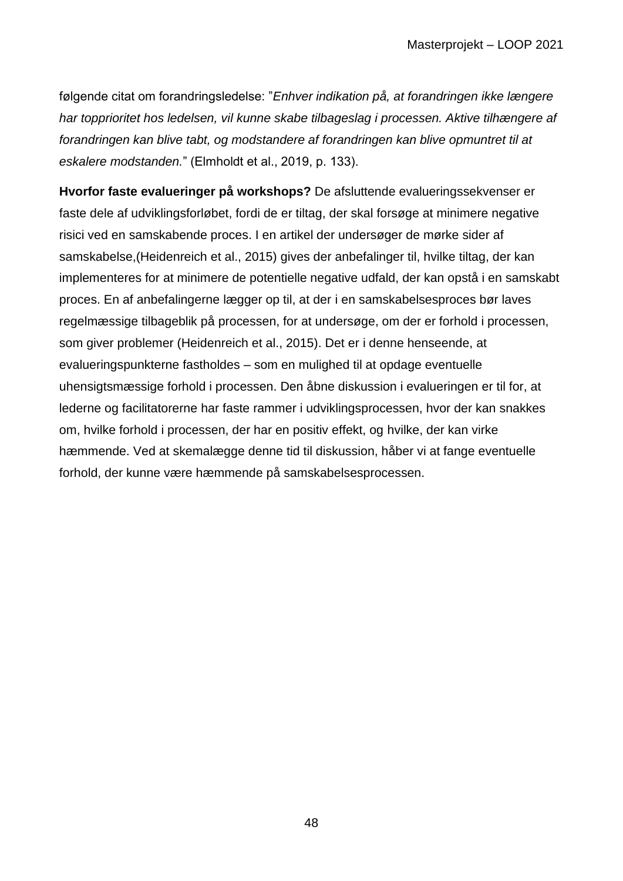følgende citat om forandringsledelse: "*Enhver indikation på, at forandringen ikke længere har topprioritet hos ledelsen, vil kunne skabe tilbageslag i processen. Aktive tilhængere af forandringen kan blive tabt, og modstandere af forandringen kan blive opmuntret til at eskalere modstanden.*" (Elmholdt et al., 2019, p. 133).

**Hvorfor faste evalueringer på workshops?** De afsluttende evalueringssekvenser er faste dele af udviklingsforløbet, fordi de er tiltag, der skal forsøge at minimere negative risici ved en samskabende proces. I en artikel der undersøger de mørke sider af samskabelse,(Heidenreich et al., 2015) gives der anbefalinger til, hvilke tiltag, der kan implementeres for at minimere de potentielle negative udfald, der kan opstå i en samskabt proces. En af anbefalingerne lægger op til, at der i en samskabelsesproces bør laves regelmæssige tilbageblik på processen, for at undersøge, om der er forhold i processen, som giver problemer (Heidenreich et al., 2015). Det er i denne henseende, at evalueringspunkterne fastholdes – som en mulighed til at opdage eventuelle uhensigtsmæssige forhold i processen. Den åbne diskussion i evalueringen er til for, at lederne og facilitatorerne har faste rammer i udviklingsprocessen, hvor der kan snakkes om, hvilke forhold i processen, der har en positiv effekt, og hvilke, der kan virke hæmmende. Ved at skemalægge denne tid til diskussion, håber vi at fange eventuelle forhold, der kunne være hæmmende på samskabelsesprocessen.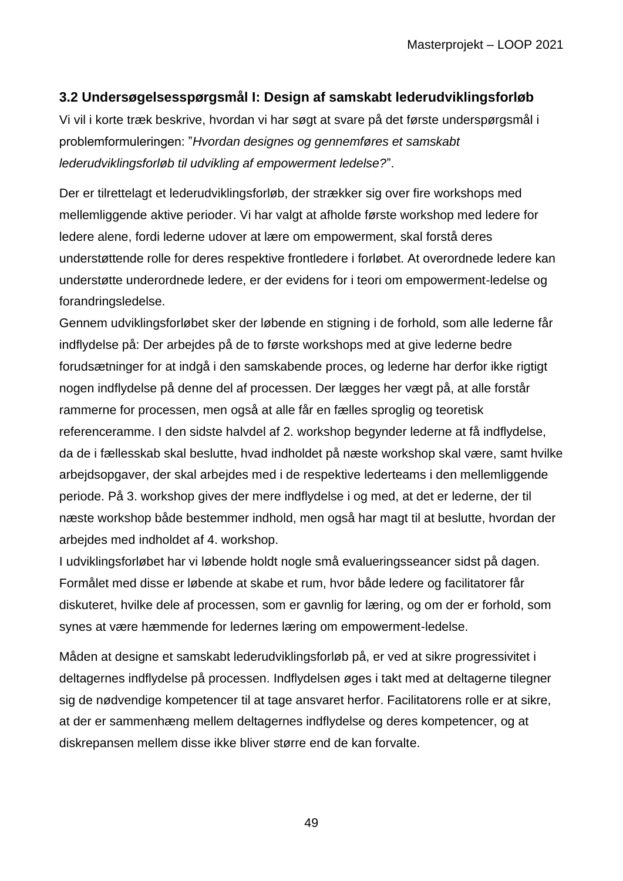## **3.2 Undersøgelsesspørgsmål I: Design af samskabt lederudviklingsforløb**

Vi vil i korte træk beskrive, hvordan vi har søgt at svare på det første underspørgsmål i problemformuleringen: "*Hvordan designes og gennemføres et samskabt lederudviklingsforløb til udvikling af empowerment ledelse?*".

Der er tilrettelagt et lederudviklingsforløb, der strækker sig over fire workshops med mellemliggende aktive perioder. Vi har valgt at afholde første workshop med ledere for ledere alene, fordi lederne udover at lære om empowerment, skal forstå deres understøttende rolle for deres respektive frontledere i forløbet. At overordnede ledere kan understøtte underordnede ledere, er der evidens for i teori om empowerment-ledelse og forandringsledelse.

Gennem udviklingsforløbet sker der løbende en stigning i de forhold, som alle lederne får indflydelse på: Der arbejdes på de to første workshops med at give lederne bedre forudsætninger for at indgå i den samskabende proces, og lederne har derfor ikke rigtigt nogen indflydelse på denne del af processen. Der lægges her vægt på, at alle forstår rammerne for processen, men også at alle får en fælles sproglig og teoretisk referenceramme. I den sidste halvdel af 2. workshop begynder lederne at få indflydelse, da de i fællesskab skal beslutte, hvad indholdet på næste workshop skal være, samt hvilke arbejdsopgaver, der skal arbejdes med i de respektive lederteams i den mellemliggende periode. På 3. workshop gives der mere indflydelse i og med, at det er lederne, der til næste workshop både bestemmer indhold, men også har magt til at beslutte, hvordan der arbejdes med indholdet af 4. workshop.

I udviklingsforløbet har vi løbende holdt nogle små evalueringsseancer sidst på dagen. Formålet med disse er løbende at skabe et rum, hvor både ledere og facilitatorer får diskuteret, hvilke dele af processen, som er gavnlig for læring, og om der er forhold, som synes at være hæmmende for ledernes læring om empowerment-ledelse.

Måden at designe et samskabt lederudviklingsforløb på, er ved at sikre progressivitet i deltagernes indflydelse på processen. Indflydelsen øges i takt med at deltagerne tilegner sig de nødvendige kompetencer til at tage ansvaret herfor. Facilitatorens rolle er at sikre, at der er sammenhæng mellem deltagernes indflydelse og deres kompetencer, og at diskrepansen mellem disse ikke bliver større end de kan forvalte.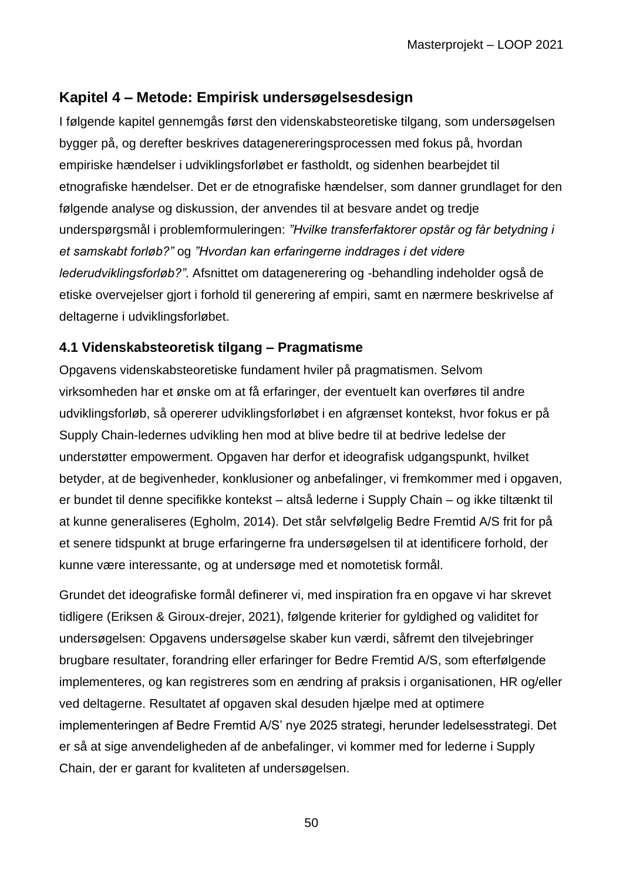# **Kapitel 4 – Metode: Empirisk undersøgelsesdesign**

I følgende kapitel gennemgås først den videnskabsteoretiske tilgang, som undersøgelsen bygger på, og derefter beskrives datagenereringsprocessen med fokus på, hvordan empiriske hændelser i udviklingsforløbet er fastholdt, og sidenhen bearbejdet til etnografiske hændelser. Det er de etnografiske hændelser, som danner grundlaget for den følgende analyse og diskussion, der anvendes til at besvare andet og tredje underspørgsmål i problemformuleringen: *"Hvilke transferfaktorer opstår og får betydning i et samskabt forløb?"* og *"Hvordan kan erfaringerne inddrages i det videre lederudviklingsforløb?"*. Afsnittet om datagenerering og -behandling indeholder også de etiske overvejelser gjort i forhold til generering af empiri, samt en nærmere beskrivelse af deltagerne i udviklingsforløbet.

## **4.1 Videnskabsteoretisk tilgang – Pragmatisme**

Opgavens videnskabsteoretiske fundament hviler på pragmatismen. Selvom virksomheden har et ønske om at få erfaringer, der eventuelt kan overføres til andre udviklingsforløb, så opererer udviklingsforløbet i en afgrænset kontekst, hvor fokus er på Supply Chain-ledernes udvikling hen mod at blive bedre til at bedrive ledelse der understøtter empowerment. Opgaven har derfor et ideografisk udgangspunkt, hvilket betyder, at de begivenheder, konklusioner og anbefalinger, vi fremkommer med i opgaven, er bundet til denne specifikke kontekst – altså lederne i Supply Chain – og ikke tiltænkt til at kunne generaliseres (Egholm, 2014). Det står selvfølgelig Bedre Fremtid A/S frit for på et senere tidspunkt at bruge erfaringerne fra undersøgelsen til at identificere forhold, der kunne være interessante, og at undersøge med et nomotetisk formål.

Grundet det ideografiske formål definerer vi, med inspiration fra en opgave vi har skrevet tidligere (Eriksen & Giroux-drejer, 2021), følgende kriterier for gyldighed og validitet for undersøgelsen: Opgavens undersøgelse skaber kun værdi, såfremt den tilvejebringer brugbare resultater, forandring eller erfaringer for Bedre Fremtid A/S, som efterfølgende implementeres, og kan registreres som en ændring af praksis i organisationen, HR og/eller ved deltagerne. Resultatet af opgaven skal desuden hjælpe med at optimere implementeringen af Bedre Fremtid A/S' nye 2025 strategi, herunder ledelsesstrategi. Det er så at sige anvendeligheden af de anbefalinger, vi kommer med for lederne i Supply Chain, der er garant for kvaliteten af undersøgelsen.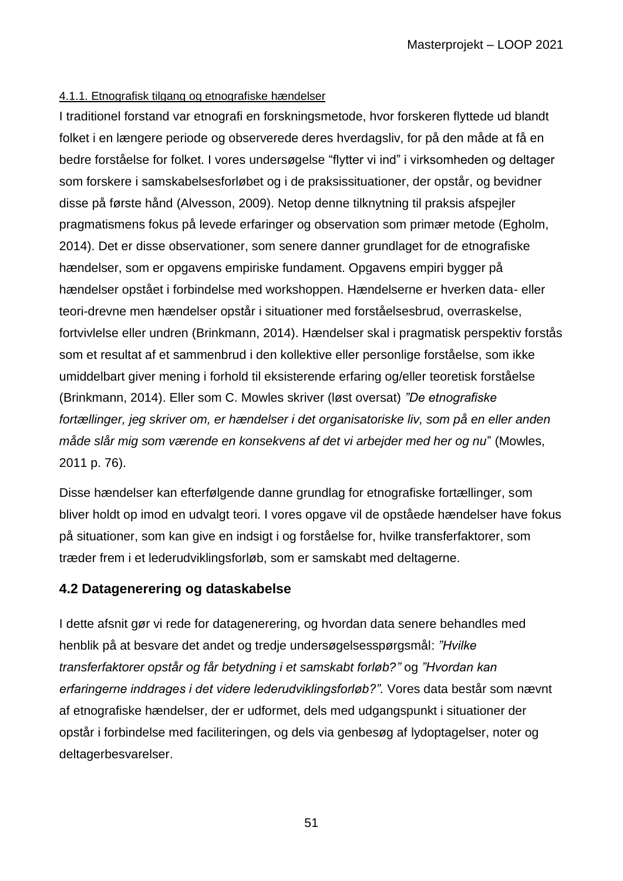#### 4.1.1. Etnografisk tilgang og etnografiske hændelser

I traditionel forstand var etnografi en forskningsmetode, hvor forskeren flyttede ud blandt folket i en længere periode og observerede deres hverdagsliv, for på den måde at få en bedre forståelse for folket. I vores undersøgelse "flytter vi ind" i virksomheden og deltager som forskere i samskabelsesforløbet og i de praksissituationer, der opstår, og bevidner disse på første hånd (Alvesson, 2009). Netop denne tilknytning til praksis afspejler pragmatismens fokus på levede erfaringer og observation som primær metode (Egholm, 2014). Det er disse observationer, som senere danner grundlaget for de etnografiske hændelser, som er opgavens empiriske fundament. Opgavens empiri bygger på hændelser opstået i forbindelse med workshoppen. Hændelserne er hverken data- eller teori-drevne men hændelser opstår i situationer med forståelsesbrud, overraskelse, fortvivlelse eller undren (Brinkmann, 2014). Hændelser skal i pragmatisk perspektiv forstås som et resultat af et sammenbrud i den kollektive eller personlige forståelse, som ikke umiddelbart giver mening i forhold til eksisterende erfaring og/eller teoretisk forståelse (Brinkmann, 2014). Eller som C. Mowles skriver (løst oversat) *"De etnografiske fortællinger, jeg skriver om, er hændelser i det organisatoriske liv, som på en eller anden måde slår mig som værende en konsekvens af det vi arbejder med her og nu*" (Mowles, 2011 p. 76).

Disse hændelser kan efterfølgende danne grundlag for etnografiske fortællinger, som bliver holdt op imod en udvalgt teori. I vores opgave vil de opståede hændelser have fokus på situationer, som kan give en indsigt i og forståelse for, hvilke transferfaktorer, som træder frem i et lederudviklingsforløb, som er samskabt med deltagerne.

## **4.2 Datagenerering og dataskabelse**

I dette afsnit gør vi rede for datagenerering, og hvordan data senere behandles med henblik på at besvare det andet og tredje undersøgelsesspørgsmål: *"Hvilke transferfaktorer opstår og får betydning i et samskabt forløb?"* og *"Hvordan kan erfaringerne inddrages i det videre lederudviklingsforløb?".* Vores data består som nævnt af etnografiske hændelser, der er udformet, dels med udgangspunkt i situationer der opstår i forbindelse med faciliteringen, og dels via genbesøg af lydoptagelser, noter og deltagerbesvarelser.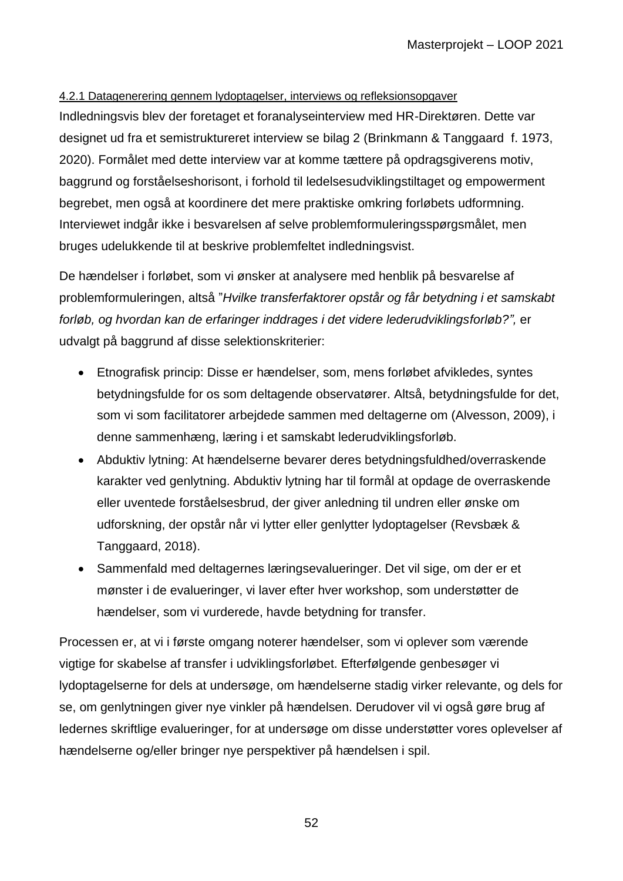#### 4.2.1 Datagenerering gennem lydoptagelser, interviews og refleksionsopgaver

Indledningsvis blev der foretaget et foranalyseinterview med HR-Direktøren. Dette var designet ud fra et semistruktureret interview se bilag 2 (Brinkmann & Tanggaard f. 1973, 2020). Formålet med dette interview var at komme tættere på opdragsgiverens motiv, baggrund og forståelseshorisont, i forhold til ledelsesudviklingstiltaget og empowerment begrebet, men også at koordinere det mere praktiske omkring forløbets udformning. Interviewet indgår ikke i besvarelsen af selve problemformuleringsspørgsmålet, men bruges udelukkende til at beskrive problemfeltet indledningsvist.

De hændelser i forløbet, som vi ønsker at analysere med henblik på besvarelse af problemformuleringen, altså "*Hvilke transferfaktorer opstår og får betydning i et samskabt forløb, og hvordan kan de erfaringer inddrages i det videre lederudviklingsforløb?",* er udvalgt på baggrund af disse selektionskriterier:

- Etnografisk princip: Disse er hændelser, som, mens forløbet afvikledes, syntes betydningsfulde for os som deltagende observatører. Altså, betydningsfulde for det, som vi som facilitatorer arbejdede sammen med deltagerne om (Alvesson, 2009), i denne sammenhæng, læring i et samskabt lederudviklingsforløb.
- Abduktiv lytning: At hændelserne bevarer deres betydningsfuldhed/overraskende karakter ved genlytning. Abduktiv lytning har til formål at opdage de overraskende eller uventede forståelsesbrud, der giver anledning til undren eller ønske om udforskning, der opstår når vi lytter eller genlytter lydoptagelser (Revsbæk & Tanggaard, 2018).
- Sammenfald med deltagernes læringsevalueringer. Det vil sige, om der er et mønster i de evalueringer, vi laver efter hver workshop, som understøtter de hændelser, som vi vurderede, havde betydning for transfer.

Processen er, at vi i første omgang noterer hændelser, som vi oplever som værende vigtige for skabelse af transfer i udviklingsforløbet. Efterfølgende genbesøger vi lydoptagelserne for dels at undersøge, om hændelserne stadig virker relevante, og dels for se, om genlytningen giver nye vinkler på hændelsen. Derudover vil vi også gøre brug af ledernes skriftlige evalueringer, for at undersøge om disse understøtter vores oplevelser af hændelserne og/eller bringer nye perspektiver på hændelsen i spil.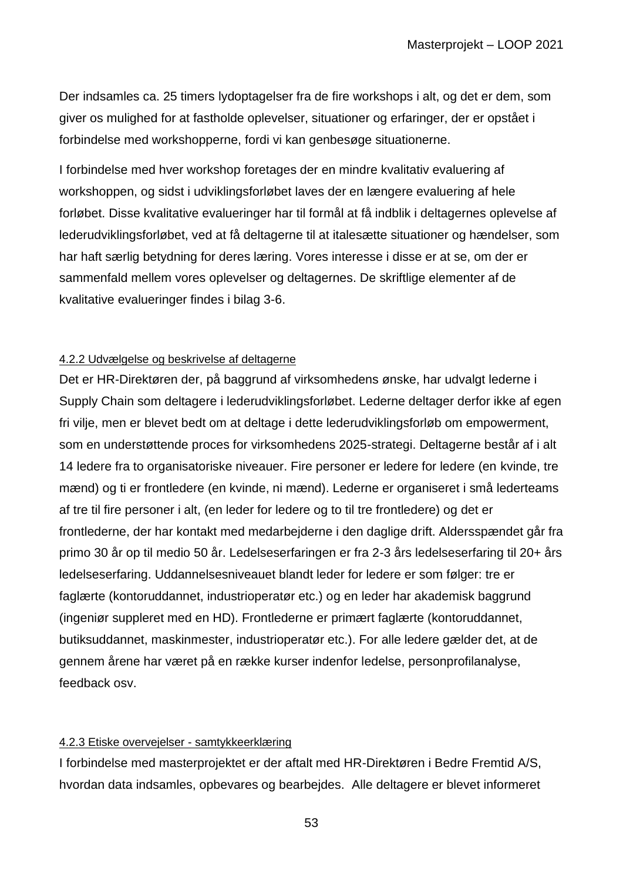Der indsamles ca. 25 timers lydoptagelser fra de fire workshops i alt, og det er dem, som giver os mulighed for at fastholde oplevelser, situationer og erfaringer, der er opstået i forbindelse med workshopperne, fordi vi kan genbesøge situationerne.

I forbindelse med hver workshop foretages der en mindre kvalitativ evaluering af workshoppen, og sidst i udviklingsforløbet laves der en længere evaluering af hele forløbet. Disse kvalitative evalueringer har til formål at få indblik i deltagernes oplevelse af lederudviklingsforløbet, ved at få deltagerne til at italesætte situationer og hændelser, som har haft særlig betydning for deres læring. Vores interesse i disse er at se, om der er sammenfald mellem vores oplevelser og deltagernes. De skriftlige elementer af de kvalitative evalueringer findes i bilag 3-6.

#### 4.2.2 Udvælgelse og beskrivelse af deltagerne

Det er HR-Direktøren der, på baggrund af virksomhedens ønske, har udvalgt lederne i Supply Chain som deltagere i lederudviklingsforløbet. Lederne deltager derfor ikke af egen fri vilje, men er blevet bedt om at deltage i dette lederudviklingsforløb om empowerment, som en understøttende proces for virksomhedens 2025-strategi. Deltagerne består af i alt 14 ledere fra to organisatoriske niveauer. Fire personer er ledere for ledere (en kvinde, tre mænd) og ti er frontledere (en kvinde, ni mænd). Lederne er organiseret i små lederteams af tre til fire personer i alt, (en leder for ledere og to til tre frontledere) og det er frontlederne, der har kontakt med medarbejderne i den daglige drift. Aldersspændet går fra primo 30 år op til medio 50 år. Ledelseserfaringen er fra 2-3 års ledelseserfaring til 20+ års ledelseserfaring. Uddannelsesniveauet blandt leder for ledere er som følger: tre er faglærte (kontoruddannet, industrioperatør etc.) og en leder har akademisk baggrund (ingeniør suppleret med en HD). Frontlederne er primært faglærte (kontoruddannet, butiksuddannet, maskinmester, industrioperatør etc.). For alle ledere gælder det, at de gennem årene har været på en række kurser indenfor ledelse, personprofilanalyse, feedback osv.

#### 4.2.3 Etiske overvejelser - samtykkeerklæring

I forbindelse med masterprojektet er der aftalt med HR-Direktøren i Bedre Fremtid A/S, hvordan data indsamles, opbevares og bearbejdes. Alle deltagere er blevet informeret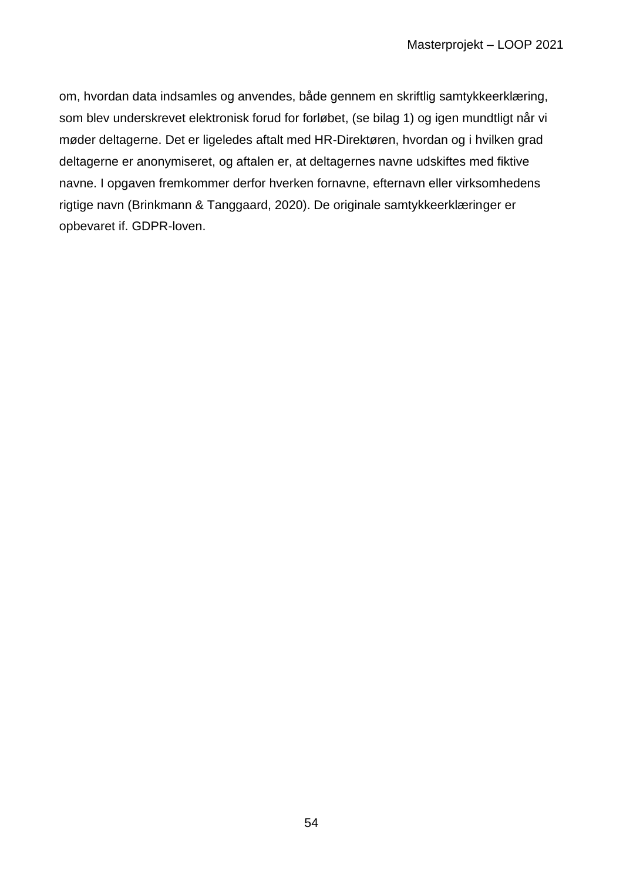om, hvordan data indsamles og anvendes, både gennem en skriftlig samtykkeerklæring, som blev underskrevet elektronisk forud for forløbet, (se bilag 1) og igen mundtligt når vi møder deltagerne. Det er ligeledes aftalt med HR-Direktøren, hvordan og i hvilken grad deltagerne er anonymiseret, og aftalen er, at deltagernes navne udskiftes med fiktive navne. I opgaven fremkommer derfor hverken fornavne, efternavn eller virksomhedens rigtige navn (Brinkmann & Tanggaard, 2020). De originale samtykkeerklæringer er opbevaret if. GDPR-loven.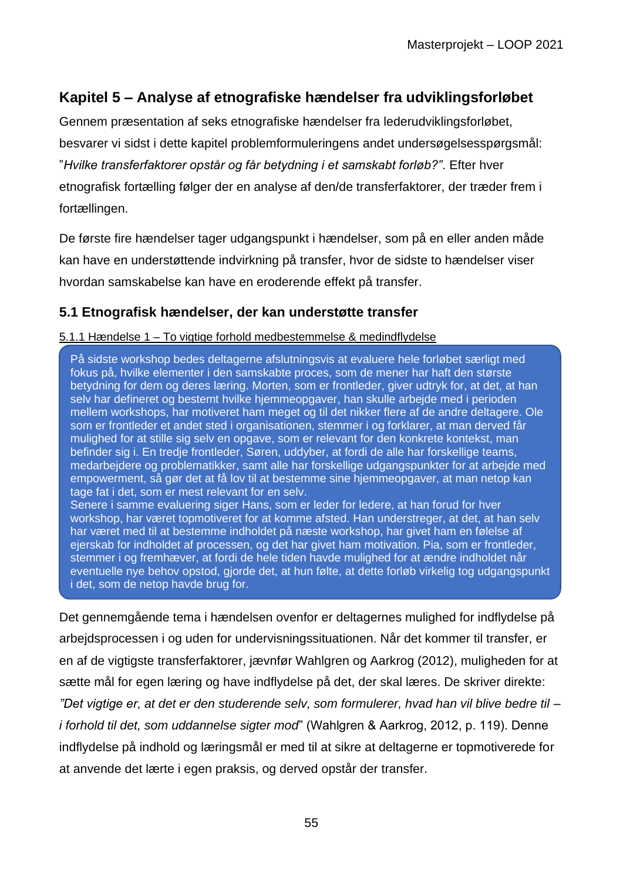# **Kapitel 5 – Analyse af etnografiske hændelser fra udviklingsforløbet**

Gennem præsentation af seks etnografiske hændelser fra lederudviklingsforløbet, besvarer vi sidst i dette kapitel problemformuleringens andet undersøgelsesspørgsmål: "*Hvilke transferfaktorer opstår og får betydning i et samskabt forløb?"*. Efter hver etnografisk fortælling følger der en analyse af den/de transferfaktorer, der træder frem i fortællingen.

De første fire hændelser tager udgangspunkt i hændelser, som på en eller anden måde kan have en understøttende indvirkning på transfer, hvor de sidste to hændelser viser hvordan samskabelse kan have en eroderende effekt på transfer.

## **5.1 Etnografisk hændelser, der kan understøtte transfer**

#### 5.1.1 Hændelse 1 – To vigtige forhold medbestemmelse & medindflydelse

På sidste workshop bedes deltagerne afslutningsvis at evaluere hele forløbet særligt med fokus på, hvilke elementer i den samskabte proces, som de mener har haft den største betydning for dem og deres læring. Morten, som er frontleder, giver udtryk for, at det, at han selv har defineret og bestemt hvilke hjemmeopgaver, han skulle arbejde med i perioden mellem workshops, har motiveret ham meget og til det nikker flere af de andre deltagere. Ole som er frontleder et andet sted i organisationen, stemmer i og forklarer, at man derved får mulighed for at stille sig selv en opgave, som er relevant for den konkrete kontekst, man befinder sig i. En tredje frontleder, Søren, uddyber, at fordi de alle har forskellige teams, medarbejdere og problematikker, samt alle har forskellige udgangspunkter for at arbejde med empowerment, så gør det at få lov til at bestemme sine hjemmeopgaver, at man netop kan tage fat i det, som er mest relevant for en selv. Senere i samme evaluering siger Hans, som er leder for ledere, at han forud for hver

workshop, har været topmotiveret for at komme afsted. Han understreger, at det, at han selv har været med til at bestemme indholdet på næste workshop, har givet ham en følelse af ejerskab for indholdet af processen, og det har givet ham motivation. Pia, som er frontleder, stemmer i og fremhæver, at fordi de hele tiden havde mulighed for at ændre indholdet når eventuelle nye behov opstod, gjorde det, at hun følte, at dette forløb virkelig tog udgangspunkt i det, som de netop havde brug for.

Det gennemgående tema i hændelsen ovenfor er deltagernes mulighed for indflydelse på arbejdsprocessen i og uden for undervisningssituationen. Når det kommer til transfer, er en af de vigtigste transferfaktorer, jævnfør Wahlgren og Aarkrog (2012), muligheden for at sætte mål for egen læring og have indflydelse på det, der skal læres. De skriver direkte: *"Det vigtige er, at det er den studerende selv, som formulerer, hvad han vil blive bedre til – i forhold til det, som uddannelse sigter mod*" (Wahlgren & Aarkrog, 2012, p. 119). Denne

indflydelse på indhold og læringsmål er med til at sikre at deltagerne er topmotiverede for at anvende det lærte i egen praksis, og derved opstår der transfer.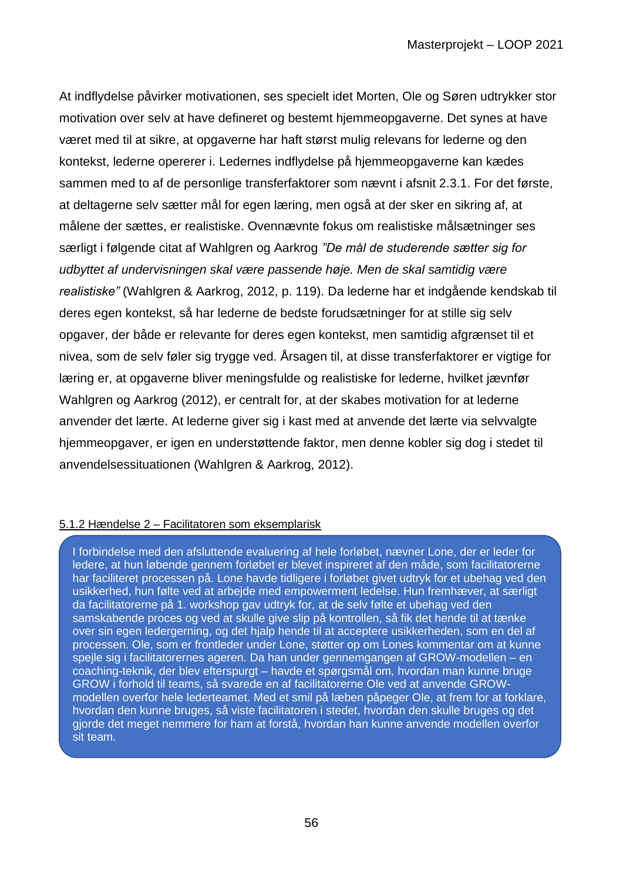At indflydelse påvirker motivationen, ses specielt idet Morten, Ole og Søren udtrykker stor motivation over selv at have defineret og bestemt hjemmeopgaverne. Det synes at have været med til at sikre, at opgaverne har haft størst mulig relevans for lederne og den kontekst, lederne opererer i. Ledernes indflydelse på hjemmeopgaverne kan kædes sammen med to af de personlige transferfaktorer som nævnt i afsnit 2.3.1. For det første, at deltagerne selv sætter mål for egen læring, men også at der sker en sikring af, at målene der sættes, er realistiske. Ovennævnte fokus om realistiske målsætninger ses særligt i følgende citat af Wahlgren og Aarkrog *"De mål de studerende sætter sig for udbyttet af undervisningen skal være passende høje. Men de skal samtidig være realistiske"* (Wahlgren & Aarkrog, 2012, p. 119). Da lederne har et indgående kendskab til deres egen kontekst, så har lederne de bedste forudsætninger for at stille sig selv opgaver, der både er relevante for deres egen kontekst, men samtidig afgrænset til et nivea, som de selv føler sig trygge ved. Årsagen til, at disse transferfaktorer er vigtige for læring er, at opgaverne bliver meningsfulde og realistiske for lederne, hvilket jævnfør Wahlgren og Aarkrog (2012), er centralt for, at der skabes motivation for at lederne anvender det lærte. At lederne giver sig i kast med at anvende det lærte via selvvalgte hjemmeopgaver, er igen en understøttende faktor, men denne kobler sig dog i stedet til anvendelsessituationen (Wahlgren & Aarkrog, 2012).

#### 5.1.2 Hændelse 2 – Facilitatoren som eksemplarisk

I forbindelse med den afsluttende evaluering af hele forløbet, nævner Lone, der er leder for ledere, at hun løbende gennem forløbet er blevet inspireret af den måde, som facilitatorerne har faciliteret processen på. Lone havde tidligere i forløbet givet udtryk for et ubehag ved den usikkerhed, hun følte ved at arbejde med empowerment ledelse. Hun fremhæver, at særligt da facilitatorerne på 1. workshop gav udtryk for, at de selv følte et ubehag ved den samskabende proces og ved at skulle give slip på kontrollen, så fik det hende til at tænke over sin egen ledergerning, og det hjalp hende til at acceptere usikkerheden, som en del af processen. Ole, som er frontleder under Lone, støtter op om Lones kommentar om at kunne spejle sig i facilitatorernes ageren. Da han under gennemgangen af GROW-modellen – en coaching-teknik, der blev efterspurgt – havde et spørgsmål om, hvordan man kunne bruge GROW i forhold til teams, så svarede en af facilitatorerne Ole ved at anvende GROWmodellen overfor hele lederteamet. Med et smil på læben påpeger Ole, at frem for at forklare, hvordan den kunne bruges, så viste facilitatoren i stedet, hvordan den skulle bruges og det gjorde det meget nemmere for ham at forstå, hvordan han kunne anvende modellen overfor sit team.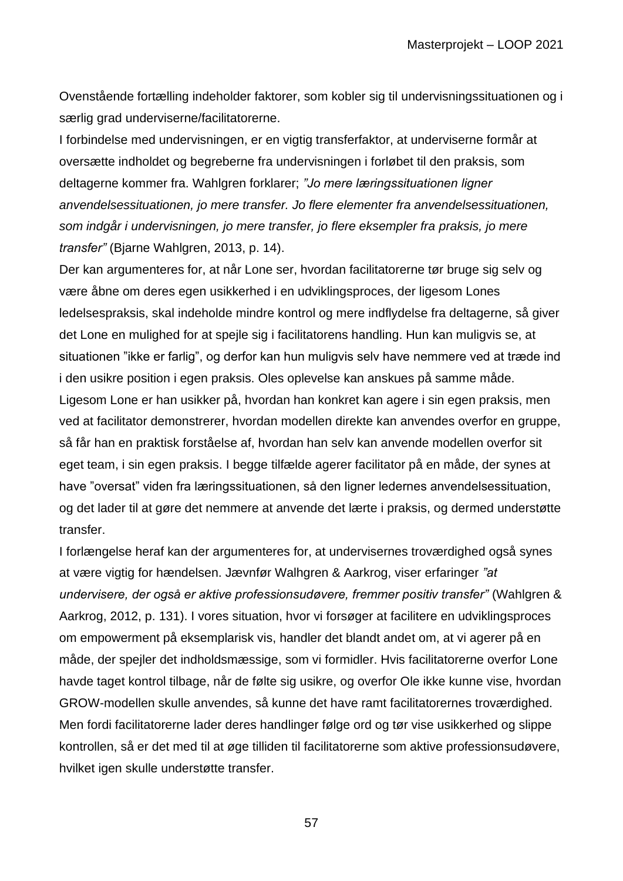Ovenstående fortælling indeholder faktorer, som kobler sig til undervisningssituationen og i særlig grad underviserne/facilitatorerne.

I forbindelse med undervisningen, er en vigtig transferfaktor, at underviserne formår at oversætte indholdet og begreberne fra undervisningen i forløbet til den praksis, som deltagerne kommer fra. Wahlgren forklarer; *"Jo mere læringssituationen ligner anvendelsessituationen, jo mere transfer. Jo flere elementer fra anvendelsessituationen, som indgår i undervisningen, jo mere transfer, jo flere eksempler fra praksis, jo mere transfer"* (Bjarne Wahlgren, 2013, p. 14).

Der kan argumenteres for, at når Lone ser, hvordan facilitatorerne tør bruge sig selv og være åbne om deres egen usikkerhed i en udviklingsproces, der ligesom Lones ledelsespraksis, skal indeholde mindre kontrol og mere indflydelse fra deltagerne, så giver det Lone en mulighed for at spejle sig i facilitatorens handling. Hun kan muligvis se, at situationen "ikke er farlig", og derfor kan hun muligvis selv have nemmere ved at træde ind i den usikre position i egen praksis. Oles oplevelse kan anskues på samme måde. Ligesom Lone er han usikker på, hvordan han konkret kan agere i sin egen praksis, men ved at facilitator demonstrerer, hvordan modellen direkte kan anvendes overfor en gruppe, så får han en praktisk forståelse af, hvordan han selv kan anvende modellen overfor sit eget team, i sin egen praksis. I begge tilfælde agerer facilitator på en måde, der synes at have "oversat" viden fra læringssituationen, så den ligner ledernes anvendelsessituation, og det lader til at gøre det nemmere at anvende det lærte i praksis, og dermed understøtte transfer.

I forlængelse heraf kan der argumenteres for, at undervisernes troværdighed også synes at være vigtig for hændelsen. Jævnfør Walhgren & Aarkrog, viser erfaringer *"at undervisere, der også er aktive professionsudøvere, fremmer positiv transfer"* (Wahlgren & Aarkrog, 2012, p. 131). I vores situation, hvor vi forsøger at facilitere en udviklingsproces om empowerment på eksemplarisk vis, handler det blandt andet om, at vi agerer på en måde, der spejler det indholdsmæssige, som vi formidler. Hvis facilitatorerne overfor Lone havde taget kontrol tilbage, når de følte sig usikre, og overfor Ole ikke kunne vise, hvordan GROW-modellen skulle anvendes, så kunne det have ramt facilitatorernes troværdighed. Men fordi facilitatorerne lader deres handlinger følge ord og tør vise usikkerhed og slippe kontrollen, så er det med til at øge tilliden til facilitatorerne som aktive professionsudøvere, hvilket igen skulle understøtte transfer.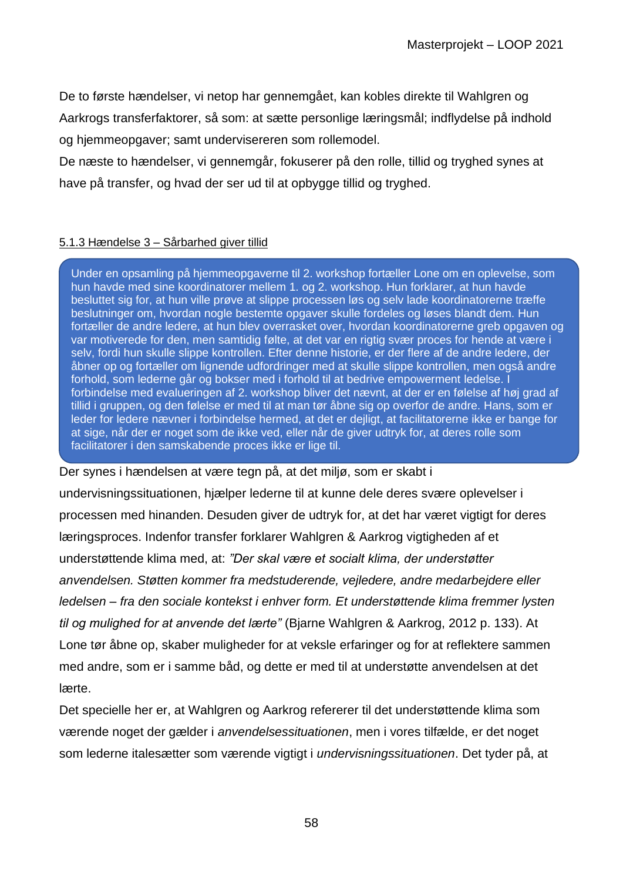De to første hændelser, vi netop har gennemgået, kan kobles direkte til Wahlgren og Aarkrogs transferfaktorer, så som: at sætte personlige læringsmål; indflydelse på indhold og hjemmeopgaver; samt undervisereren som rollemodel.

De næste to hændelser, vi gennemgår, fokuserer på den rolle, tillid og tryghed synes at have på transfer, og hvad der ser ud til at opbygge tillid og tryghed.

#### 5.1.3 Hændelse 3 – Sårbarhed giver tillid

Under en opsamling på hjemmeopgaverne til 2. workshop fortæller Lone om en oplevelse, som hun havde med sine koordinatorer mellem 1. og 2. workshop. Hun forklarer, at hun havde besluttet sig for, at hun ville prøve at slippe processen løs og selv lade koordinatorerne træffe beslutninger om, hvordan nogle bestemte opgaver skulle fordeles og løses blandt dem. Hun fortæller de andre ledere, at hun blev overrasket over, hvordan koordinatorerne greb opgaven og var motiverede for den, men samtidig følte, at det var en rigtig svær proces for hende at være i selv, fordi hun skulle slippe kontrollen. Efter denne historie, er der flere af de andre ledere, der åbner op og fortæller om lignende udfordringer med at skulle slippe kontrollen, men også andre forhold, som lederne går og bokser med i forhold til at bedrive empowerment ledelse. I forbindelse med evalueringen af 2. workshop bliver det nævnt, at der er en følelse af høj grad af tillid i gruppen, og den følelse er med til at man tør åbne sig op overfor de andre. Hans, som er leder for ledere nævner i forbindelse hermed, at det er dejligt, at facilitatorerne ikke er bange for at sige, når der er noget som de ikke ved, eller når de giver udtryk for, at deres rolle som facilitatorer i den samskabende proces ikke er lige til.

Der synes i hændelsen at være tegn på, at det miljø, som er skabt i undervisningssituationen, hjælper lederne til at kunne dele deres svære oplevelser i processen med hinanden. Desuden giver de udtryk for, at det har været vigtigt for deres læringsproces. Indenfor transfer forklarer Wahlgren & Aarkrog vigtigheden af et understøttende klima med, at: *"Der skal være et socialt klima, der understøtter anvendelsen. Støtten kommer fra medstuderende, vejledere, andre medarbejdere eller ledelsen – fra den sociale kontekst i enhver form. Et understøttende klima fremmer lysten til og mulighed for at anvende det lærte"* (Bjarne Wahlgren & Aarkrog, 2012 p. 133). At Lone tør åbne op, skaber muligheder for at veksle erfaringer og for at reflektere sammen med andre, som er i samme båd, og dette er med til at understøtte anvendelsen at det lærte.

Det specielle her er, at Wahlgren og Aarkrog refererer til det understøttende klima som værende noget der gælder i *anvendelsessituationen*, men i vores tilfælde, er det noget som lederne italesætter som værende vigtigt i *undervisningssituationen*. Det tyder på, at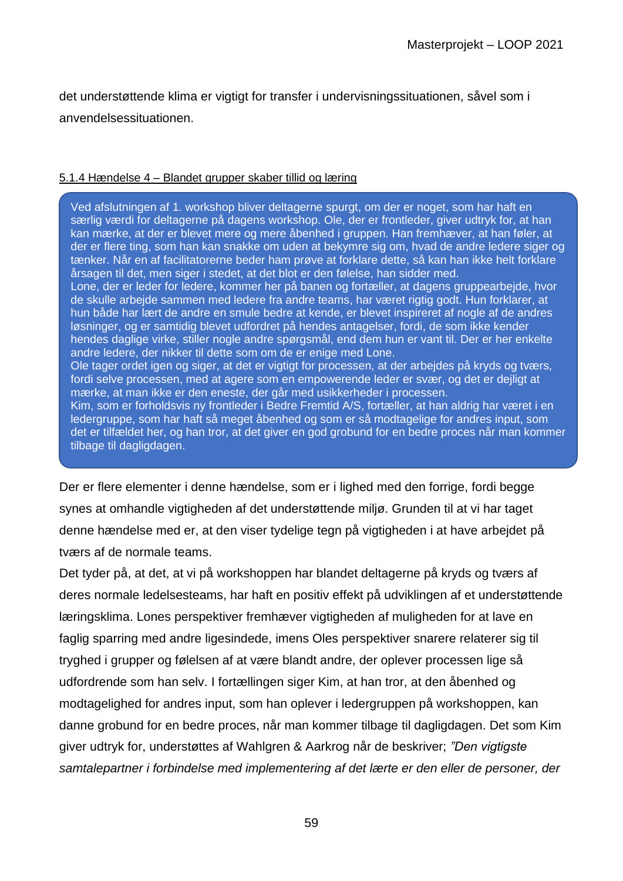det understøttende klima er vigtigt for transfer i undervisningssituationen, såvel som i anvendelsessituationen.

#### 5.1.4 Hændelse 4 – Blandet grupper skaber tillid og læring

Ved afslutningen af 1. workshop bliver deltagerne spurgt, om der er noget, som har haft en særlig værdi for deltagerne på dagens workshop. Ole, der er frontleder, giver udtryk for, at han kan mærke, at der er blevet mere og mere åbenhed i gruppen. Han fremhæver, at han føler, at der er flere ting, som han kan snakke om uden at bekymre sig om, hvad de andre ledere siger og tænker. Når en af facilitatorerne beder ham prøve at forklare dette, så kan han ikke helt forklare årsagen til det, men siger i stedet, at det blot er den følelse, han sidder med. Lone, der er leder for ledere, kommer her på banen og fortæller, at dagens gruppearbejde, hvor de skulle arbejde sammen med ledere fra andre teams, har været rigtig godt. Hun forklarer, at hun både har lært de andre en smule bedre at kende, er blevet inspireret af nogle af de andres løsninger, og er samtidig blevet udfordret på hendes antagelser, fordi, de som ikke kender hendes daglige virke, stiller nogle andre spørgsmål, end dem hun er vant til. Der er her enkelte andre ledere, der nikker til dette som om de er enige med Lone. Ole tager ordet igen og siger, at det er vigtigt for processen, at der arbejdes på kryds og tværs, fordi selve processen, med at agere som en empowerende leder er svær, og det er dejligt at mærke, at man ikke er den eneste, der går med usikkerheder i processen. Kim, som er forholdsvis ny frontleder i Bedre Fremtid A/S, fortæller, at han aldrig har været i en ledergruppe, som har haft så meget åbenhed og som er så modtagelige for andres input, som det er tilfældet her, og han tror, at det giver en god grobund for en bedre proces når man kommer tilbage til dagligdagen.

Der er flere elementer i denne hændelse, som er i lighed med den forrige, fordi begge synes at omhandle vigtigheden af det understøttende miljø. Grunden til at vi har taget denne hændelse med er, at den viser tydelige tegn på vigtigheden i at have arbejdet på tværs af de normale teams.

Det tyder på, at det, at vi på workshoppen har blandet deltagerne på kryds og tværs af deres normale ledelsesteams, har haft en positiv effekt på udviklingen af et understøttende læringsklima. Lones perspektiver fremhæver vigtigheden af muligheden for at lave en faglig sparring med andre ligesindede, imens Oles perspektiver snarere relaterer sig til tryghed i grupper og følelsen af at være blandt andre, der oplever processen lige så udfordrende som han selv. I fortællingen siger Kim, at han tror, at den åbenhed og modtagelighed for andres input, som han oplever i ledergruppen på workshoppen, kan danne grobund for en bedre proces, når man kommer tilbage til dagligdagen. Det som Kim giver udtryk for, understøttes af Wahlgren & Aarkrog når de beskriver; *"Den vigtigste samtalepartner i forbindelse med implementering af det lærte er den eller de personer, der*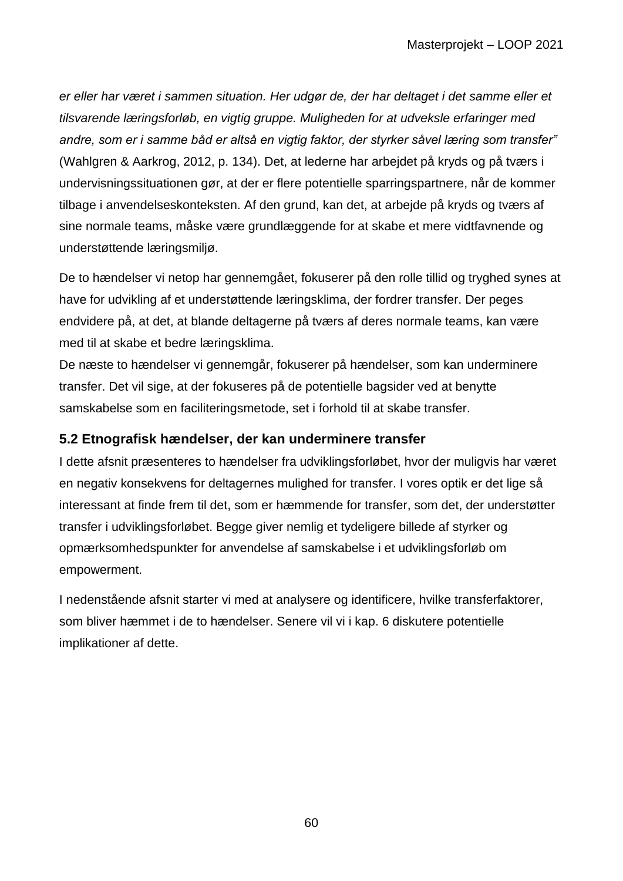*er eller har været i sammen situation. Her udgør de, der har deltaget i det samme eller et tilsvarende læringsforløb, en vigtig gruppe. Muligheden for at udveksle erfaringer med andre, som er i samme båd er altså en vigtig faktor, der styrker såvel læring som transfer"*  (Wahlgren & Aarkrog, 2012, p. 134). Det, at lederne har arbejdet på kryds og på tværs i undervisningssituationen gør, at der er flere potentielle sparringspartnere, når de kommer tilbage i anvendelseskonteksten. Af den grund, kan det, at arbejde på kryds og tværs af sine normale teams, måske være grundlæggende for at skabe et mere vidtfavnende og understøttende læringsmiljø.

De to hændelser vi netop har gennemgået, fokuserer på den rolle tillid og tryghed synes at have for udvikling af et understøttende læringsklima, der fordrer transfer. Der peges endvidere på, at det, at blande deltagerne på tværs af deres normale teams, kan være med til at skabe et bedre læringsklima.

De næste to hændelser vi gennemgår, fokuserer på hændelser, som kan underminere transfer. Det vil sige, at der fokuseres på de potentielle bagsider ved at benytte samskabelse som en faciliteringsmetode, set i forhold til at skabe transfer.

## **5.2 Etnografisk hændelser, der kan underminere transfer**

I dette afsnit præsenteres to hændelser fra udviklingsforløbet, hvor der muligvis har været en negativ konsekvens for deltagernes mulighed for transfer. I vores optik er det lige så interessant at finde frem til det, som er hæmmende for transfer, som det, der understøtter transfer i udviklingsforløbet. Begge giver nemlig et tydeligere billede af styrker og opmærksomhedspunkter for anvendelse af samskabelse i et udviklingsforløb om empowerment.

I nedenstående afsnit starter vi med at analysere og identificere, hvilke transferfaktorer, som bliver hæmmet i de to hændelser. Senere vil vi i kap. 6 diskutere potentielle implikationer af dette.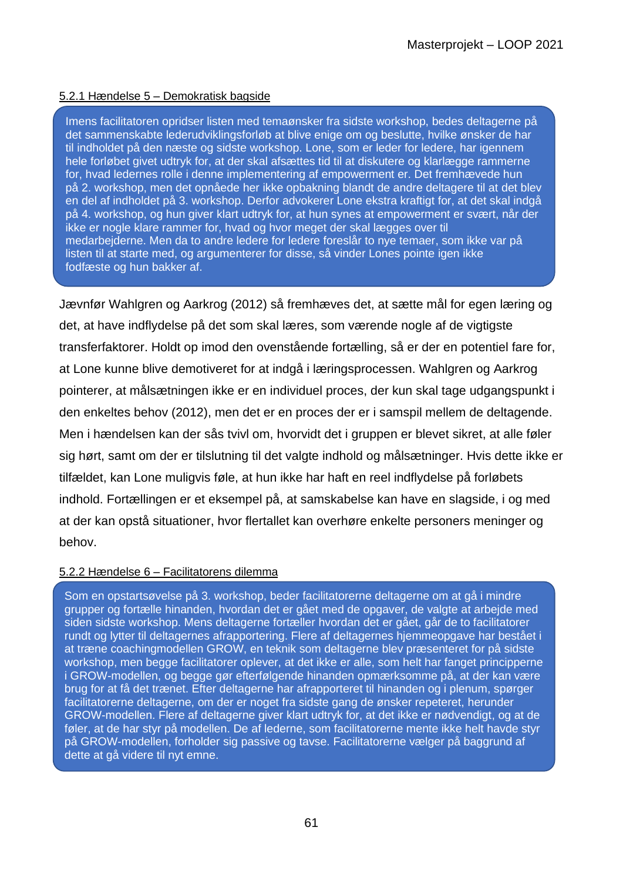#### 5.2.1 Hændelse 5 – Demokratisk bagside

Imens facilitatoren opridser listen med temaønsker fra sidste workshop, bedes deltagerne på det sammenskabte lederudviklingsforløb at blive enige om og beslutte, hvilke ønsker de har til indholdet på den næste og sidste workshop. Lone, som er leder for ledere, har igennem hele forløbet givet udtryk for, at der skal afsættes tid til at diskutere og klarlægge rammerne for, hvad ledernes rolle i denne implementering af empowerment er. Det fremhævede hun på 2. workshop, men det opnåede her ikke opbakning blandt de andre deltagere til at det blev en del af indholdet på 3. workshop. Derfor advokerer Lone ekstra kraftigt for, at det skal indgå på 4. workshop, og hun giver klart udtryk for, at hun synes at empowerment er svært, når der ikke er nogle klare rammer for, hvad og hvor meget der skal lægges over til medarbejderne. Men da to andre ledere for ledere foreslår to nye temaer, som ikke var på listen til at starte med, og argumenterer for disse, så vinder Lones pointe igen ikke fodfæste og hun bakker af.

Jævnfør Wahlgren og Aarkrog (2012) så fremhæves det, at sætte mål for egen læring og det, at have indflydelse på det som skal læres, som værende nogle af de vigtigste transferfaktorer. Holdt op imod den ovenstående fortælling, så er der en potentiel fare for, at Lone kunne blive demotiveret for at indgå i læringsprocessen. Wahlgren og Aarkrog pointerer, at målsætningen ikke er en individuel proces, der kun skal tage udgangspunkt i den enkeltes behov (2012), men det er en proces der er i samspil mellem de deltagende. Men i hændelsen kan der sås tvivl om, hvorvidt det i gruppen er blevet sikret, at alle føler sig hørt, samt om der er tilslutning til det valgte indhold og målsætninger. Hvis dette ikke er tilfældet, kan Lone muligvis føle, at hun ikke har haft en reel indflydelse på forløbets indhold. Fortællingen er et eksempel på, at samskabelse kan have en slagside, i og med at der kan opstå situationer, hvor flertallet kan overhøre enkelte personers meninger og behov.

#### 5.2.2 Hændelse 6 – Facilitatorens dilemma

Som en opstartsøvelse på 3. workshop, beder facilitatorerne deltagerne om at gå i mindre grupper og fortælle hinanden, hvordan det er gået med de opgaver, de valgte at arbejde med siden sidste workshop. Mens deltagerne fortæller hvordan det er gået, går de to facilitatorer rundt og lytter til deltagernes afrapportering. Flere af deltagernes hjemmeopgave har bestået i at træne coachingmodellen GROW, en teknik som deltagerne blev præsenteret for på sidste workshop, men begge facilitatorer oplever, at det ikke er alle, som helt har fanget principperne i GROW-modellen, og begge gør efterfølgende hinanden opmærksomme på, at der kan være brug for at få det trænet. Efter deltagerne har afrapporteret til hinanden og i plenum, spørger facilitatorerne deltagerne, om der er noget fra sidste gang de ønsker repeteret, herunder GROW-modellen. Flere af deltagerne giver klart udtryk for, at det ikke er nødvendigt, og at de føler, at de har styr på modellen. De af lederne, som facilitatorerne mente ikke helt havde styr på GROW-modellen, forholder sig passive og tavse. Facilitatorerne vælger på baggrund af dette at gå videre til nyt emne.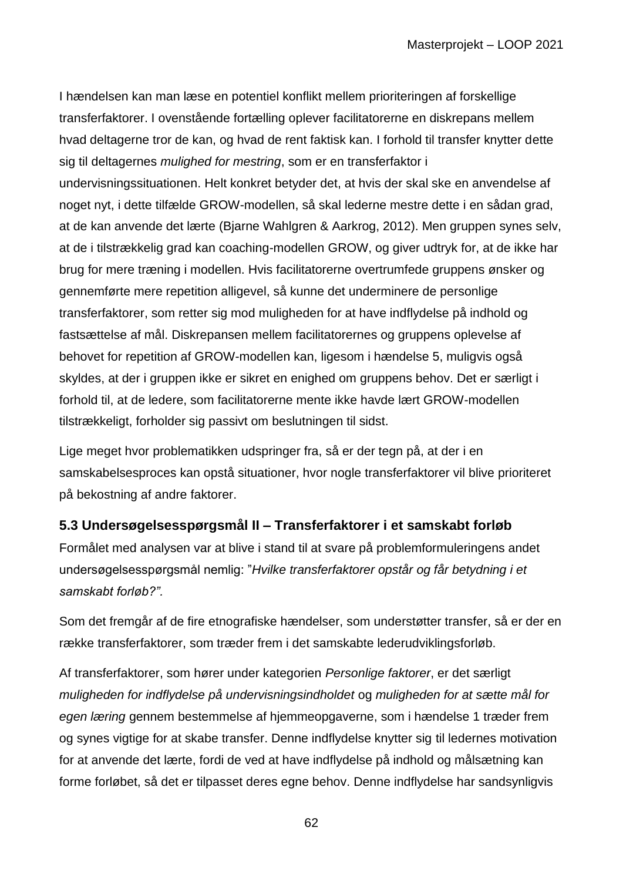I hændelsen kan man læse en potentiel konflikt mellem prioriteringen af forskellige transferfaktorer. I ovenstående fortælling oplever facilitatorerne en diskrepans mellem hvad deltagerne tror de kan, og hvad de rent faktisk kan. I forhold til transfer knytter dette sig til deltagernes *mulighed for mestring*, som er en transferfaktor i undervisningssituationen. Helt konkret betyder det, at hvis der skal ske en anvendelse af noget nyt, i dette tilfælde GROW-modellen, så skal lederne mestre dette i en sådan grad, at de kan anvende det lærte (Bjarne Wahlgren & Aarkrog, 2012). Men gruppen synes selv, at de i tilstrækkelig grad kan coaching-modellen GROW, og giver udtryk for, at de ikke har brug for mere træning i modellen. Hvis facilitatorerne overtrumfede gruppens ønsker og gennemførte mere repetition alligevel, så kunne det underminere de personlige transferfaktorer, som retter sig mod muligheden for at have indflydelse på indhold og fastsættelse af mål. Diskrepansen mellem facilitatorernes og gruppens oplevelse af behovet for repetition af GROW-modellen kan, ligesom i hændelse 5, muligvis også skyldes, at der i gruppen ikke er sikret en enighed om gruppens behov. Det er særligt i forhold til, at de ledere, som facilitatorerne mente ikke havde lært GROW-modellen tilstrækkeligt, forholder sig passivt om beslutningen til sidst.

Lige meget hvor problematikken udspringer fra, så er der tegn på, at der i en samskabelsesproces kan opstå situationer, hvor nogle transferfaktorer vil blive prioriteret på bekostning af andre faktorer.

## **5.3 Undersøgelsesspørgsmål II – Transferfaktorer i et samskabt forløb**

Formålet med analysen var at blive i stand til at svare på problemformuleringens andet undersøgelsesspørgsmål nemlig: "*Hvilke transferfaktorer opstår og får betydning i et samskabt forløb?".*

Som det fremgår af de fire etnografiske hændelser, som understøtter transfer, så er der en række transferfaktorer, som træder frem i det samskabte lederudviklingsforløb.

Af transferfaktorer, som hører under kategorien *Personlige faktorer*, er det særligt *muligheden for indflydelse på undervisningsindholdet* og *muligheden for at sætte mål for egen læring* gennem bestemmelse af hjemmeopgaverne, som i hændelse 1 træder frem og synes vigtige for at skabe transfer. Denne indflydelse knytter sig til ledernes motivation for at anvende det lærte, fordi de ved at have indflydelse på indhold og målsætning kan forme forløbet, så det er tilpasset deres egne behov. Denne indflydelse har sandsynligvis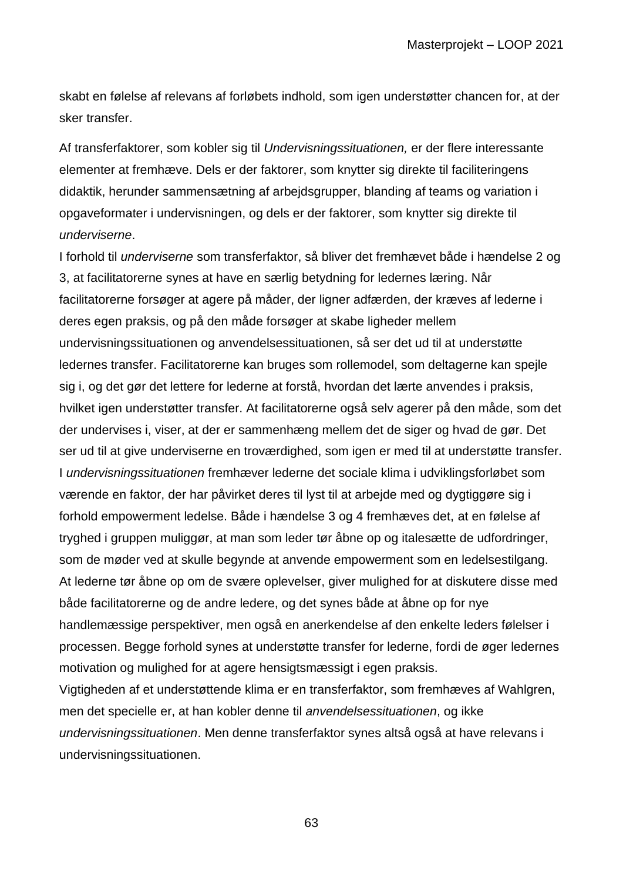skabt en følelse af relevans af forløbets indhold, som igen understøtter chancen for, at der sker transfer.

Af transferfaktorer, som kobler sig til *Undervisningssituationen,* er der flere interessante elementer at fremhæve. Dels er der faktorer, som knytter sig direkte til faciliteringens didaktik, herunder sammensætning af arbejdsgrupper, blanding af teams og variation i opgaveformater i undervisningen, og dels er der faktorer, som knytter sig direkte til *underviserne*.

I forhold til *underviserne* som transferfaktor, så bliver det fremhævet både i hændelse 2 og 3, at facilitatorerne synes at have en særlig betydning for ledernes læring. Når facilitatorerne forsøger at agere på måder, der ligner adfærden, der kræves af lederne i deres egen praksis, og på den måde forsøger at skabe ligheder mellem undervisningssituationen og anvendelsessituationen, så ser det ud til at understøtte ledernes transfer. Facilitatorerne kan bruges som rollemodel, som deltagerne kan spejle sig i, og det gør det lettere for lederne at forstå, hvordan det lærte anvendes i praksis, hvilket igen understøtter transfer. At facilitatorerne også selv agerer på den måde, som det der undervises i, viser, at der er sammenhæng mellem det de siger og hvad de gør. Det ser ud til at give underviserne en troværdighed, som igen er med til at understøtte transfer. I *undervisningssituationen* fremhæver lederne det sociale klima i udviklingsforløbet som værende en faktor, der har påvirket deres til lyst til at arbejde med og dygtiggøre sig i forhold empowerment ledelse. Både i hændelse 3 og 4 fremhæves det, at en følelse af tryghed i gruppen muliggør, at man som leder tør åbne op og italesætte de udfordringer, som de møder ved at skulle begynde at anvende empowerment som en ledelsestilgang. At lederne tør åbne op om de svære oplevelser, giver mulighed for at diskutere disse med både facilitatorerne og de andre ledere, og det synes både at åbne op for nye handlemæssige perspektiver, men også en anerkendelse af den enkelte leders følelser i processen. Begge forhold synes at understøtte transfer for lederne, fordi de øger ledernes motivation og mulighed for at agere hensigtsmæssigt i egen praksis. Vigtigheden af et understøttende klima er en transferfaktor, som fremhæves af Wahlgren, men det specielle er, at han kobler denne til *anvendelsessituationen*, og ikke

*undervisningssituationen*. Men denne transferfaktor synes altså også at have relevans i undervisningssituationen.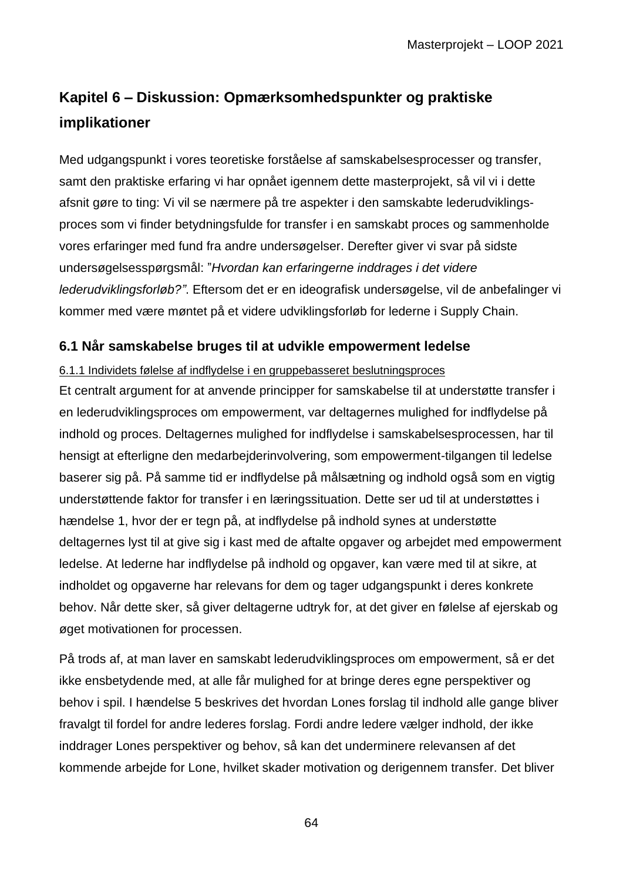# **Kapitel 6 – Diskussion: Opmærksomhedspunkter og praktiske implikationer**

Med udgangspunkt i vores teoretiske forståelse af samskabelsesprocesser og transfer, samt den praktiske erfaring vi har opnået igennem dette masterprojekt, så vil vi i dette afsnit gøre to ting: Vi vil se nærmere på tre aspekter i den samskabte lederudviklingsproces som vi finder betydningsfulde for transfer i en samskabt proces og sammenholde vores erfaringer med fund fra andre undersøgelser. Derefter giver vi svar på sidste undersøgelsesspørgsmål: "*Hvordan kan erfaringerne inddrages i det videre lederudviklingsforløb?"*. Eftersom det er en ideografisk undersøgelse, vil de anbefalinger vi kommer med være møntet på et videre udviklingsforløb for lederne i Supply Chain.

## **6.1 Når samskabelse bruges til at udvikle empowerment ledelse**

#### 6.1.1 Individets følelse af indflydelse i en gruppebasseret beslutningsproces

Et centralt argument for at anvende principper for samskabelse til at understøtte transfer i en lederudviklingsproces om empowerment, var deltagernes mulighed for indflydelse på indhold og proces. Deltagernes mulighed for indflydelse i samskabelsesprocessen, har til hensigt at efterligne den medarbejderinvolvering, som empowerment-tilgangen til ledelse baserer sig på. På samme tid er indflydelse på målsætning og indhold også som en vigtig understøttende faktor for transfer i en læringssituation. Dette ser ud til at understøttes i hændelse 1, hvor der er tegn på, at indflydelse på indhold synes at understøtte deltagernes lyst til at give sig i kast med de aftalte opgaver og arbejdet med empowerment ledelse. At lederne har indflydelse på indhold og opgaver, kan være med til at sikre, at indholdet og opgaverne har relevans for dem og tager udgangspunkt i deres konkrete behov. Når dette sker, så giver deltagerne udtryk for, at det giver en følelse af ejerskab og øget motivationen for processen.

På trods af, at man laver en samskabt lederudviklingsproces om empowerment, så er det ikke ensbetydende med, at alle får mulighed for at bringe deres egne perspektiver og behov i spil. I hændelse 5 beskrives det hvordan Lones forslag til indhold alle gange bliver fravalgt til fordel for andre lederes forslag. Fordi andre ledere vælger indhold, der ikke inddrager Lones perspektiver og behov, så kan det underminere relevansen af det kommende arbejde for Lone, hvilket skader motivation og derigennem transfer. Det bliver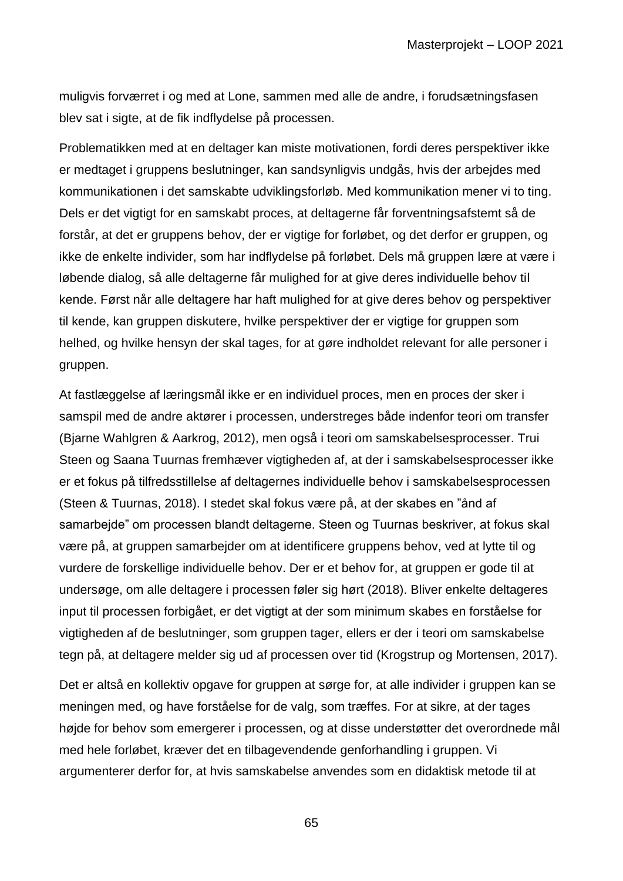muligvis forværret i og med at Lone, sammen med alle de andre, i forudsætningsfasen blev sat i sigte, at de fik indflydelse på processen.

Problematikken med at en deltager kan miste motivationen, fordi deres perspektiver ikke er medtaget i gruppens beslutninger, kan sandsynligvis undgås, hvis der arbejdes med kommunikationen i det samskabte udviklingsforløb. Med kommunikation mener vi to ting. Dels er det vigtigt for en samskabt proces, at deltagerne får forventningsafstemt så de forstår, at det er gruppens behov, der er vigtige for forløbet, og det derfor er gruppen, og ikke de enkelte individer, som har indflydelse på forløbet. Dels må gruppen lære at være i løbende dialog, så alle deltagerne får mulighed for at give deres individuelle behov til kende. Først når alle deltagere har haft mulighed for at give deres behov og perspektiver til kende, kan gruppen diskutere, hvilke perspektiver der er vigtige for gruppen som helhed, og hvilke hensyn der skal tages, for at gøre indholdet relevant for alle personer i gruppen.

At fastlæggelse af læringsmål ikke er en individuel proces, men en proces der sker i samspil med de andre aktører i processen, understreges både indenfor teori om transfer (Bjarne Wahlgren & Aarkrog, 2012), men også i teori om samskabelsesprocesser. Trui Steen og Saana Tuurnas fremhæver vigtigheden af, at der i samskabelsesprocesser ikke er et fokus på tilfredsstillelse af deltagernes individuelle behov i samskabelsesprocessen (Steen & Tuurnas, 2018). I stedet skal fokus være på, at der skabes en "ånd af samarbejde" om processen blandt deltagerne. Steen og Tuurnas beskriver, at fokus skal være på, at gruppen samarbejder om at identificere gruppens behov, ved at lytte til og vurdere de forskellige individuelle behov. Der er et behov for, at gruppen er gode til at undersøge, om alle deltagere i processen føler sig hørt (2018). Bliver enkelte deltageres input til processen forbigået, er det vigtigt at der som minimum skabes en forståelse for vigtigheden af de beslutninger, som gruppen tager, ellers er der i teori om samskabelse tegn på, at deltagere melder sig ud af processen over tid (Krogstrup og Mortensen, 2017).

Det er altså en kollektiv opgave for gruppen at sørge for, at alle individer i gruppen kan se meningen med, og have forståelse for de valg, som træffes. For at sikre, at der tages højde for behov som emergerer i processen, og at disse understøtter det overordnede mål med hele forløbet, kræver det en tilbagevendende genforhandling i gruppen. Vi argumenterer derfor for, at hvis samskabelse anvendes som en didaktisk metode til at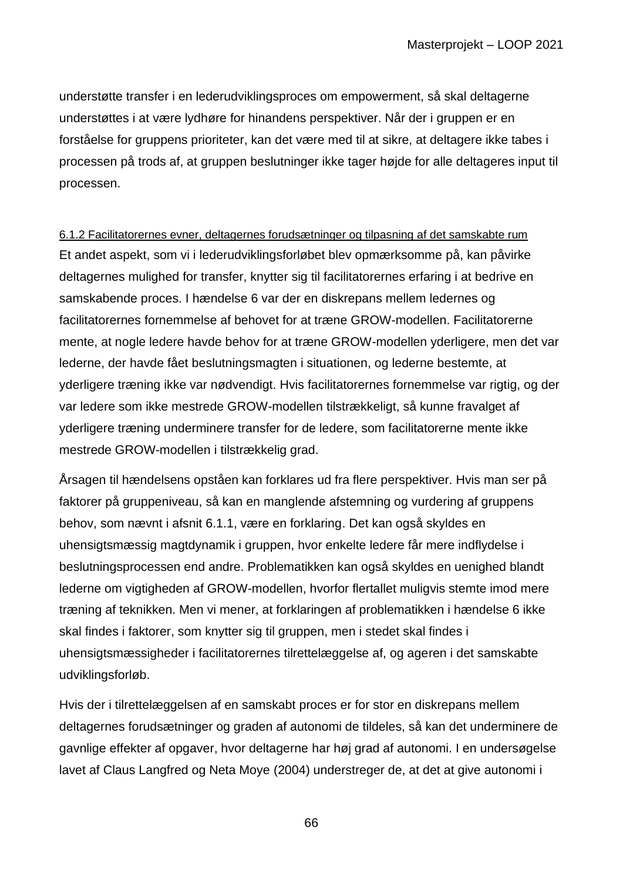understøtte transfer i en lederudviklingsproces om empowerment, så skal deltagerne understøttes i at være lydhøre for hinandens perspektiver. Når der i gruppen er en forståelse for gruppens prioriteter, kan det være med til at sikre, at deltagere ikke tabes i processen på trods af, at gruppen beslutninger ikke tager højde for alle deltageres input til processen.

6.1.2 Facilitatorernes evner, deltagernes forudsætninger og tilpasning af det samskabte rum Et andet aspekt, som vi i lederudviklingsforløbet blev opmærksomme på, kan påvirke deltagernes mulighed for transfer, knytter sig til facilitatorernes erfaring i at bedrive en samskabende proces. I hændelse 6 var der en diskrepans mellem ledernes og facilitatorernes fornemmelse af behovet for at træne GROW-modellen. Facilitatorerne mente, at nogle ledere havde behov for at træne GROW-modellen yderligere, men det var lederne, der havde fået beslutningsmagten i situationen, og lederne bestemte, at yderligere træning ikke var nødvendigt. Hvis facilitatorernes fornemmelse var rigtig, og der var ledere som ikke mestrede GROW-modellen tilstrækkeligt, så kunne fravalget af yderligere træning underminere transfer for de ledere, som facilitatorerne mente ikke mestrede GROW-modellen i tilstrækkelig grad.

Årsagen til hændelsens opståen kan forklares ud fra flere perspektiver. Hvis man ser på faktorer på gruppeniveau, så kan en manglende afstemning og vurdering af gruppens behov, som nævnt i afsnit 6.1.1, være en forklaring. Det kan også skyldes en uhensigtsmæssig magtdynamik i gruppen, hvor enkelte ledere får mere indflydelse i beslutningsprocessen end andre. Problematikken kan også skyldes en uenighed blandt lederne om vigtigheden af GROW-modellen, hvorfor flertallet muligvis stemte imod mere træning af teknikken. Men vi mener, at forklaringen af problematikken i hændelse 6 ikke skal findes i faktorer, som knytter sig til gruppen, men i stedet skal findes i uhensigtsmæssigheder i facilitatorernes tilrettelæggelse af, og ageren i det samskabte udviklingsforløb.

Hvis der i tilrettelæggelsen af en samskabt proces er for stor en diskrepans mellem deltagernes forudsætninger og graden af autonomi de tildeles, så kan det underminere de gavnlige effekter af opgaver, hvor deltagerne har høj grad af autonomi. I en undersøgelse lavet af Claus Langfred og Neta Moye (2004) understreger de, at det at give autonomi i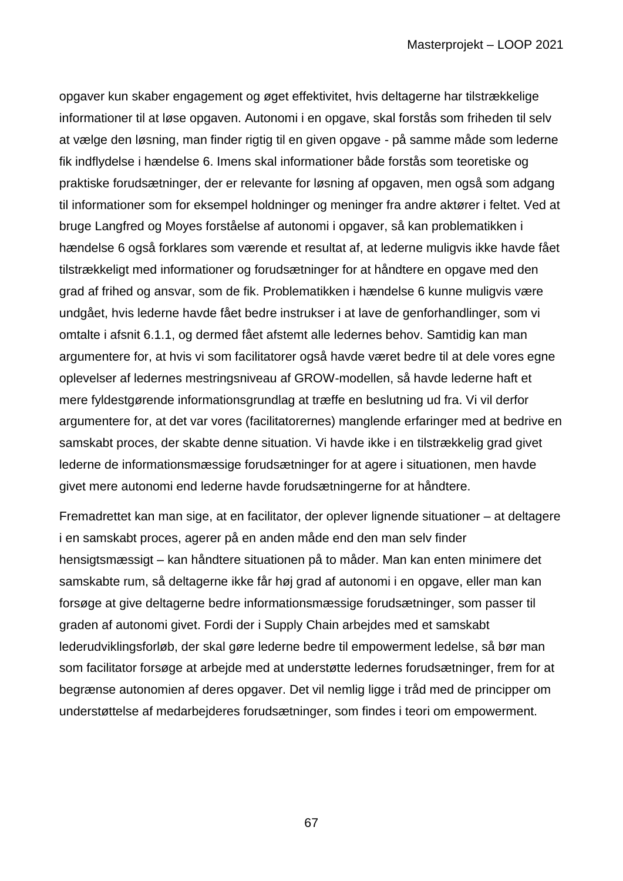opgaver kun skaber engagement og øget effektivitet, hvis deltagerne har tilstrækkelige informationer til at løse opgaven. Autonomi i en opgave, skal forstås som friheden til selv at vælge den løsning, man finder rigtig til en given opgave - på samme måde som lederne fik indflydelse i hændelse 6. Imens skal informationer både forstås som teoretiske og praktiske forudsætninger, der er relevante for løsning af opgaven, men også som adgang til informationer som for eksempel holdninger og meninger fra andre aktører i feltet. Ved at bruge Langfred og Moyes forståelse af autonomi i opgaver, så kan problematikken i hændelse 6 også forklares som værende et resultat af, at lederne muligvis ikke havde fået tilstrækkeligt med informationer og forudsætninger for at håndtere en opgave med den grad af frihed og ansvar, som de fik. Problematikken i hændelse 6 kunne muligvis være undgået, hvis lederne havde fået bedre instrukser i at lave de genforhandlinger, som vi omtalte i afsnit 6.1.1, og dermed fået afstemt alle ledernes behov. Samtidig kan man argumentere for, at hvis vi som facilitatorer også havde været bedre til at dele vores egne oplevelser af ledernes mestringsniveau af GROW-modellen, så havde lederne haft et mere fyldestgørende informationsgrundlag at træffe en beslutning ud fra. Vi vil derfor argumentere for, at det var vores (facilitatorernes) manglende erfaringer med at bedrive en samskabt proces, der skabte denne situation. Vi havde ikke i en tilstrækkelig grad givet lederne de informationsmæssige forudsætninger for at agere i situationen, men havde givet mere autonomi end lederne havde forudsætningerne for at håndtere.

Fremadrettet kan man sige, at en facilitator, der oplever lignende situationer – at deltagere i en samskabt proces, agerer på en anden måde end den man selv finder hensigtsmæssigt – kan håndtere situationen på to måder. Man kan enten minimere det samskabte rum, så deltagerne ikke får høj grad af autonomi i en opgave, eller man kan forsøge at give deltagerne bedre informationsmæssige forudsætninger, som passer til graden af autonomi givet. Fordi der i Supply Chain arbejdes med et samskabt lederudviklingsforløb, der skal gøre lederne bedre til empowerment ledelse, så bør man som facilitator forsøge at arbejde med at understøtte ledernes forudsætninger, frem for at begrænse autonomien af deres opgaver. Det vil nemlig ligge i tråd med de principper om understøttelse af medarbejderes forudsætninger, som findes i teori om empowerment.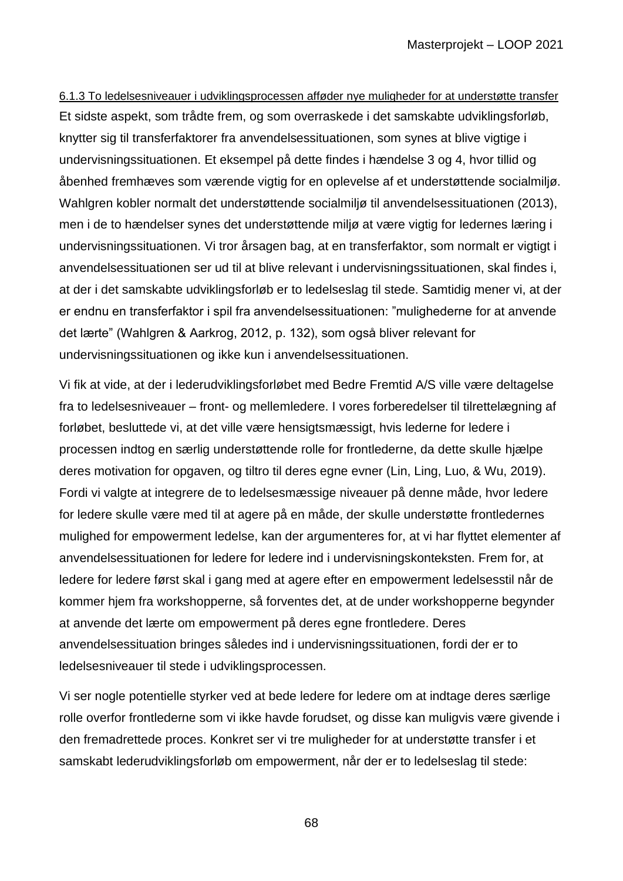6.1.3 To ledelsesniveauer i udviklingsprocessen afføder nye muligheder for at understøtte transfer Et sidste aspekt, som trådte frem, og som overraskede i det samskabte udviklingsforløb, knytter sig til transferfaktorer fra anvendelsessituationen, som synes at blive vigtige i undervisningssituationen. Et eksempel på dette findes i hændelse 3 og 4, hvor tillid og åbenhed fremhæves som værende vigtig for en oplevelse af et understøttende socialmiljø. Wahlgren kobler normalt det understøttende socialmiljø til anvendelsessituationen (2013), men i de to hændelser synes det understøttende miljø at være vigtig for ledernes læring i undervisningssituationen. Vi tror årsagen bag, at en transferfaktor, som normalt er vigtigt i anvendelsessituationen ser ud til at blive relevant i undervisningssituationen, skal findes i, at der i det samskabte udviklingsforløb er to ledelseslag til stede. Samtidig mener vi, at der er endnu en transferfaktor i spil fra anvendelsessituationen: "mulighederne for at anvende det lærte" (Wahlgren & Aarkrog, 2012, p. 132), som også bliver relevant for undervisningssituationen og ikke kun i anvendelsessituationen.

Vi fik at vide, at der i lederudviklingsforløbet med Bedre Fremtid A/S ville være deltagelse fra to ledelsesniveauer – front- og mellemledere. I vores forberedelser til tilrettelægning af forløbet, besluttede vi, at det ville være hensigtsmæssigt, hvis lederne for ledere i processen indtog en særlig understøttende rolle for frontlederne, da dette skulle hjælpe deres motivation for opgaven, og tiltro til deres egne evner (Lin, Ling, Luo, & Wu, 2019). Fordi vi valgte at integrere de to ledelsesmæssige niveauer på denne måde, hvor ledere for ledere skulle være med til at agere på en måde, der skulle understøtte frontledernes mulighed for empowerment ledelse, kan der argumenteres for, at vi har flyttet elementer af anvendelsessituationen for ledere for ledere ind i undervisningskonteksten. Frem for, at ledere for ledere først skal i gang med at agere efter en empowerment ledelsesstil når de kommer hjem fra workshopperne, så forventes det, at de under workshopperne begynder at anvende det lærte om empowerment på deres egne frontledere. Deres anvendelsessituation bringes således ind i undervisningssituationen, fordi der er to ledelsesniveauer til stede i udviklingsprocessen.

Vi ser nogle potentielle styrker ved at bede ledere for ledere om at indtage deres særlige rolle overfor frontlederne som vi ikke havde forudset, og disse kan muligvis være givende i den fremadrettede proces. Konkret ser vi tre muligheder for at understøtte transfer i et samskabt lederudviklingsforløb om empowerment, når der er to ledelseslag til stede: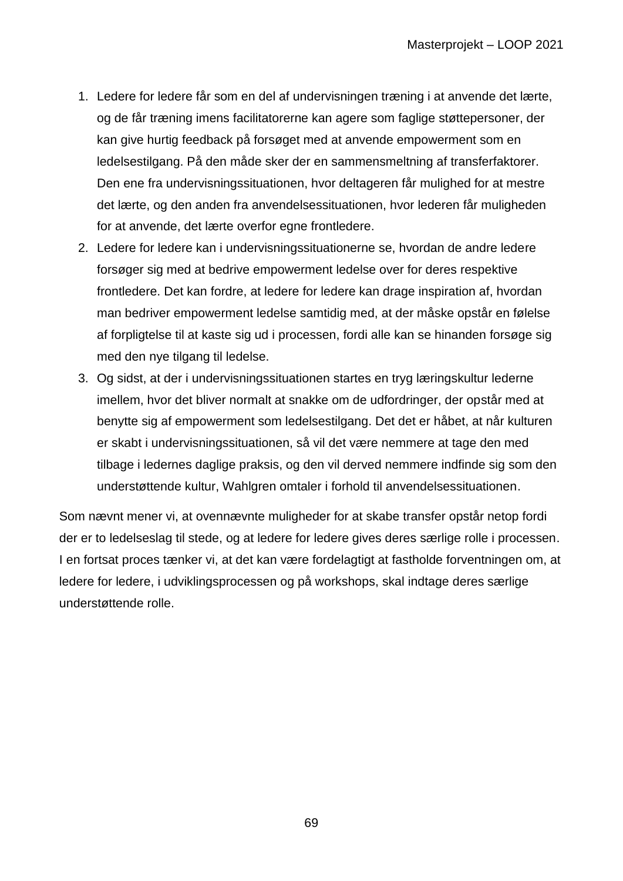- 1. Ledere for ledere får som en del af undervisningen træning i at anvende det lærte, og de får træning imens facilitatorerne kan agere som faglige støttepersoner, der kan give hurtig feedback på forsøget med at anvende empowerment som en ledelsestilgang. På den måde sker der en sammensmeltning af transferfaktorer. Den ene fra undervisningssituationen, hvor deltageren får mulighed for at mestre det lærte, og den anden fra anvendelsessituationen, hvor lederen får muligheden for at anvende, det lærte overfor egne frontledere.
- 2. Ledere for ledere kan i undervisningssituationerne se, hvordan de andre ledere forsøger sig med at bedrive empowerment ledelse over for deres respektive frontledere. Det kan fordre, at ledere for ledere kan drage inspiration af, hvordan man bedriver empowerment ledelse samtidig med, at der måske opstår en følelse af forpligtelse til at kaste sig ud i processen, fordi alle kan se hinanden forsøge sig med den nye tilgang til ledelse.
- 3. Og sidst, at der i undervisningssituationen startes en tryg læringskultur lederne imellem, hvor det bliver normalt at snakke om de udfordringer, der opstår med at benytte sig af empowerment som ledelsestilgang. Det det er håbet, at når kulturen er skabt i undervisningssituationen, så vil det være nemmere at tage den med tilbage i ledernes daglige praksis, og den vil derved nemmere indfinde sig som den understøttende kultur, Wahlgren omtaler i forhold til anvendelsessituationen.

Som nævnt mener vi, at ovennævnte muligheder for at skabe transfer opstår netop fordi der er to ledelseslag til stede, og at ledere for ledere gives deres særlige rolle i processen. I en fortsat proces tænker vi, at det kan være fordelagtigt at fastholde forventningen om, at ledere for ledere, i udviklingsprocessen og på workshops, skal indtage deres særlige understøttende rolle.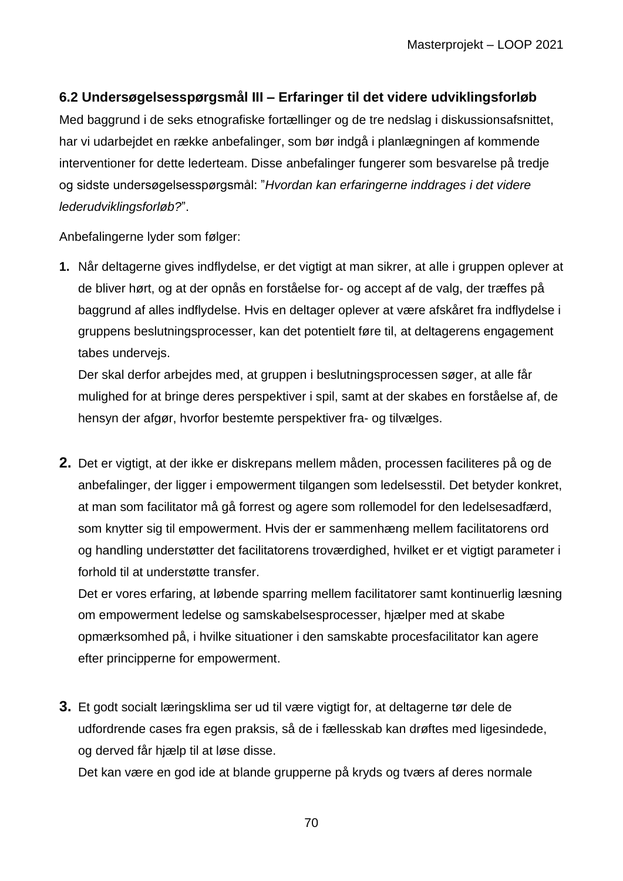## **6.2 Undersøgelsesspørgsmål III – Erfaringer til det videre udviklingsforløb**

Med baggrund i de seks etnografiske fortællinger og de tre nedslag i diskussionsafsnittet, har vi udarbejdet en række anbefalinger, som bør indgå i planlægningen af kommende interventioner for dette lederteam. Disse anbefalinger fungerer som besvarelse på tredje og sidste undersøgelsesspørgsmål: "*Hvordan kan erfaringerne inddrages i det videre lederudviklingsforløb?*".

Anbefalingerne lyder som følger:

**1.** Når deltagerne gives indflydelse, er det vigtigt at man sikrer, at alle i gruppen oplever at de bliver hørt, og at der opnås en forståelse for- og accept af de valg, der træffes på baggrund af alles indflydelse. Hvis en deltager oplever at være afskåret fra indflydelse i gruppens beslutningsprocesser, kan det potentielt føre til, at deltagerens engagement tabes undervejs.

Der skal derfor arbejdes med, at gruppen i beslutningsprocessen søger, at alle får mulighed for at bringe deres perspektiver i spil, samt at der skabes en forståelse af, de hensyn der afgør, hvorfor bestemte perspektiver fra- og tilvælges.

**2.** Det er vigtigt, at der ikke er diskrepans mellem måden, processen faciliteres på og de anbefalinger, der ligger i empowerment tilgangen som ledelsesstil. Det betyder konkret, at man som facilitator må gå forrest og agere som rollemodel for den ledelsesadfærd, som knytter sig til empowerment. Hvis der er sammenhæng mellem facilitatorens ord og handling understøtter det facilitatorens troværdighed, hvilket er et vigtigt parameter i forhold til at understøtte transfer.

Det er vores erfaring, at løbende sparring mellem facilitatorer samt kontinuerlig læsning om empowerment ledelse og samskabelsesprocesser, hjælper med at skabe opmærksomhed på, i hvilke situationer i den samskabte procesfacilitator kan agere efter principperne for empowerment.

**3.** Et godt socialt læringsklima ser ud til være vigtigt for, at deltagerne tør dele de udfordrende cases fra egen praksis, så de i fællesskab kan drøftes med ligesindede, og derved får hjælp til at løse disse.

Det kan være en god ide at blande grupperne på kryds og tværs af deres normale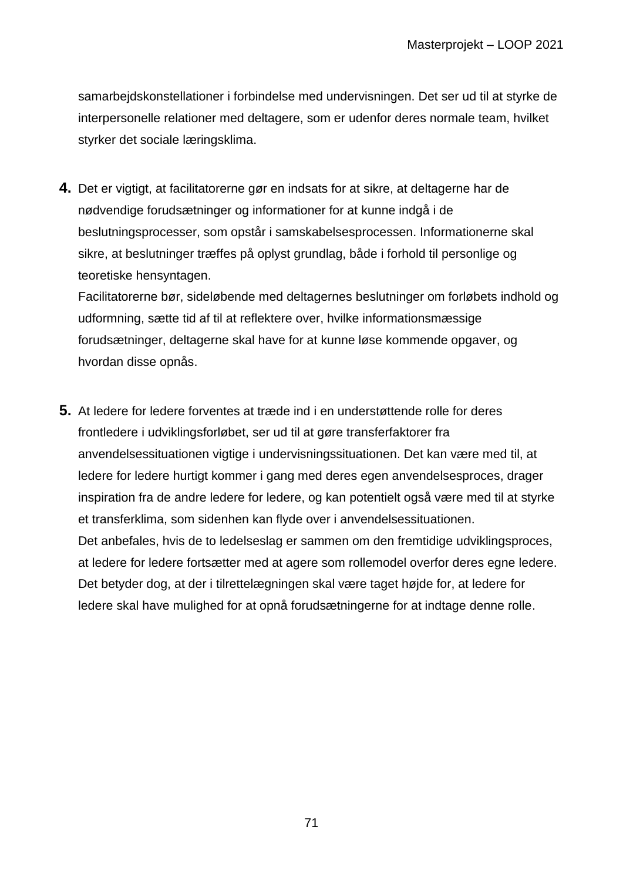samarbejdskonstellationer i forbindelse med undervisningen. Det ser ud til at styrke de interpersonelle relationer med deltagere, som er udenfor deres normale team, hvilket styrker det sociale læringsklima.

**4.** Det er vigtigt, at facilitatorerne gør en indsats for at sikre, at deltagerne har de nødvendige forudsætninger og informationer for at kunne indgå i de beslutningsprocesser, som opstår i samskabelsesprocessen. Informationerne skal sikre, at beslutninger træffes på oplyst grundlag, både i forhold til personlige og teoretiske hensyntagen.

Facilitatorerne bør, sideløbende med deltagernes beslutninger om forløbets indhold og udformning, sætte tid af til at reflektere over, hvilke informationsmæssige forudsætninger, deltagerne skal have for at kunne løse kommende opgaver, og hvordan disse opnås.

**5.** At ledere for ledere forventes at træde ind i en understøttende rolle for deres frontledere i udviklingsforløbet, ser ud til at gøre transferfaktorer fra anvendelsessituationen vigtige i undervisningssituationen. Det kan være med til, at ledere for ledere hurtigt kommer i gang med deres egen anvendelsesproces, drager inspiration fra de andre ledere for ledere, og kan potentielt også være med til at styrke et transferklima, som sidenhen kan flyde over i anvendelsessituationen. Det anbefales, hvis de to ledelseslag er sammen om den fremtidige udviklingsproces, at ledere for ledere fortsætter med at agere som rollemodel overfor deres egne ledere. Det betyder dog, at der i tilrettelægningen skal være taget højde for, at ledere for ledere skal have mulighed for at opnå forudsætningerne for at indtage denne rolle.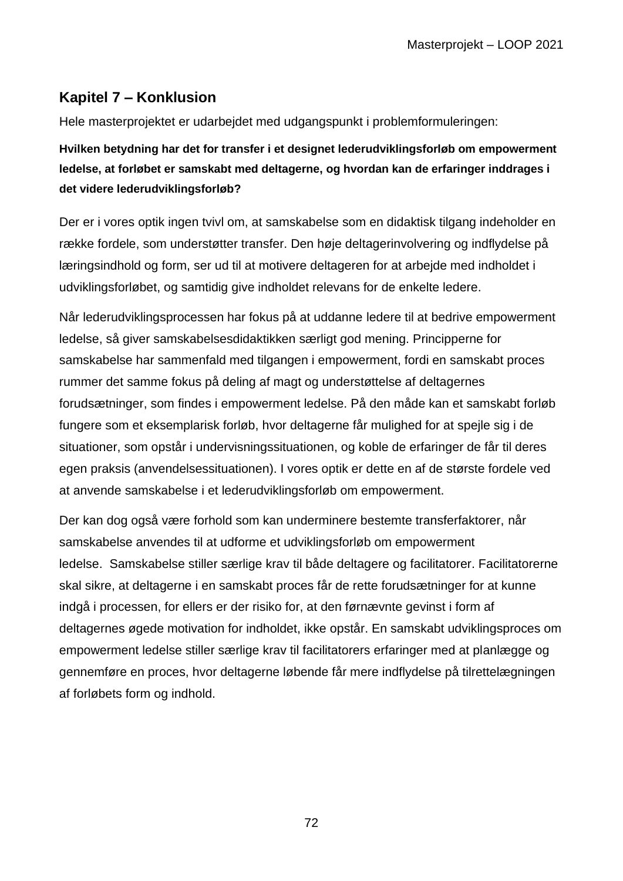# **Kapitel 7 – Konklusion**

Hele masterprojektet er udarbejdet med udgangspunkt i problemformuleringen:

# **Hvilken betydning har det for transfer i et designet lederudviklingsforløb om empowerment ledelse, at forløbet er samskabt med deltagerne, og hvordan kan de erfaringer inddrages i det videre lederudviklingsforløb?**

Der er i vores optik ingen tvivl om, at samskabelse som en didaktisk tilgang indeholder en række fordele, som understøtter transfer. Den høje deltagerinvolvering og indflydelse på læringsindhold og form, ser ud til at motivere deltageren for at arbejde med indholdet i udviklingsforløbet, og samtidig give indholdet relevans for de enkelte ledere.

Når lederudviklingsprocessen har fokus på at uddanne ledere til at bedrive empowerment ledelse, så giver samskabelsesdidaktikken særligt god mening. Principperne for samskabelse har sammenfald med tilgangen i empowerment, fordi en samskabt proces rummer det samme fokus på deling af magt og understøttelse af deltagernes forudsætninger, som findes i empowerment ledelse. På den måde kan et samskabt forløb fungere som et eksemplarisk forløb, hvor deltagerne får mulighed for at spejle sig i de situationer, som opstår i undervisningssituationen, og koble de erfaringer de får til deres egen praksis (anvendelsessituationen). I vores optik er dette en af de største fordele ved at anvende samskabelse i et lederudviklingsforløb om empowerment.

Der kan dog også være forhold som kan underminere bestemte transferfaktorer, når samskabelse anvendes til at udforme et udviklingsforløb om empowerment ledelse. Samskabelse stiller særlige krav til både deltagere og facilitatorer. Facilitatorerne skal sikre, at deltagerne i en samskabt proces får de rette forudsætninger for at kunne indgå i processen, for ellers er der risiko for, at den førnævnte gevinst i form af deltagernes øgede motivation for indholdet, ikke opstår. En samskabt udviklingsproces om empowerment ledelse stiller særlige krav til facilitatorers erfaringer med at planlægge og gennemføre en proces, hvor deltagerne løbende får mere indflydelse på tilrettelægningen af forløbets form og indhold.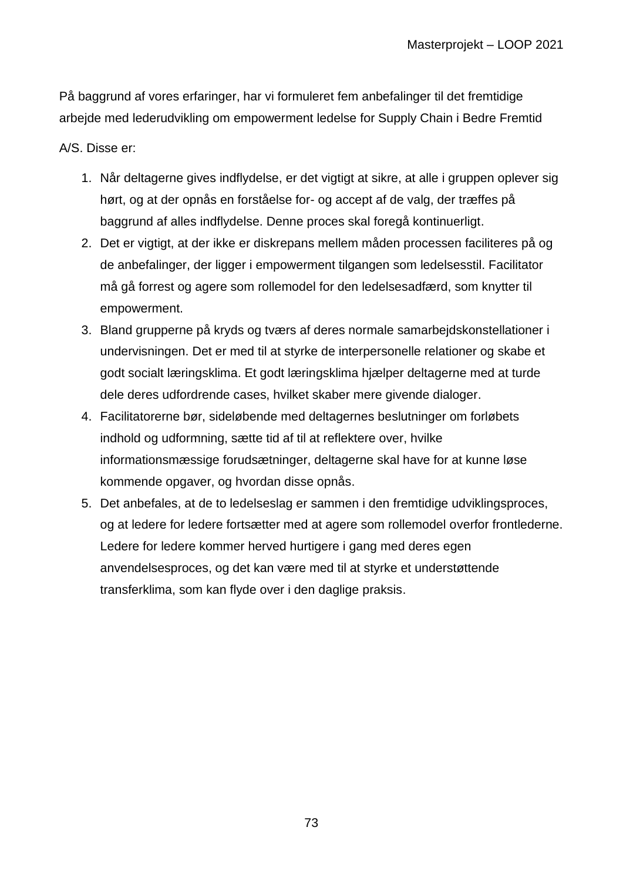På baggrund af vores erfaringer, har vi formuleret fem anbefalinger til det fremtidige arbejde med lederudvikling om empowerment ledelse for Supply Chain i Bedre Fremtid

A/S. Disse er:

- 1. Når deltagerne gives indflydelse, er det vigtigt at sikre, at alle i gruppen oplever sig hørt, og at der opnås en forståelse for- og accept af de valg, der træffes på baggrund af alles indflydelse. Denne proces skal foregå kontinuerligt.
- 2. Det er vigtigt, at der ikke er diskrepans mellem måden processen faciliteres på og de anbefalinger, der ligger i empowerment tilgangen som ledelsesstil. Facilitator må gå forrest og agere som rollemodel for den ledelsesadfærd, som knytter til empowerment.
- 3. Bland grupperne på kryds og tværs af deres normale samarbejdskonstellationer i undervisningen. Det er med til at styrke de interpersonelle relationer og skabe et godt socialt læringsklima. Et godt læringsklima hjælper deltagerne med at turde dele deres udfordrende cases, hvilket skaber mere givende dialoger.
- 4. Facilitatorerne bør, sideløbende med deltagernes beslutninger om forløbets indhold og udformning, sætte tid af til at reflektere over, hvilke informationsmæssige forudsætninger, deltagerne skal have for at kunne løse kommende opgaver, og hvordan disse opnås.
- 5. Det anbefales, at de to ledelseslag er sammen i den fremtidige udviklingsproces, og at ledere for ledere fortsætter med at agere som rollemodel overfor frontlederne. Ledere for ledere kommer herved hurtigere i gang med deres egen anvendelsesproces, og det kan være med til at styrke et understøttende transferklima, som kan flyde over i den daglige praksis.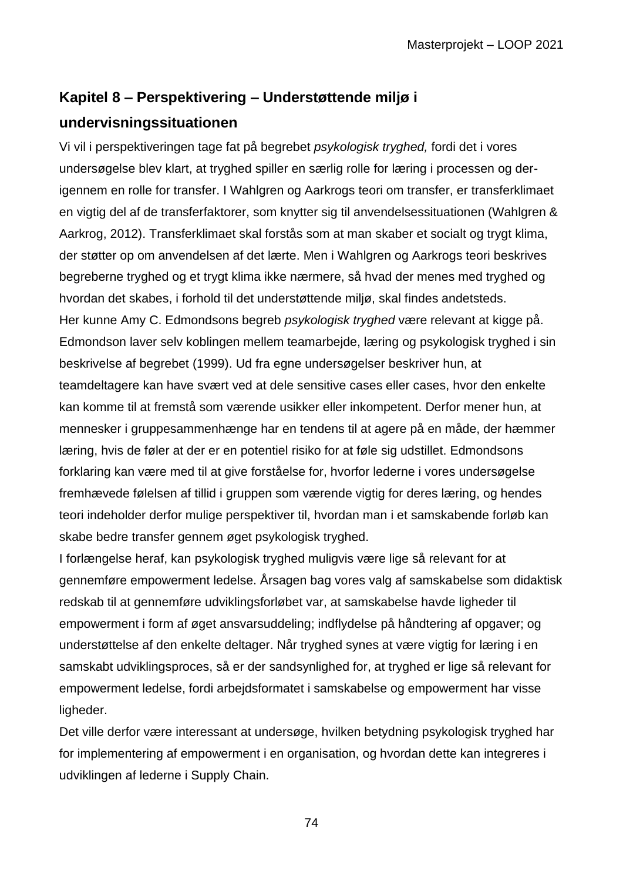## **Kapitel 8 – Perspektivering – Understøttende miljø i undervisningssituationen**

Vi vil i perspektiveringen tage fat på begrebet *psykologisk tryghed,* fordi det i vores undersøgelse blev klart, at tryghed spiller en særlig rolle for læring i processen og derigennem en rolle for transfer. I Wahlgren og Aarkrogs teori om transfer, er transferklimaet en vigtig del af de transferfaktorer, som knytter sig til anvendelsessituationen (Wahlgren & Aarkrog, 2012). Transferklimaet skal forstås som at man skaber et socialt og trygt klima, der støtter op om anvendelsen af det lærte. Men i Wahlgren og Aarkrogs teori beskrives begreberne tryghed og et trygt klima ikke nærmere, så hvad der menes med tryghed og hvordan det skabes, i forhold til det understøttende miljø, skal findes andetsteds. Her kunne Amy C. Edmondsons begreb *psykologisk tryghed* være relevant at kigge på. Edmondson laver selv koblingen mellem teamarbejde, læring og psykologisk tryghed i sin beskrivelse af begrebet (1999). Ud fra egne undersøgelser beskriver hun, at teamdeltagere kan have svært ved at dele sensitive cases eller cases, hvor den enkelte kan komme til at fremstå som værende usikker eller inkompetent. Derfor mener hun, at mennesker i gruppesammenhænge har en tendens til at agere på en måde, der hæmmer læring, hvis de føler at der er en potentiel risiko for at føle sig udstillet. Edmondsons forklaring kan være med til at give forståelse for, hvorfor lederne i vores undersøgelse fremhævede følelsen af tillid i gruppen som værende vigtig for deres læring, og hendes teori indeholder derfor mulige perspektiver til, hvordan man i et samskabende forløb kan skabe bedre transfer gennem øget psykologisk tryghed.

I forlængelse heraf, kan psykologisk tryghed muligvis være lige så relevant for at gennemføre empowerment ledelse. Årsagen bag vores valg af samskabelse som didaktisk redskab til at gennemføre udviklingsforløbet var, at samskabelse havde ligheder til empowerment i form af øget ansvarsuddeling; indflydelse på håndtering af opgaver; og understøttelse af den enkelte deltager. Når tryghed synes at være vigtig for læring i en samskabt udviklingsproces, så er der sandsynlighed for, at tryghed er lige så relevant for empowerment ledelse, fordi arbejdsformatet i samskabelse og empowerment har visse ligheder.

Det ville derfor være interessant at undersøge, hvilken betydning psykologisk tryghed har for implementering af empowerment i en organisation, og hvordan dette kan integreres i udviklingen af lederne i Supply Chain.

74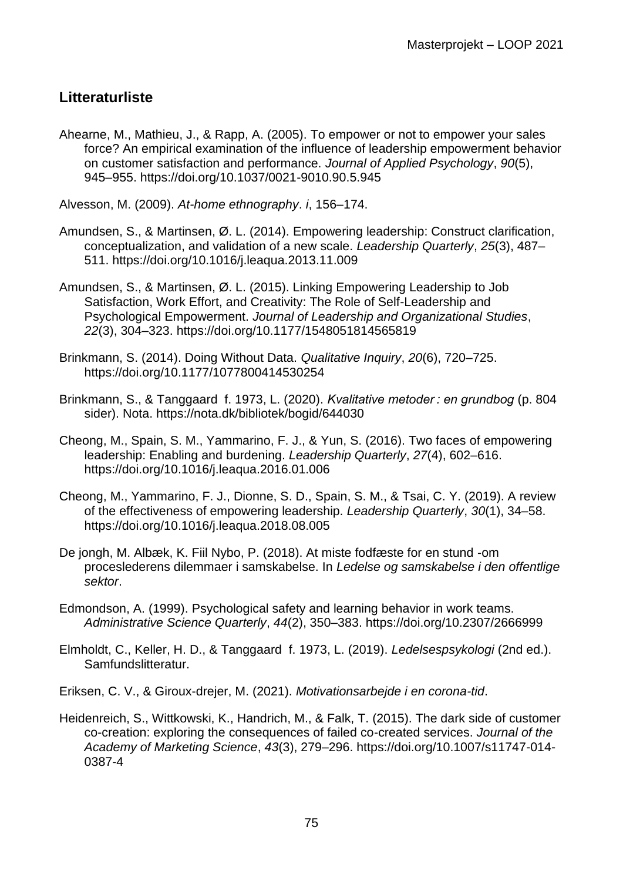## **Litteraturliste**

Ahearne, M., Mathieu, J., & Rapp, A. (2005). To empower or not to empower your sales force? An empirical examination of the influence of leadership empowerment behavior on customer satisfaction and performance. *Journal of Applied Psychology*, *90*(5), 945–955. https://doi.org/10.1037/0021-9010.90.5.945

Alvesson, M. (2009). *At-home ethnography*. *i*, 156–174.

- Amundsen, S., & Martinsen, Ø. L. (2014). Empowering leadership: Construct clarification, conceptualization, and validation of a new scale. *Leadership Quarterly*, *25*(3), 487– 511. https://doi.org/10.1016/j.leaqua.2013.11.009
- Amundsen, S., & Martinsen, Ø. L. (2015). Linking Empowering Leadership to Job Satisfaction, Work Effort, and Creativity: The Role of Self-Leadership and Psychological Empowerment. *Journal of Leadership and Organizational Studies*, *22*(3), 304–323. https://doi.org/10.1177/1548051814565819
- Brinkmann, S. (2014). Doing Without Data. *Qualitative Inquiry*, *20*(6), 720–725. https://doi.org/10.1177/1077800414530254
- Brinkmann, S., & Tanggaard f. 1973, L. (2020). *Kvalitative metoder : en grundbog* (p. 804 sider). Nota. https://nota.dk/bibliotek/bogid/644030
- Cheong, M., Spain, S. M., Yammarino, F. J., & Yun, S. (2016). Two faces of empowering leadership: Enabling and burdening. *Leadership Quarterly*, *27*(4), 602–616. https://doi.org/10.1016/j.leaqua.2016.01.006
- Cheong, M., Yammarino, F. J., Dionne, S. D., Spain, S. M., & Tsai, C. Y. (2019). A review of the effectiveness of empowering leadership. *Leadership Quarterly*, *30*(1), 34–58. https://doi.org/10.1016/j.leaqua.2018.08.005
- De jongh, M. Albæk, K. Fiil Nybo, P. (2018). At miste fodfæste for en stund -om proceslederens dilemmaer i samskabelse. In *Ledelse og samskabelse i den offentlige sektor*.
- Edmondson, A. (1999). Psychological safety and learning behavior in work teams. *Administrative Science Quarterly*, *44*(2), 350–383. https://doi.org/10.2307/2666999
- Elmholdt, C., Keller, H. D., & Tanggaard f. 1973, L. (2019). *Ledelsespsykologi* (2nd ed.). Samfundslitteratur.
- Eriksen, C. V., & Giroux-drejer, M. (2021). *Motivationsarbejde i en corona-tid*.
- Heidenreich, S., Wittkowski, K., Handrich, M., & Falk, T. (2015). The dark side of customer co-creation: exploring the consequences of failed co-created services. *Journal of the Academy of Marketing Science*, *43*(3), 279–296. https://doi.org/10.1007/s11747-014- 0387-4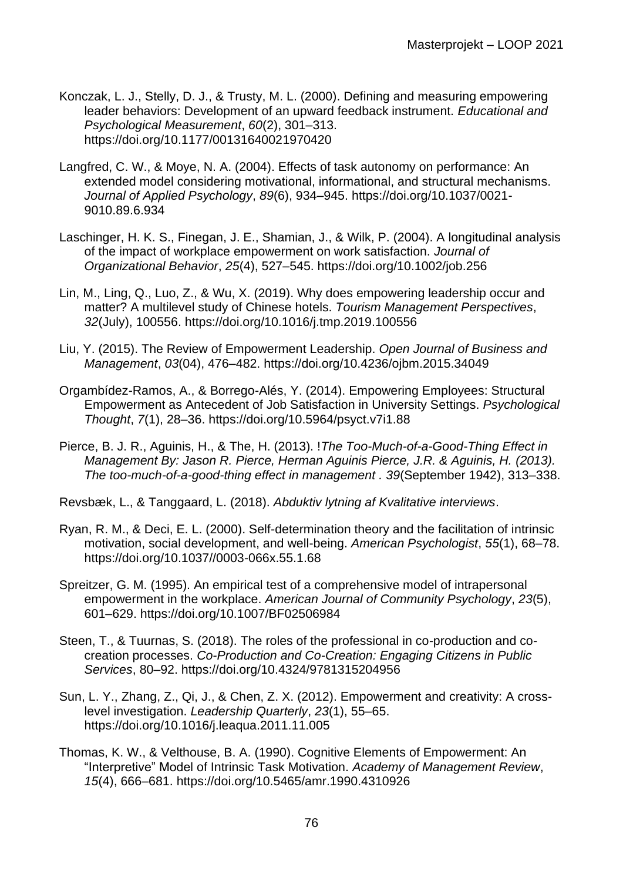- Konczak, L. J., Stelly, D. J., & Trusty, M. L. (2000). Defining and measuring empowering leader behaviors: Development of an upward feedback instrument. *Educational and Psychological Measurement*, *60*(2), 301–313. https://doi.org/10.1177/00131640021970420
- Langfred, C. W., & Moye, N. A. (2004). Effects of task autonomy on performance: An extended model considering motivational, informational, and structural mechanisms. *Journal of Applied Psychology*, *89*(6), 934–945. https://doi.org/10.1037/0021- 9010.89.6.934
- Laschinger, H. K. S., Finegan, J. E., Shamian, J., & Wilk, P. (2004). A longitudinal analysis of the impact of workplace empowerment on work satisfaction. *Journal of Organizational Behavior*, *25*(4), 527–545. https://doi.org/10.1002/job.256
- Lin, M., Ling, Q., Luo, Z., & Wu, X. (2019). Why does empowering leadership occur and matter? A multilevel study of Chinese hotels. *Tourism Management Perspectives*, *32*(July), 100556. https://doi.org/10.1016/j.tmp.2019.100556
- Liu, Y. (2015). The Review of Empowerment Leadership. *Open Journal of Business and Management*, *03*(04), 476–482. https://doi.org/10.4236/ojbm.2015.34049
- Orgambídez-Ramos, A., & Borrego-Alés, Y. (2014). Empowering Employees: Structural Empowerment as Antecedent of Job Satisfaction in University Settings. *Psychological Thought*, *7*(1), 28–36. https://doi.org/10.5964/psyct.v7i1.88
- Pierce, B. J. R., Aguinis, H., & The, H. (2013). !*The Too-Much-of-a-Good-Thing Effect in Management By: Jason R. Pierce, Herman Aguinis Pierce, J.R. & Aguinis, H. (2013). The too-much-of-a-good-thing effect in management . 39*(September 1942), 313–338.

Revsbæk, L., & Tanggaard, L. (2018). *Abduktiv lytning af Kvalitative interviews*.

- Ryan, R. M., & Deci, E. L. (2000). Self-determination theory and the facilitation of intrinsic motivation, social development, and well-being. *American Psychologist*, *55*(1), 68–78. https://doi.org/10.1037//0003-066x.55.1.68
- Spreitzer, G. M. (1995). An empirical test of a comprehensive model of intrapersonal empowerment in the workplace. *American Journal of Community Psychology*, *23*(5), 601–629. https://doi.org/10.1007/BF02506984
- Steen, T., & Tuurnas, S. (2018). The roles of the professional in co-production and cocreation processes. *Co-Production and Co-Creation: Engaging Citizens in Public Services*, 80–92. https://doi.org/10.4324/9781315204956
- Sun, L. Y., Zhang, Z., Qi, J., & Chen, Z. X. (2012). Empowerment and creativity: A crosslevel investigation. *Leadership Quarterly*, *23*(1), 55–65. https://doi.org/10.1016/j.leaqua.2011.11.005
- Thomas, K. W., & Velthouse, B. A. (1990). Cognitive Elements of Empowerment: An "Interpretive" Model of Intrinsic Task Motivation. *Academy of Management Review*, *15*(4), 666–681. https://doi.org/10.5465/amr.1990.4310926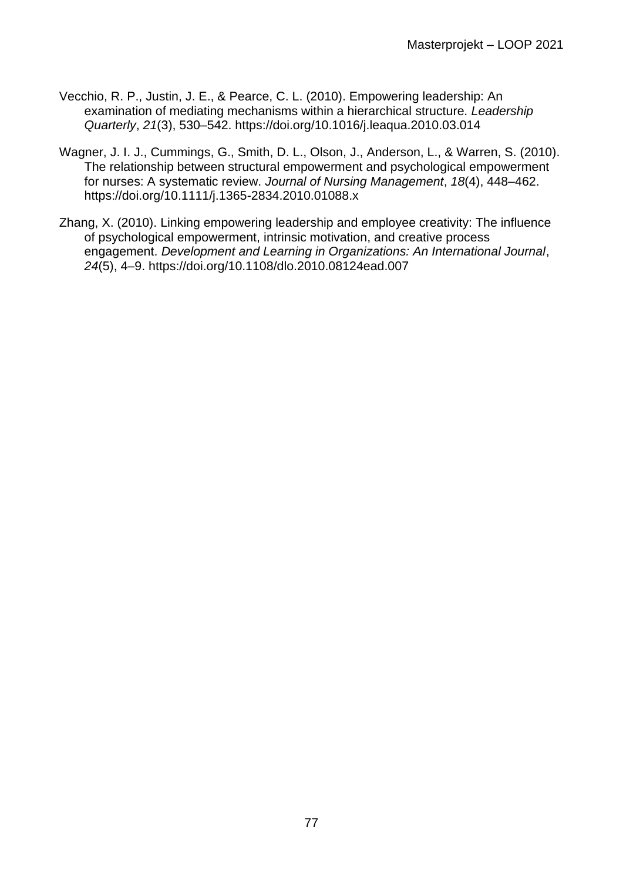- Vecchio, R. P., Justin, J. E., & Pearce, C. L. (2010). Empowering leadership: An examination of mediating mechanisms within a hierarchical structure. *Leadership Quarterly*, *21*(3), 530–542. https://doi.org/10.1016/j.leaqua.2010.03.014
- Wagner, J. I. J., Cummings, G., Smith, D. L., Olson, J., Anderson, L., & Warren, S. (2010). The relationship between structural empowerment and psychological empowerment for nurses: A systematic review. *Journal of Nursing Management*, *18*(4), 448–462. https://doi.org/10.1111/j.1365-2834.2010.01088.x
- Zhang, X. (2010). Linking empowering leadership and employee creativity: The influence of psychological empowerment, intrinsic motivation, and creative process engagement. *Development and Learning in Organizations: An International Journal*, *24*(5), 4–9. https://doi.org/10.1108/dlo.2010.08124ead.007